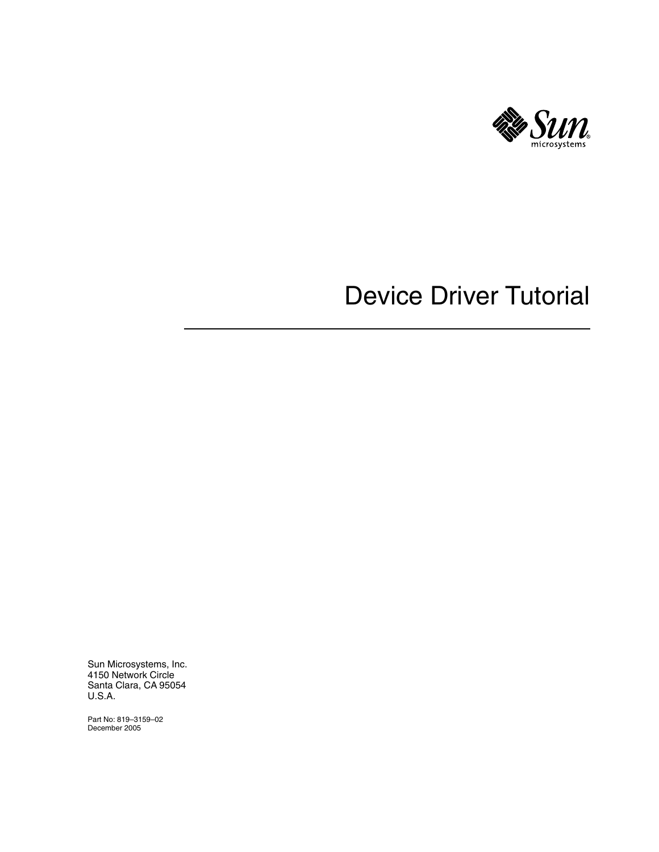

# Device Driver Tutorial

Sun Microsystems, Inc. 4150 Network Circle Santa Clara, CA 95054 U.S.A.

Part No: 819–3159–02 December 2005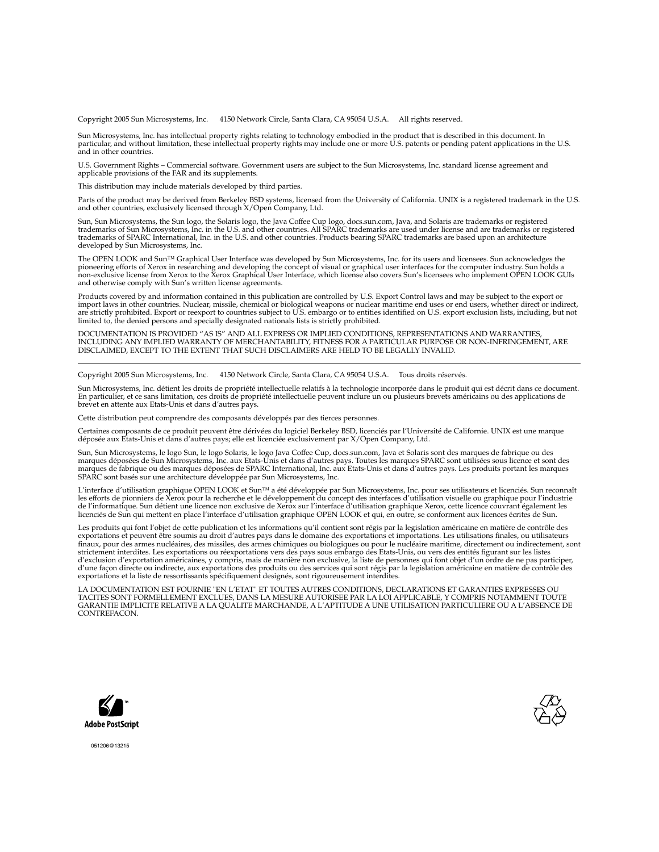Copyright 2005 Sun Microsystems, Inc. 4150 Network Circle, Santa Clara, CA 95054 U.S.A. All rights reserved.

Sun Microsystems, Inc. has intellectual property rights relating to technology embodied in the product that is described in this document. In particular, and without limitation, these intellectual property rights may include one or more U.S. patents or pending patent applications in the U.S. and in other countries.

U.S. Government Rights – Commercial software. Government users are subject to the Sun Microsystems, Inc. standard license agreement and applicable provisions of the FAR and its supplements.

This distribution may include materials developed by third parties.

Parts of the product may be derived from Berkeley BSD systems, licensed from the University of California. UNIX is a registered trademark in the U.S. and other countries, exclusively licensed through X/Open Company, Ltd.

Sun, Sun Microsystems, the Sun logo, the Solaris logo, the Java Coffee Cup logo, docs.sun.com, Java, and Solaris are trademarks or registered<br>trademarks of Sun Microsystems, Inc. in the U.S. and other countries. All SPARC trademarks of SPARC International, Inc. in the U.S. and other countries. Products bearing SPARC trademarks are based upon an architecture developed by Sun Microsystems, Inc.

The OPEN LOOK and Sun™ Graphical User Interface was developed by Sun Microsystems, Inc. for its users and licensees. Sun acknowledges the pioneering efforts of Xerox in researching and developing the concept of visual or graphical user interfaces for the computer industry. Sun holds a<br>non-exclusive license from Xerox to the Xerox Graphical User Interface, wh and otherwise comply with Sun's written license agreements.

Products covered by and information contained in this publication are controlled by U.S. Export Control laws and may be subject to the export or<br>import laws in other countries. Nuclear, missile, chemical or biological weap limited to, the denied persons and specially designated nationals lists is strictly prohibited.

DOCUMENTATION IS PROVIDED "AS IS" AND ALL EXPRESS OR IMPLIED CONDITIONS, REPRESENTATIONS AND WARRANTIES,<br>INCLUDING ANY IMPLIED WARRANTY OF MERCHANTABILITY, FITNESS FOR A PARTICULAR PURPOSE OR NON-INFRINGEMENT, ARE<br>DISCLAIM

Copyright 2005 Sun Microsystems, Inc. 4150 Network Circle, Santa Clara, CA 95054 U.S.A. Tous droits réservés.

Sun Microsystems, Inc. détient les droits de propriété intellectuelle relatifs à la technologie incorporée dans le produit qui est décrit dans ce document.<br>En particulier, et ce sans limitation, ces droits de propriété int

Cette distribution peut comprendre des composants développés par des tierces personnes.

Certaines composants de ce produit peuvent être dérivées du logiciel Berkeley BSD, licenciés par l'Université de Californie. UNIX est une marque déposée aux Etats-Unis et dans d'autres pays; elle est licenciée exclusivement par X/Open Company, Ltd.

Sun, Sun Microsystems, le logo Sun, le logo Solaris, le logo Java Coffee Cup, docs.sun.com, Java et Solaris sont des marques de fabrique ou des<br>marques déposées de Sun Microsystems, Inc. aux Etats-Unis et dans d'autres pay SPARC sont basés sur une architecture développée par Sun Microsystems, Inc.

L'interface d'utilisation graphique OPEN LOOK et Sun™a été développée par Sun Microsystems, Inc. pour ses utilisateurs et licenciés. Sun reconnaît<br>les efforts de pionniers de Xerox pour la recherche et le développement du

Les produits qui font l'objet de cette publication et les informations qu'il contient sont régis par la legislation américaine en matière de contrôle des<br>exportations et peuvent être soumis au droit d'autres pays dans le d d'une façon directe ou indirecte, aux exportations des produits ou des services qui sont régis par la legislation américaine en matière de contrôle des exportations et la liste de ressortissants spécifiquement designés, sont rigoureusement interdites.

LA DOCUMENTATION EST FOURNIE "EN L'ETAT" ET TOUTES AUTRES CONDITIONS, DECLARATIONS ET GARANTIES EXPRESSES OU TACITES SONT FORMELLEMENT EXCLUES, DANS LA MESURE AUTORISEE PAR LA LOI APPLICABLE, Y COMPRIS NOTAMMENT TOUTE<br>GARANTIE IMPLICITE RELATIVE A LA QUALITE MARCHANDE, A L'APTITUDE A UNE UTILISATION PARTICULIERE OU A L'ABSENCE DE CONTREFACON.





051206@13215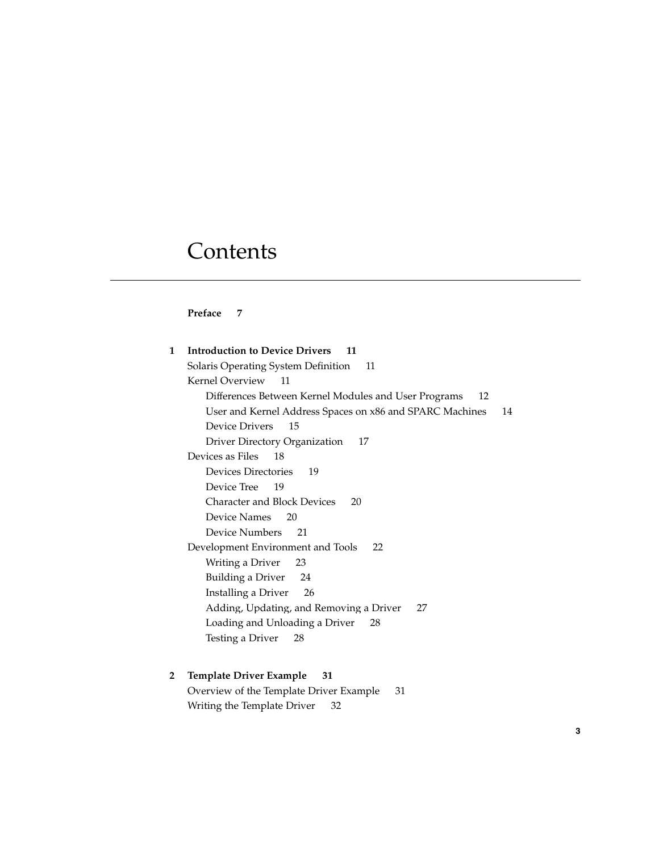# **Contents**

#### **[Preface 7](#page-6-0)**

| 1 | <b>Introduction to Device Drivers</b><br>11                |    |  |  |  |  |
|---|------------------------------------------------------------|----|--|--|--|--|
|   | Solaris Operating System Definition<br>11                  |    |  |  |  |  |
|   | Kernel Overview<br>11                                      |    |  |  |  |  |
|   | Differences Between Kernel Modules and User Programs<br>12 |    |  |  |  |  |
|   | User and Kernel Address Spaces on x86 and SPARC Machines   | 14 |  |  |  |  |
|   | Device Drivers<br>15                                       |    |  |  |  |  |
|   | <b>Driver Directory Organization</b><br>17                 |    |  |  |  |  |
|   | Devices as Files<br>18                                     |    |  |  |  |  |
|   | Devices Directories<br>19                                  |    |  |  |  |  |
|   | Device Tree 19                                             |    |  |  |  |  |
|   | <b>Character and Block Devices</b><br>20                   |    |  |  |  |  |
|   | Device Names 20                                            |    |  |  |  |  |
|   | Device Numbers<br>21                                       |    |  |  |  |  |
|   | Development Environment and Tools<br>22                    |    |  |  |  |  |
|   | Writing a Driver<br>23                                     |    |  |  |  |  |
|   | Building a Driver<br>24                                    |    |  |  |  |  |
|   | Installing a Driver 26                                     |    |  |  |  |  |
|   | Adding, Updating, and Removing a Driver<br>27              |    |  |  |  |  |
|   | Loading and Unloading a Driver<br>28                       |    |  |  |  |  |
|   | Testing a Driver<br>28                                     |    |  |  |  |  |
|   |                                                            |    |  |  |  |  |
| 2 | Template Driver Example<br>31                              |    |  |  |  |  |

[Overview of the Template Driver Example 31](#page-30-0) [Writing the Template Driver 32](#page-31-0)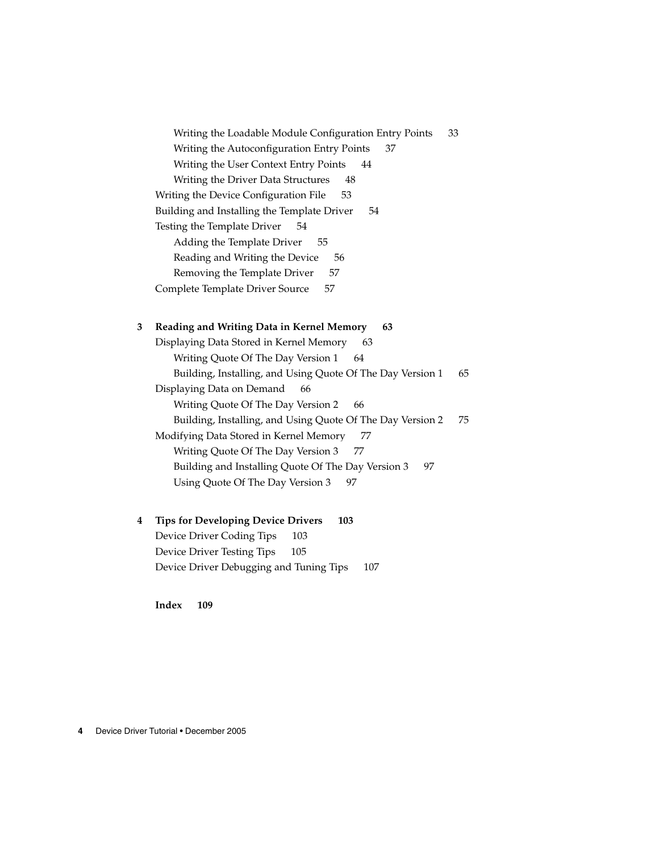[Writing the Loadable Module Configuration Entry Points 33](#page-32-0) [Writing the Autoconfiguration Entry Points 37](#page-36-0) [Writing the User Context Entry Points 44](#page-43-0) [Writing the Driver Data Structures 48](#page-47-0) [Writing the Device Configuration File 53](#page-52-0) [Building and Installing the Template Driver 54](#page-53-0) [Testing the Template Driver 54](#page-53-0) [Adding the Template Driver 55](#page-54-0) [Reading and Writing the Device 56](#page-55-0) [Removing the Template Driver 57](#page-56-0) [Complete Template Driver Source 57](#page-56-0)

#### **[3 Reading and Writing Data in Kernel Memory 63](#page-62-0)**

[Displaying Data Stored in Kernel Memory 63](#page-62-0) [Writing Quote Of The Day Version 1 64](#page-63-0) [Building, Installing, and Using Quote Of The Day Version 1 65](#page-64-0) [Displaying Data on Demand 66](#page-65-0) [Writing Quote Of The Day Version 2 66](#page-65-0) [Building, Installing, and Using Quote Of The Day Version 2 75](#page-74-0) [Modifying Data Stored in Kernel Memory 77](#page-76-0) [Writing Quote Of The Day Version 3 77](#page-76-0) [Building and Installing Quote Of The Day Version 3 97](#page-96-0) [Using Quote Of The Day Version 3 97](#page-96-0)

#### **[4 Tips for Developing Device Drivers 103](#page-102-0)**

[Device Driver Coding Tips 103](#page-102-0) [Device Driver Testing Tips 105](#page-104-0) [Device Driver Debugging and Tuning Tips 107](#page-106-0)

**[Index 109](#page-108-0)**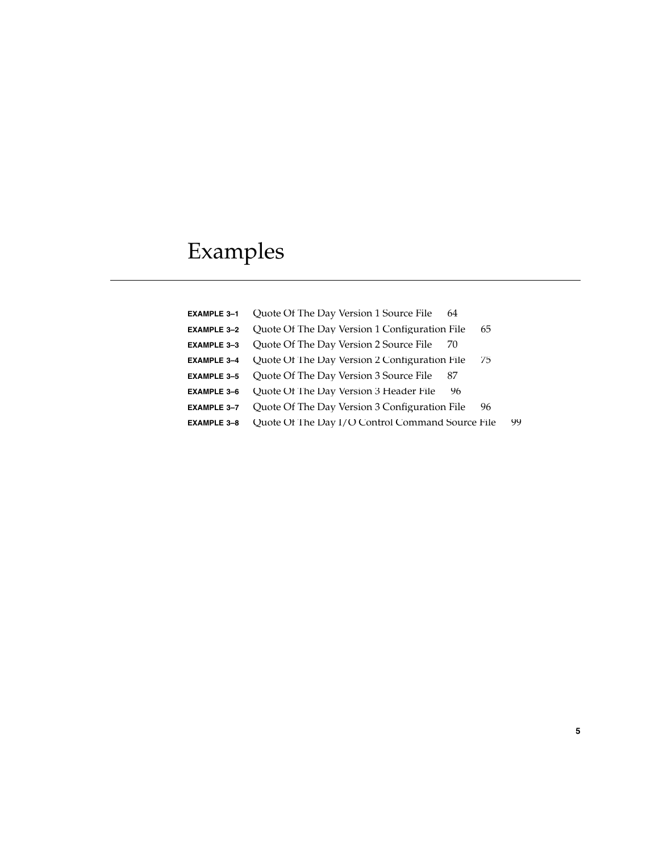# Examples

| <b>EXAMPLE 3-1</b> | Quote Of The Day Version 1 Source File<br>64        |    |
|--------------------|-----------------------------------------------------|----|
| <b>EXAMPLE 3-2</b> | Quote Of The Day Version 1 Configuration File<br>65 |    |
| <b>EXAMPLE 3-3</b> | Quote Of The Day Version 2 Source File<br>70        |    |
| <b>EXAMPLE 3-4</b> | Quote Of The Day Version 2 Configuration File<br>75 |    |
| <b>EXAMPLE 3-5</b> | Quote Of The Day Version 3 Source File<br>87        |    |
| <b>EXAMPLE 3-6</b> | Quote Of The Day Version 3 Header File<br>96        |    |
| <b>EXAMPLE 3-7</b> | Quote Of The Day Version 3 Configuration File<br>96 |    |
| <b>EXAMPLE 3-8</b> | Quote Of The Day I/O Control Command Source File    | 99 |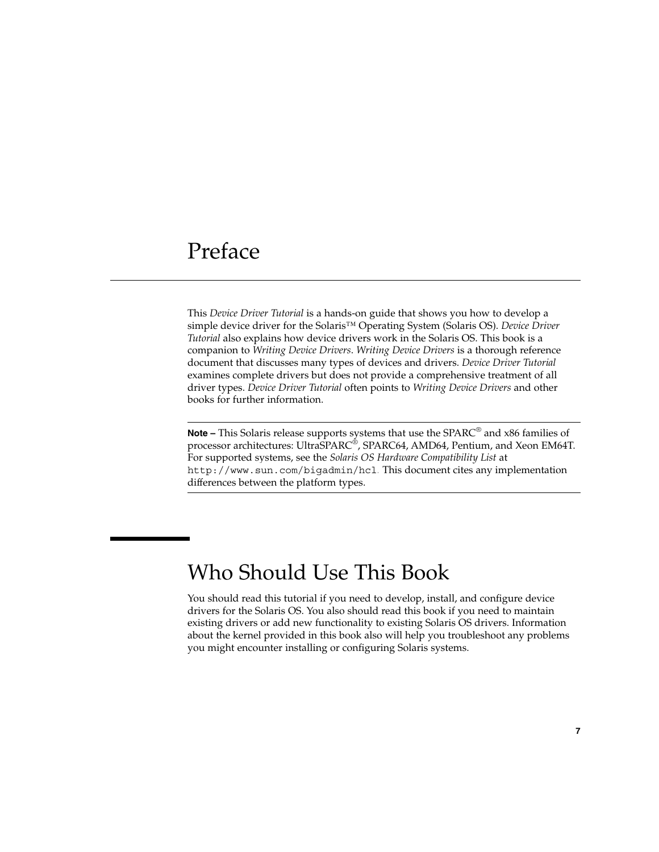# <span id="page-6-0"></span>Preface

This *Device Driver Tutorial* is a hands-on guide that shows you how to develop a simple device driver for the Solaris™ Operating System (Solaris OS). *Device Driver Tutorial* also explains how device drivers work in the Solaris OS. This book is a companion to *Writing Device Drivers*. *Writing Device Drivers* is a thorough reference document that discusses many types of devices and drivers. *Device Driver Tutorial* examines complete drivers but does not provide a comprehensive treatment of all driver types. *Device Driver Tutorial* often points to *Writing Device Drivers* and other books for further information.

**Note –** This Solaris release supports systems that use the SPARC® and x86 families of processor architectures: UltraSPARC®, SPARC64, AMD64, Pentium, and Xeon EM64T. For supported systems, see the *Solaris OS Hardware Compatibility List* at <http://www.sun.com/bigadmin/hcl>. This document cites any implementation differences between the platform types.

## Who Should Use This Book

You should read this tutorial if you need to develop, install, and configure device drivers for the Solaris OS. You also should read this book if you need to maintain existing drivers or add new functionality to existing Solaris OS drivers. Information about the kernel provided in this book also will help you troubleshoot any problems you might encounter installing or configuring Solaris systems.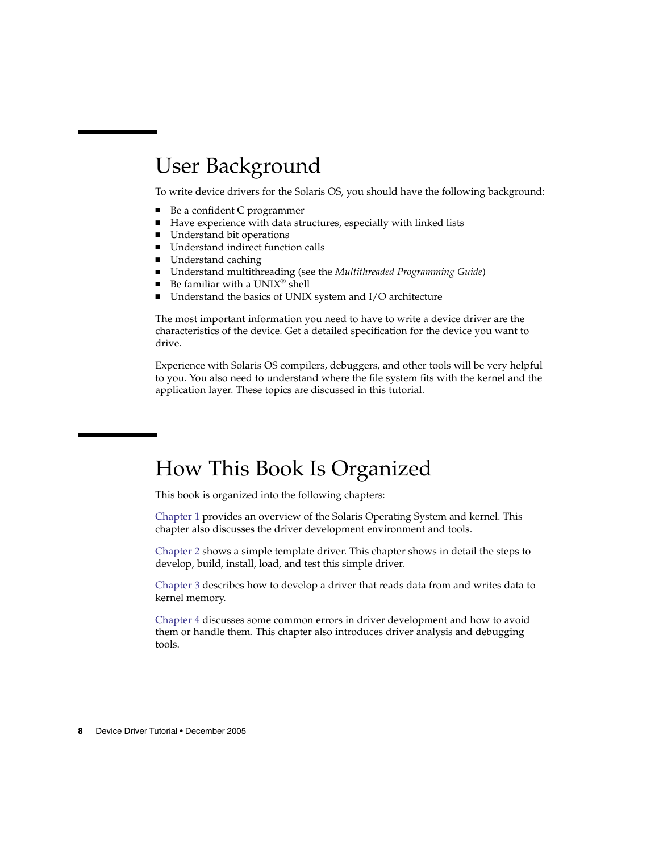# User Background

To write device drivers for the Solaris OS, you should have the following background:

- Be a confident C programmer
- Have experience with data structures, especially with linked lists
- Understand bit operations
- Understand indirect function calls
- Understand caching
- Understand multithreading (see the *Multithreaded Programming Guide*)
- Be familiar with a  $UNIX^®$  shell
- Understand the basics of UNIX system and I/O architecture

The most important information you need to have to write a device driver are the characteristics of the device. Get a detailed specification for the device you want to drive.

Experience with Solaris OS compilers, debuggers, and other tools will be very helpful to you. You also need to understand where the file system fits with the kernel and the application layer. These topics are discussed in this tutorial.

# How This Book Is Organized

This book is organized into the following chapters:

[Chapter 1](#page-10-0) provides an overview of the Solaris Operating System and kernel. This chapter also discusses the driver development environment and tools.

[Chapter 2](#page-30-0) shows a simple template driver. This chapter shows in detail the steps to develop, build, install, load, and test this simple driver.

[Chapter 3](#page-62-0) describes how to develop a driver that reads data from and writes data to kernel memory.

[Chapter 4](#page-102-0) discusses some common errors in driver development and how to avoid them or handle them. This chapter also introduces driver analysis and debugging tools.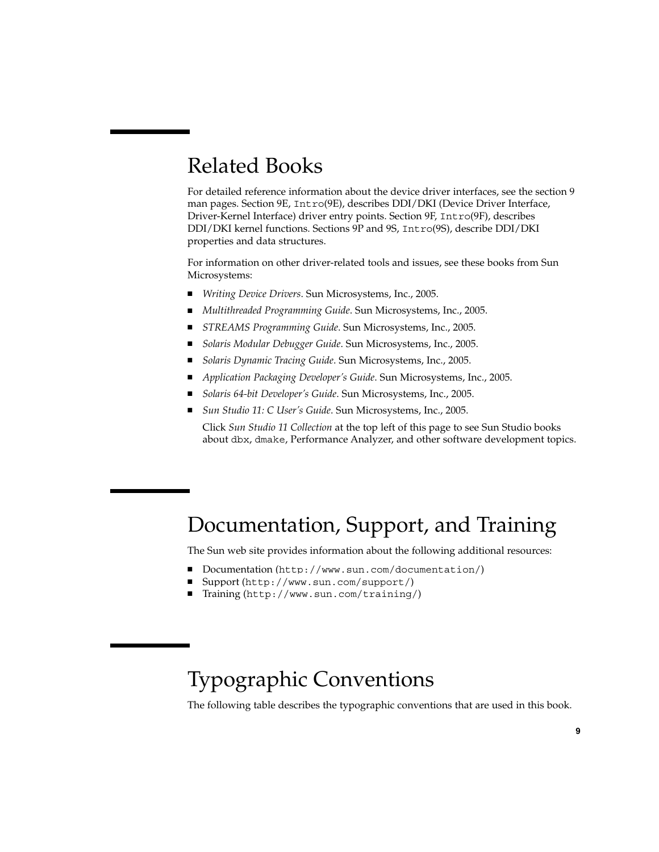# Related Books

For detailed reference information about the device driver interfaces, see the section 9 man pages. Section 9E, Intro(9E), describes DDI/DKI (Device Driver Interface, Driver-Kernel Interface) driver entry points. Section 9F, Intro(9F), describes DDI/DKI kernel functions. Sections 9P and 9S, Intro(9S), describe DDI/DKI properties and data structures.

For information on other driver-related tools and issues, see these books from Sun Microsystems:

- *Writing Device Drivers*. Sun Microsystems, Inc., 2005.
- *Multithreaded Programming Guide*. Sun Microsystems, Inc., 2005.
- *STREAMS Programming Guide*. Sun Microsystems, Inc., 2005.
- *Solaris Modular Debugger Guide*. Sun Microsystems, Inc., 2005.
- *Solaris Dynamic Tracing Guide*. Sun Microsystems, Inc., 2005.
- *Application Packaging Developer's Guide*. Sun Microsystems, Inc., 2005.
- *Solaris 64-bit Developer's Guide*. Sun Microsystems, Inc., 2005.
- *Sun Studio 11: C User's Guide*. Sun Microsystems, Inc., 2005.

Click *Sun Studio 11 Collection* at the top left of this page to see Sun Studio books about dbx, dmake, Performance Analyzer, and other software development topics.

# Documentation, Support, and Training

The Sun web site provides information about the following additional resources:

- Documentation (<http://www.sun.com/documentation/>)
- Support (<http://www.sun.com/support/>)
- Training (<http://www.sun.com/training/>)

# Typographic Conventions

The following table describes the typographic conventions that are used in this book.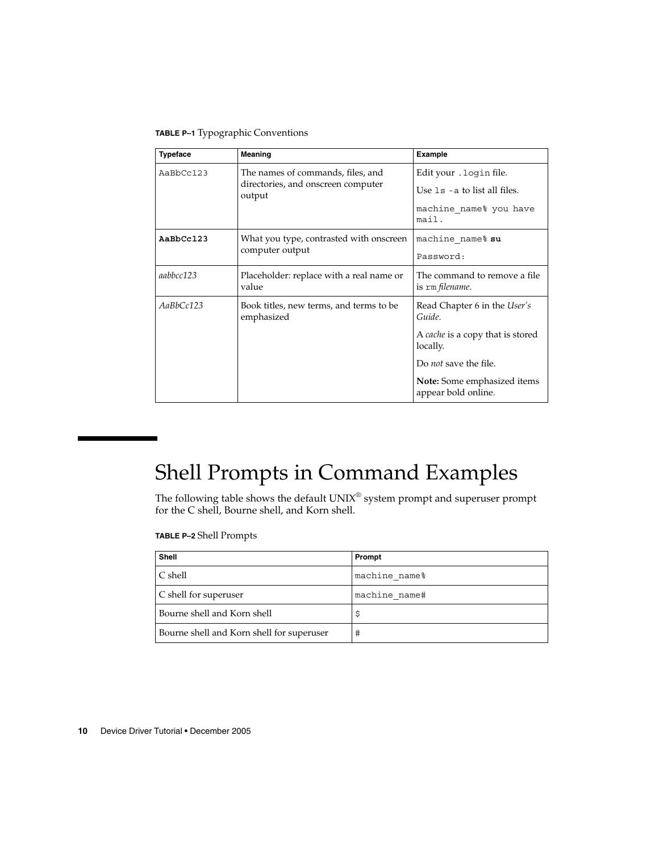**TABLE P–1** Typographic Conventions

| Meaning<br><b>Typeface</b> |                                                       | <b>Example</b>                                            |
|----------------------------|-------------------------------------------------------|-----------------------------------------------------------|
| AaBbCc123                  | The names of commands, files, and                     | Edit your . login file.                                   |
|                            | directories, and onscreen computer<br>output          | Use $1s$ -a to list all files.                            |
|                            |                                                       | machine name% you have<br>mail.                           |
| AaBbCc123                  | What you type, contrasted with onscreen               | machine name% su                                          |
|                            | computer output                                       | Password:                                                 |
| aabbcc123                  | Placeholder: replace with a real name or<br>value     | The command to remove a file<br>is rm filename.           |
| AaBbCc123                  | Book titles, new terms, and terms to be<br>emphasized | Read Chapter 6 in the User's<br>Guide.                    |
|                            |                                                       | A cache is a copy that is stored<br>locally.              |
|                            |                                                       | Do <i>not</i> save the file.                              |
|                            |                                                       | <b>Note:</b> Some emphasized items<br>appear bold online. |

# Shell Prompts in Command Examples

The following table shows the default UNIX® system prompt and superuser prompt for the C shell, Bourne shell, and Korn shell.

**TABLE P–2** Shell Prompts

| <b>Shell</b>                              | Prompt        |
|-------------------------------------------|---------------|
| C shell                                   | machine name% |
| C shell for superuser                     | machine name# |
| Bourne shell and Korn shell               |               |
| Bourne shell and Korn shell for superuser | #             |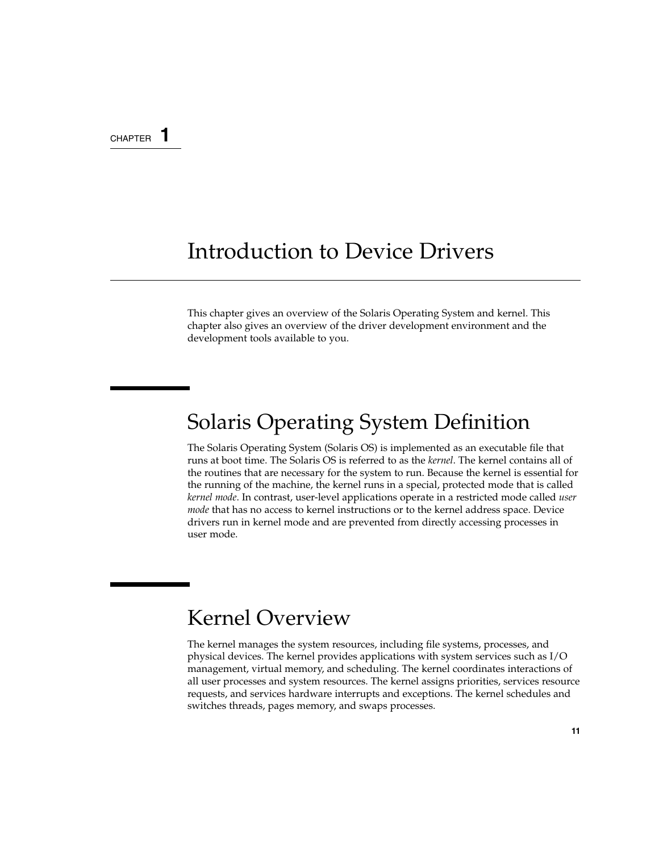#### <span id="page-10-0"></span>CHAPTER **1**

### Introduction to Device Drivers

This chapter gives an overview of the Solaris Operating System and kernel. This chapter also gives an overview of the driver development environment and the development tools available to you.

# Solaris Operating System Definition

The Solaris Operating System (Solaris OS) is implemented as an executable file that runs at boot time. The Solaris OS is referred to as the *kernel*. The kernel contains all of the routines that are necessary for the system to run. Because the kernel is essential for the running of the machine, the kernel runs in a special, protected mode that is called *kernel mode*. In contrast, user-level applications operate in a restricted mode called *user mode* that has no access to kernel instructions or to the kernel address space. Device drivers run in kernel mode and are prevented from directly accessing processes in user mode.

## Kernel Overview

The kernel manages the system resources, including file systems, processes, and physical devices. The kernel provides applications with system services such as I/O management, virtual memory, and scheduling. The kernel coordinates interactions of all user processes and system resources. The kernel assigns priorities, services resource requests, and services hardware interrupts and exceptions. The kernel schedules and switches threads, pages memory, and swaps processes.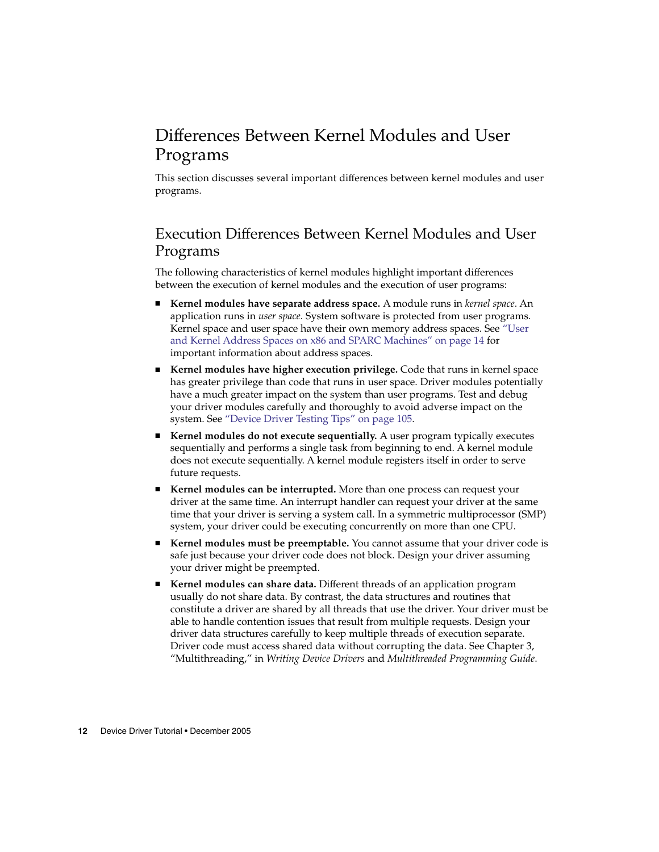### <span id="page-11-0"></span>Differences Between Kernel Modules and User Programs

This section discusses several important differences between kernel modules and user programs.

#### Execution Differences Between Kernel Modules and User Programs

The following characteristics of kernel modules highlight important differences between the execution of kernel modules and the execution of user programs:

- **Kernel modules have separate address space.** A module runs in *kernel space*. An application runs in *user space*. System software is protected from user programs. Kernel space and user space have their own memory address spaces. See ["User](#page-13-0) [and Kernel Address Spaces on x86 and SPARC Machines"](#page-13-0) on page 14 for important information about address spaces.
- **Kernel modules have higher execution privilege.** Code that runs in kernel space has greater privilege than code that runs in user space. Driver modules potentially have a much greater impact on the system than user programs. Test and debug your driver modules carefully and thoroughly to avoid adverse impact on the system. See ["Device Driver Testing Tips"](#page-104-0) on page 105.
- **Kernel modules do not execute sequentially.** A user program typically executes sequentially and performs a single task from beginning to end. A kernel module does not execute sequentially. A kernel module registers itself in order to serve future requests.
- **Kernel modules can be interrupted.** More than one process can request your driver at the same time. An interrupt handler can request your driver at the same time that your driver is serving a system call. In a symmetric multiprocessor (SMP) system, your driver could be executing concurrently on more than one CPU.
- Kernel modules must be preemptable. You cannot assume that your driver code is safe just because your driver code does not block. Design your driver assuming your driver might be preempted.
- **Kernel modules can share data.** Different threads of an application program usually do not share data. By contrast, the data structures and routines that constitute a driver are shared by all threads that use the driver. Your driver must be able to handle contention issues that result from multiple requests. Design your driver data structures carefully to keep multiple threads of execution separate. Driver code must access shared data without corrupting the data. See Chapter 3, "Multithreading," in *Writing Device Drivers* and *Multithreaded Programming Guide*.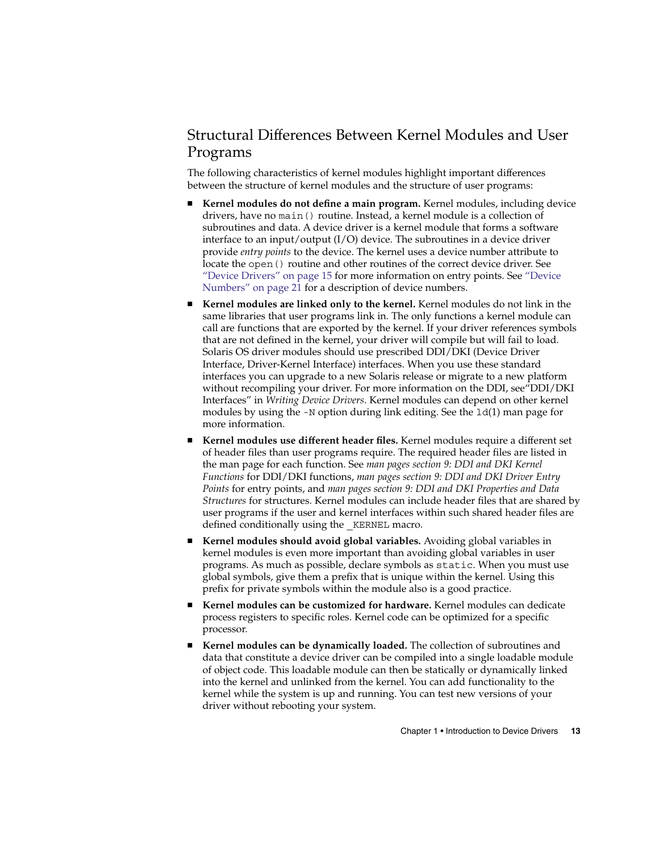#### <span id="page-12-0"></span>Structural Differences Between Kernel Modules and User Programs

The following characteristics of kernel modules highlight important differences between the structure of kernel modules and the structure of user programs:

- **Kernel modules do not define a main program.** Kernel modules, including device drivers, have no main() routine. Instead, a kernel module is a collection of subroutines and data. A device driver is a kernel module that forms a software interface to an input/output (I/O) device. The subroutines in a device driver provide *entry points* to the device. The kernel uses a device number attribute to locate the open() routine and other routines of the correct device driver. See ["Device Drivers"](#page-14-0) on page 15 for more information on entry points. See ["Device](#page-20-0) Numbers" [on page 21](#page-20-0) for a description of device numbers.
- **Kernel modules are linked only to the kernel.** Kernel modules do not link in the same libraries that user programs link in. The only functions a kernel module can call are functions that are exported by the kernel. If your driver references symbols that are not defined in the kernel, your driver will compile but will fail to load. Solaris OS driver modules should use prescribed DDI/DKI (Device Driver Interface, Driver-Kernel Interface) interfaces. When you use these standard interfaces you can upgrade to a new Solaris release or migrate to a new platform without recompiling your driver. For more information on the DDI, see"DDI/DKI Interfaces" in *Writing Device Drivers*. Kernel modules can depend on other kernel modules by using the  $-N$  option during link editing. See the  $1d(1)$  man page for more information.
- **Kernel modules use different header files.** Kernel modules require a different set of header files than user programs require. The required header files are listed in the man page for each function. See *man pages section 9: DDI and DKI Kernel Functions* for DDI/DKI functions, *man pages section 9: DDI and DKI Driver Entry Points* for entry points, and *man pages section 9: DDI and DKI Properties and Data Structures* for structures. Kernel modules can include header files that are shared by user programs if the user and kernel interfaces within such shared header files are defined conditionally using the KERNEL macro.
- **Kernel modules should avoid global variables.** Avoiding global variables in kernel modules is even more important than avoiding global variables in user programs. As much as possible, declare symbols as static. When you must use global symbols, give them a prefix that is unique within the kernel. Using this prefix for private symbols within the module also is a good practice.
- **Kernel modules can be customized for hardware.** Kernel modules can dedicate process registers to specific roles. Kernel code can be optimized for a specific processor.
- Kernel modules can be dynamically loaded. The collection of subroutines and data that constitute a device driver can be compiled into a single loadable module of object code. This loadable module can then be statically or dynamically linked into the kernel and unlinked from the kernel. You can add functionality to the kernel while the system is up and running. You can test new versions of your driver without rebooting your system.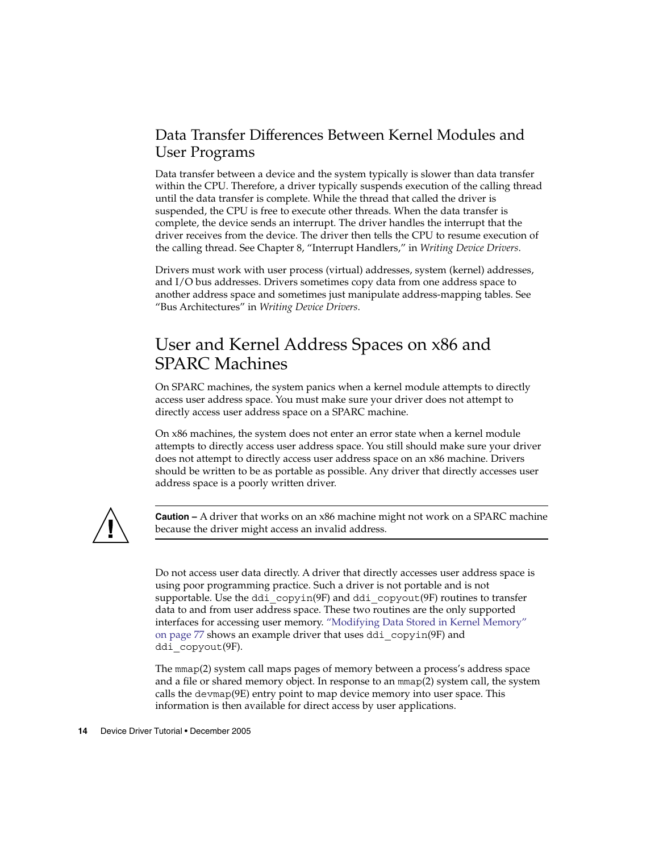### <span id="page-13-0"></span>Data Transfer Differences Between Kernel Modules and User Programs

Data transfer between a device and the system typically is slower than data transfer within the CPU. Therefore, a driver typically suspends execution of the calling thread until the data transfer is complete. While the thread that called the driver is suspended, the CPU is free to execute other threads. When the data transfer is complete, the device sends an interrupt. The driver handles the interrupt that the driver receives from the device. The driver then tells the CPU to resume execution of the calling thread. See Chapter 8, "Interrupt Handlers," in *Writing Device Drivers*.

Drivers must work with user process (virtual) addresses, system (kernel) addresses, and I/O bus addresses. Drivers sometimes copy data from one address space to another address space and sometimes just manipulate address-mapping tables. See "Bus Architectures" in *Writing Device Drivers*.

### User and Kernel Address Spaces on x86 and SPARC Machines

On SPARC machines, the system panics when a kernel module attempts to directly access user address space. You must make sure your driver does not attempt to directly access user address space on a SPARC machine.

On x86 machines, the system does not enter an error state when a kernel module attempts to directly access user address space. You still should make sure your driver does not attempt to directly access user address space on an x86 machine. Drivers should be written to be as portable as possible. Any driver that directly accesses user address space is a poorly written driver.



**Caution –** A driver that works on an x86 machine might not work on a SPARC machine because the driver might access an invalid address.

Do not access user data directly. A driver that directly accesses user address space is using poor programming practice. Such a driver is not portable and is not supportable. Use the ddi\_copyin(9F) and ddi\_copyout(9F) routines to transfer data to and from user address space. These two routines are the only supported interfaces for accessing user memory. ["Modifying Data Stored in Kernel Memory"](#page-76-0) [on page 77](#page-76-0) shows an example driver that uses ddi\_copyin(9F) and ddi\_copyout(9F).

The mmap(2) system call maps pages of memory between a process's address space and a file or shared memory object. In response to an mmap(2) system call, the system calls the devmap(9E) entry point to map device memory into user space. This information is then available for direct access by user applications.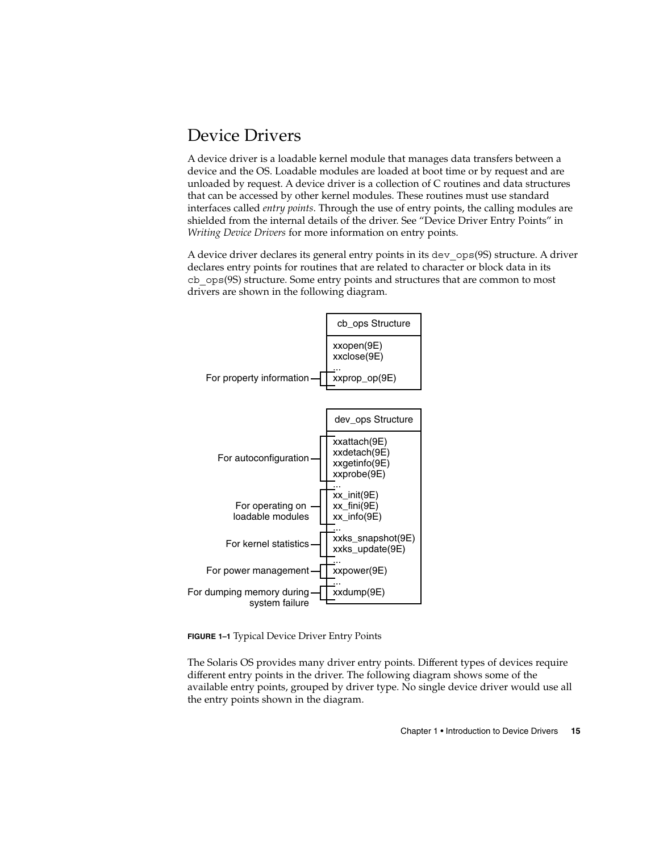### <span id="page-14-0"></span>Device Drivers

A device driver is a loadable kernel module that manages data transfers between a device and the OS. Loadable modules are loaded at boot time or by request and are unloaded by request. A device driver is a collection of C routines and data structures that can be accessed by other kernel modules. These routines must use standard interfaces called *entry points*. Through the use of entry points, the calling modules are shielded from the internal details of the driver. See "Device Driver Entry Points" in *Writing Device Drivers* for more information on entry points.

A device driver declares its general entry points in its dev\_ops(9S) structure. A driver declares entry points for routines that are related to character or block data in its cb\_ops(9S) structure. Some entry points and structures that are common to most drivers are shown in the following diagram.



**FIGURE 1–1** Typical Device Driver Entry Points

The Solaris OS provides many driver entry points. Different types of devices require different entry points in the driver. The following diagram shows some of the available entry points, grouped by driver type. No single device driver would use all the entry points shown in the diagram.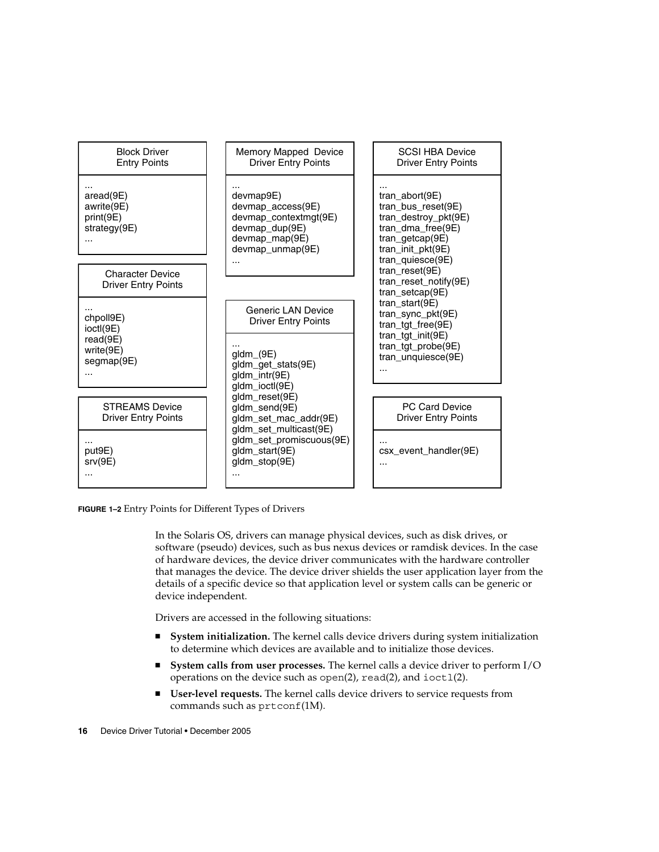

**FIGURE 1–2** Entry Points for Different Types of Drivers

In the Solaris OS, drivers can manage physical devices, such as disk drives, or software (pseudo) devices, such as bus nexus devices or ramdisk devices. In the case of hardware devices, the device driver communicates with the hardware controller that manages the device. The device driver shields the user application layer from the details of a specific device so that application level or system calls can be generic or device independent.

Drivers are accessed in the following situations:

- **System initialization.** The kernel calls device drivers during system initialization to determine which devices are available and to initialize those devices.
- **System calls from user processes.** The kernel calls a device driver to perform I/O operations on the device such as  $open(2)$ ,  $read(2)$ , and  $ivot1(2)$ .
- **User-level requests.** The kernel calls device drivers to service requests from commands such as prtconf(1M).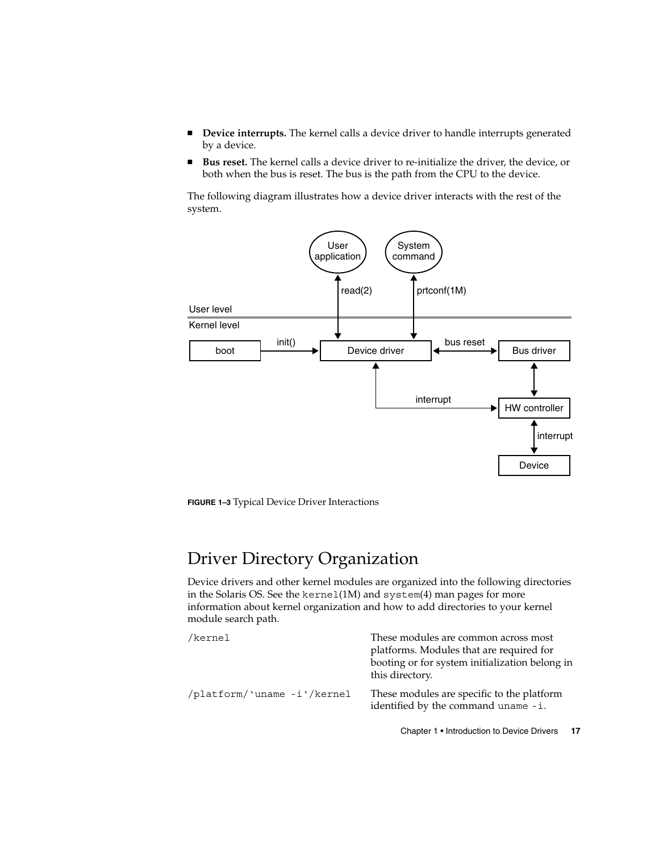- <span id="page-16-0"></span>■ **Device interrupts.** The kernel calls a device driver to handle interrupts generated by a device.
- **Bus reset.** The kernel calls a device driver to re-initialize the driver, the device, or both when the bus is reset. The bus is the path from the CPU to the device.

The following diagram illustrates how a device driver interacts with the rest of the system.



**FIGURE 1–3** Typical Device Driver Interactions

### Driver Directory Organization

Device drivers and other kernel modules are organized into the following directories in the Solaris OS. See the kernel(1M) and system(4) man pages for more information about kernel organization and how to add directories to your kernel module search path.

| /kernel                     | These modules are common across most<br>platforms. Modules that are required for<br>booting or for system initialization belong in<br>this directory. |  |  |
|-----------------------------|-------------------------------------------------------------------------------------------------------------------------------------------------------|--|--|
| /platform/'uname -i'/kernel | These modules are specific to the platform<br>identified by the command uname -i.                                                                     |  |  |

Chapter 1 • Introduction to Device Drivers **17**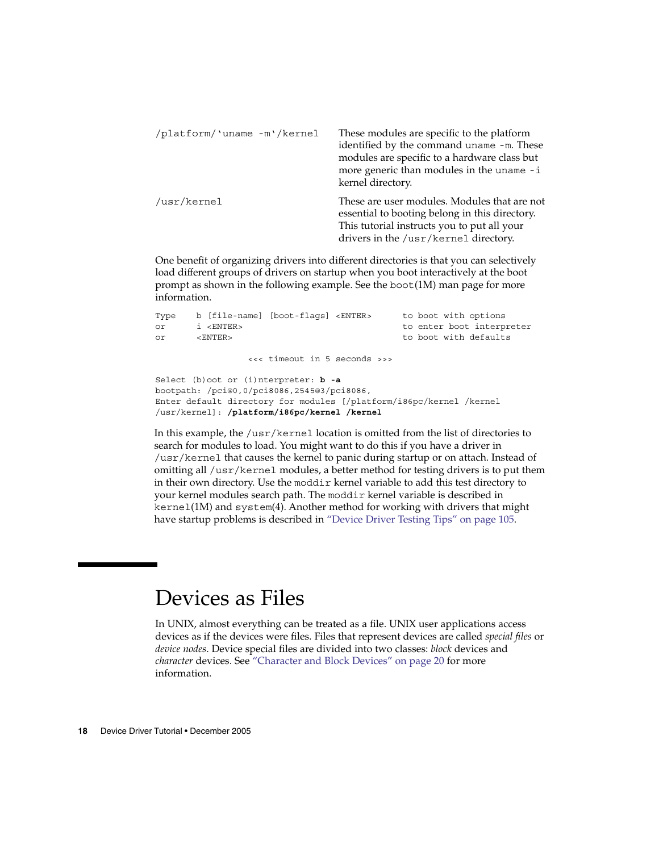<span id="page-17-0"></span>

| /platform/'uname -m'/kernel | These modules are specific to the platform<br>identified by the command uname -m. These<br>modules are specific to a hardware class but<br>more generic than modules in the uname -i<br>kernel directory. |
|-----------------------------|-----------------------------------------------------------------------------------------------------------------------------------------------------------------------------------------------------------|
| /usr/kernel                 | These are user modules. Modules that are not<br>essential to booting belong in this directory.<br>This tutorial instructs you to put all your<br>drivers in the /usr/kernel directory.                    |

One benefit of organizing drivers into different directories is that you can selectively load different groups of drivers on startup when you boot interactively at the boot prompt as shown in the following example. See the boot(1M) man page for more information.

```
Type b [file-name] [boot-flags] <ENTER> to boot with options
or i <ENTER> to enter boot interpreter
or <ENTER> to boot with defaults
              <<< timeout in 5 seconds >>>
Select (b)oot or (i)nterpreter: b -a
bootpath: /pci@0,0/pci8086,2545@3/pci8086,
Enter default directory for modules [/platform/i86pc/kernel /kernel
/usr/kernel]: /platform/i86pc/kernel /kernel
```
In this example, the /usr/kernel location is omitted from the list of directories to search for modules to load. You might want to do this if you have a driver in /usr/kernel that causes the kernel to panic during startup or on attach. Instead of omitting all /usr/kernel modules, a better method for testing drivers is to put them in their own directory. Use the moddir kernel variable to add this test directory to your kernel modules search path. The moddir kernel variable is described in kernel(1M) and system(4). Another method for working with drivers that might have startup problems is described in ["Device Driver Testing Tips"](#page-104-0) on page 105.

## Devices as Files

In UNIX, almost everything can be treated as a file. UNIX user applications access devices as if the devices were files. Files that represent devices are called *special files* or *device nodes*. Device special files are divided into two classes: *block* devices and *character* devices. See ["Character and Block Devices"](#page-19-0) on page 20 for more information.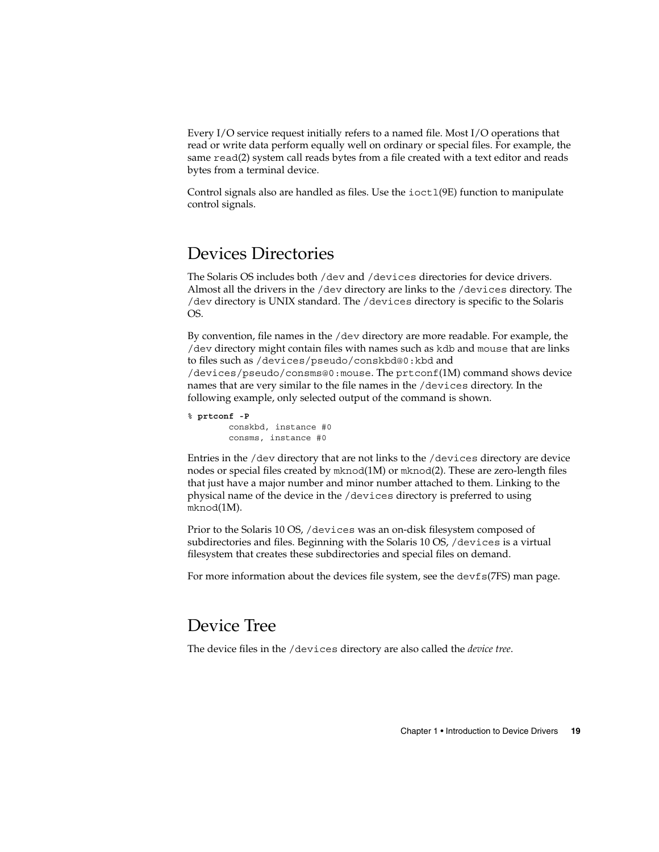<span id="page-18-0"></span>Every I/O service request initially refers to a named file. Most I/O operations that read or write data perform equally well on ordinary or special files. For example, the same read(2) system call reads bytes from a file created with a text editor and reads bytes from a terminal device.

Control signals also are handled as files. Use the  $i$  oct $1(9E)$  function to manipulate control signals.

#### Devices Directories

The Solaris OS includes both /dev and /devices directories for device drivers. Almost all the drivers in the /dev directory are links to the /devices directory. The /dev directory is UNIX standard. The /devices directory is specific to the Solaris OS.

By convention, file names in the /dev directory are more readable. For example, the /dev directory might contain files with names such as kdb and mouse that are links to files such as /devices/pseudo/conskbd@0:kbd and /devices/pseudo/consms@0:mouse. The prtconf(1M) command shows device names that are very similar to the file names in the /devices directory. In the following example, only selected output of the command is shown.

```
% prtconf -P
```
conskbd, instance #0 consms, instance #0

Entries in the /dev directory that are not links to the /devices directory are device nodes or special files created by mknod(1M) or mknod(2). These are zero-length files that just have a major number and minor number attached to them. Linking to the physical name of the device in the /devices directory is preferred to using mknod(1M).

Prior to the Solaris 10 OS, /devices was an on-disk filesystem composed of subdirectories and files. Beginning with the Solaris 10 OS, /devices is a virtual filesystem that creates these subdirectories and special files on demand.

For more information about the devices file system, see the devf s(7FS) man page.

### Device Tree

The device files in the /devices directory are also called the *device tree*.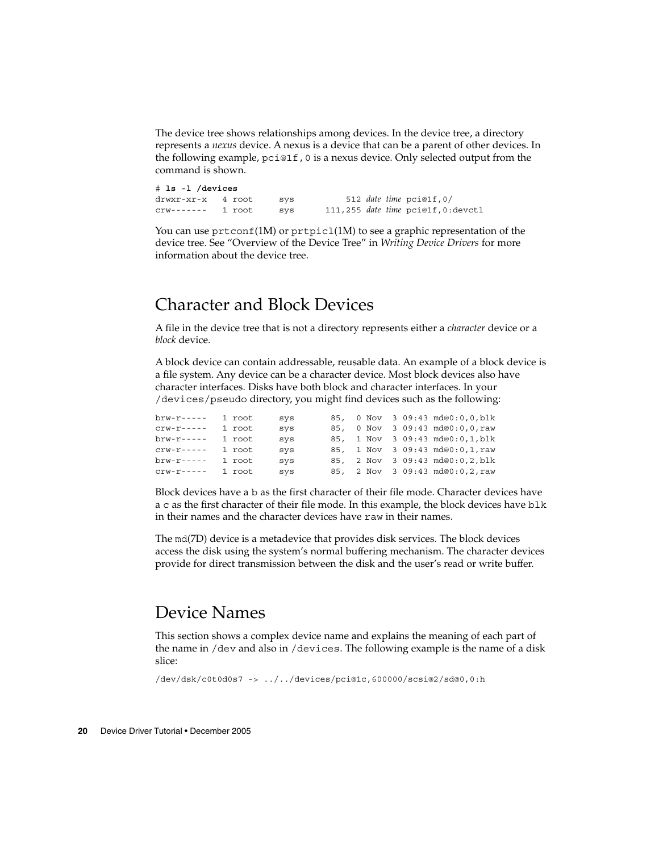<span id="page-19-0"></span>The device tree shows relationships among devices. In the device tree, a directory represents a *nexus* device. A nexus is a device that can be a parent of other devices. In the following example, pci@1f,0 is a nexus device. Only selected output from the command is shown.

# **ls -l /devices** drwxr-xr-x 4 root sys 512 *date time* pci@1f,0/ crw------- 1 root sys 111,255 *date time* pci@1f,0:devctl

You can use prtconf(1M) or prtpicl(1M) to see a graphic representation of the device tree. See "Overview of the Device Tree" in *Writing Device Drivers* for more information about the device tree.

### Character and Block Devices

A file in the device tree that is not a directory represents either a *character* device or a *block* device.

A block device can contain addressable, reusable data. An example of a block device is a file system. Any device can be a character device. Most block devices also have character interfaces. Disks have both block and character interfaces. In your /devices/pseudo directory, you might find devices such as the following:

brw-r----- 1 root sys 85, 0 Nov 3 09:43 md@0:0,0,blk crw-r----- 1 root sys 85, 0 Nov 3 09:43 md@0:0,0,raw brw-r----- 1 root sys 85, 1 Nov 3 09:43 md@0:0,1,blk crw-r----- 1 root sys 85, 1 Nov 3 09:43 md@0:0,1,raw brw-r----- 1 root sys 85, 2 Nov 3 09:43 md@0:0,2,blk crw-r----- 1 root sys 85, 2 Nov 3 09:43 md@0:0,2,raw

Block devices have a b as the first character of their file mode. Character devices have a c as the first character of their file mode. In this example, the block devices have blk in their names and the character devices have raw in their names.

The md(7D) device is a metadevice that provides disk services. The block devices access the disk using the system's normal buffering mechanism. The character devices provide for direct transmission between the disk and the user's read or write buffer.

### Device Names

This section shows a complex device name and explains the meaning of each part of the name in /dev and also in /devices. The following example is the name of a disk slice:

/dev/dsk/c0t0d0s7 -> ../../devices/pci@1c,600000/scsi@2/sd@0,0:h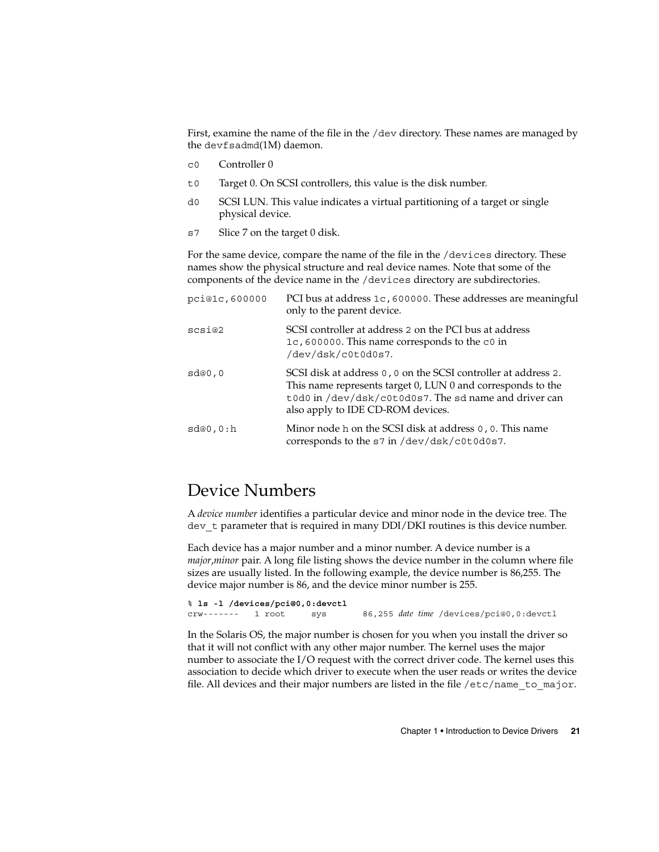<span id="page-20-0"></span>First, examine the name of the file in the /dev directory. These names are managed by the devfsadmd(1M) daemon.

- c0 Controller 0
- t0 Target 0. On SCSI controllers, this value is the disk number.
- d0 SCSI LUN. This value indicates a virtual partitioning of a target or single physical device.
- s7 Slice 7 on the target 0 disk.

For the same device, compare the name of the file in the /devices directory. These names show the physical structure and real device names. Note that some of the components of the device name in the /devices directory are subdirectories.

| pci@1c,600000 | PCI bus at address 1c, 600000. These addresses are meaningful<br>only to the parent device.                                                                                                                                    |  |
|---------------|--------------------------------------------------------------------------------------------------------------------------------------------------------------------------------------------------------------------------------|--|
| scsi@2        | SCSI controller at address 2 on the PCI bus at address<br>1c, 600000. This name corresponds to the $c_0$ in<br>/dev/dsk/c0t0d0s7.                                                                                              |  |
| sd@0,0        | SCSI disk at address $0$ , 0 on the SCSI controller at address 2.<br>This name represents target 0, LUN 0 and corresponds to the<br>t0d0 in /dev/dsk/c0t0d0s7. The sd name and driver can<br>also apply to IDE CD-ROM devices. |  |
| sd@0,0:h      | Minor node h on the SCSI disk at address 0, 0. This name<br>corresponds to the s7 in /dev/dsk/c0t0d0s7.                                                                                                                        |  |

### Device Numbers

A *device number* identifies a particular device and minor node in the device tree. The dev\_t parameter that is required in many DDI/DKI routines is this device number.

Each device has a major number and a minor number. A device number is a *major*,*minor* pair. A long file listing shows the device number in the column where file sizes are usually listed. In the following example, the device number is 86,255. The device major number is 86, and the device minor number is 255.

| % ls -1 /devices/pci@0,0:devctl |        |     |  |                                          |
|---------------------------------|--------|-----|--|------------------------------------------|
| Crw-------                      | 1 root | SVS |  | 86,255 date time /devices/pci@0,0:devctl |

In the Solaris OS, the major number is chosen for you when you install the driver so that it will not conflict with any other major number. The kernel uses the major number to associate the I/O request with the correct driver code. The kernel uses this association to decide which driver to execute when the user reads or writes the device file. All devices and their major numbers are listed in the file  $/etc/name$  to major.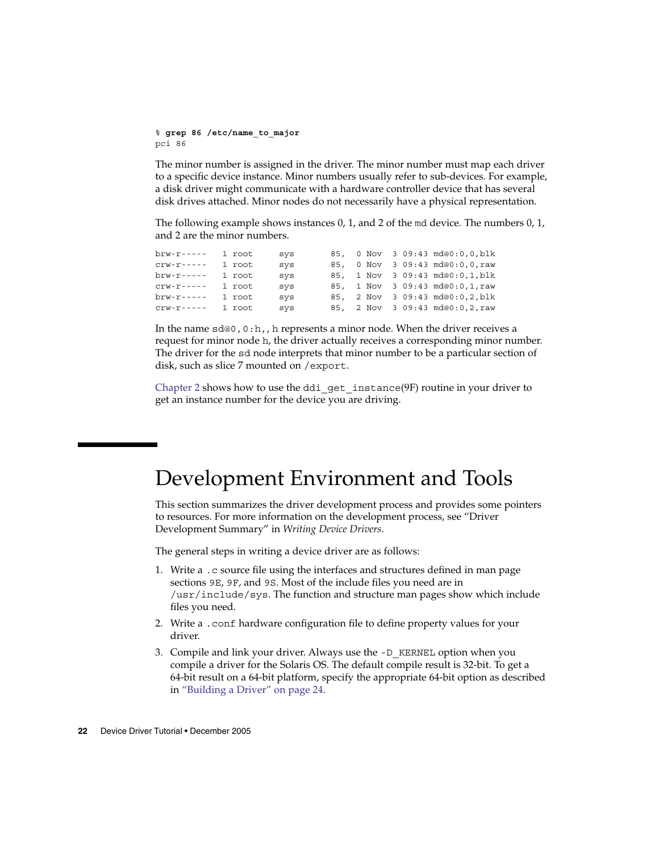<span id="page-21-0"></span>% **grep 86 /etc/name\_to\_major** pci 86

The minor number is assigned in the driver. The minor number must map each driver to a specific device instance. Minor numbers usually refer to sub-devices. For example, a disk driver might communicate with a hardware controller device that has several disk drives attached. Minor nodes do not necessarily have a physical representation.

The following example shows instances 0, 1, and 2 of the md device. The numbers 0, 1, and 2 are the minor numbers.

brw-r----- 1 root sys 85, 0 Nov 3 09:43 md@0:0,0,blk crw-r----- 1 root sys 85, 0 Nov 3 09:43 md@0:0,0,raw brw-r----- 1 root sys 85, 1 Nov 3 09:43 md@0:0,1,blk crw-r----- 1 root sys 85, 1 Nov 3 09:43 md@0:0,1, raw<br>brw-r----- 1 root sys 85, 2 Nov 3 09:43 md@0:0,2,blk brw-r----- 1 root sys 85, 2 Nov 3 09:43 md@0:0,2,blk<br>crw-r----- 1 root sys 85, 2 Nov 3 09:43 md@0:0,2,raw 85, 2 Nov 3 09:43 md@0:0,2,raw

In the name  $sd@0,0:h$ ,, h represents a minor node. When the driver receives a request for minor node h, the driver actually receives a corresponding minor number. The driver for the sd node interprets that minor number to be a particular section of disk, such as slice 7 mounted on /export.

[Chapter 2](#page-30-0) shows how to use the ddi  $q$ et instance(9F) routine in your driver to get an instance number for the device you are driving.

# Development Environment and Tools

This section summarizes the driver development process and provides some pointers to resources. For more information on the development process, see "Driver Development Summary" in *Writing Device Drivers*.

The general steps in writing a device driver are as follows:

- 1. Write a .c source file using the interfaces and structures defined in man page sections 9E, 9F, and 9S. Most of the include files you need are in /usr/include/sys. The function and structure man pages show which include files you need.
- 2. Write a .conf hardware configuration file to define property values for your driver.
- 3. Compile and link your driver. Always use the -D\_KERNEL option when you compile a driver for the Solaris OS. The default compile result is 32-bit. To get a 64-bit result on a 64-bit platform, specify the appropriate 64-bit option as described in ["Building a Driver"](#page-23-0) on page 24.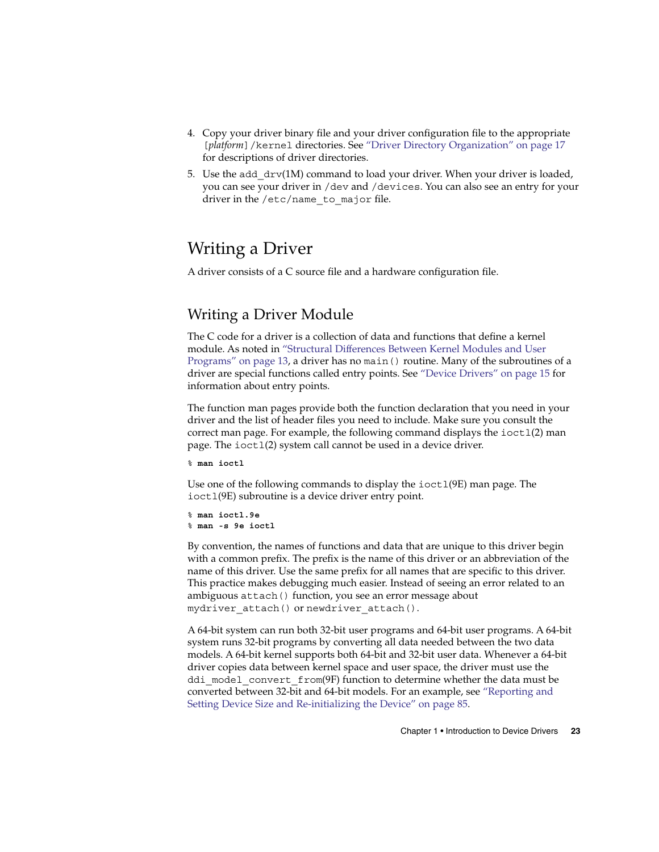- <span id="page-22-0"></span>4. Copy your driver binary file and your driver configuration file to the appropriate [*platform*] /kernel directories. See ["Driver Directory Organization"](#page-16-0) on page 17 for descriptions of driver directories.
- 5. Use the add  $\text{drv}(1M)$  command to load your driver. When your driver is loaded, you can see your driver in /dev and /devices. You can also see an entry for your driver in the /etc/name\_to\_major file.

### Writing a Driver

A driver consists of a C source file and a hardware configuration file.

#### Writing a Driver Module

The C code for a driver is a collection of data and functions that define a kernel module. As noted in ["Structural Differences Between Kernel Modules and User](#page-12-0) Programs" [on page 13,](#page-12-0) a driver has no main() routine. Many of the subroutines of a driver are special functions called entry points. See ["Device Drivers"](#page-14-0) on page 15 for information about entry points.

The function man pages provide both the function declaration that you need in your driver and the list of header files you need to include. Make sure you consult the correct man page. For example, the following command displays the  $i$ oct $1(2)$  man page. The ioctl(2) system call cannot be used in a device driver.

% **man ioctl**

Use one of the following commands to display the ioct1(9E) man page. The ioctl(9E) subroutine is a device driver entry point.

```
% man ioctl.9e
% man -s 9e ioctl
```
By convention, the names of functions and data that are unique to this driver begin with a common prefix. The prefix is the name of this driver or an abbreviation of the name of this driver. Use the same prefix for all names that are specific to this driver. This practice makes debugging much easier. Instead of seeing an error related to an ambiguous attach() function, you see an error message about mydriver\_attach() or newdriver\_attach().

A 64-bit system can run both 32-bit user programs and 64-bit user programs. A 64-bit system runs 32-bit programs by converting all data needed between the two data models. A 64-bit kernel supports both 64-bit and 32-bit user data. Whenever a 64-bit driver copies data between kernel space and user space, the driver must use the ddi model convert from(9F) function to determine whether the data must be converted between 32-bit and 64-bit models. For an example, see ["Reporting and](#page-84-0) [Setting Device Size and Re-initializing the Device"](#page-84-0) on page 85.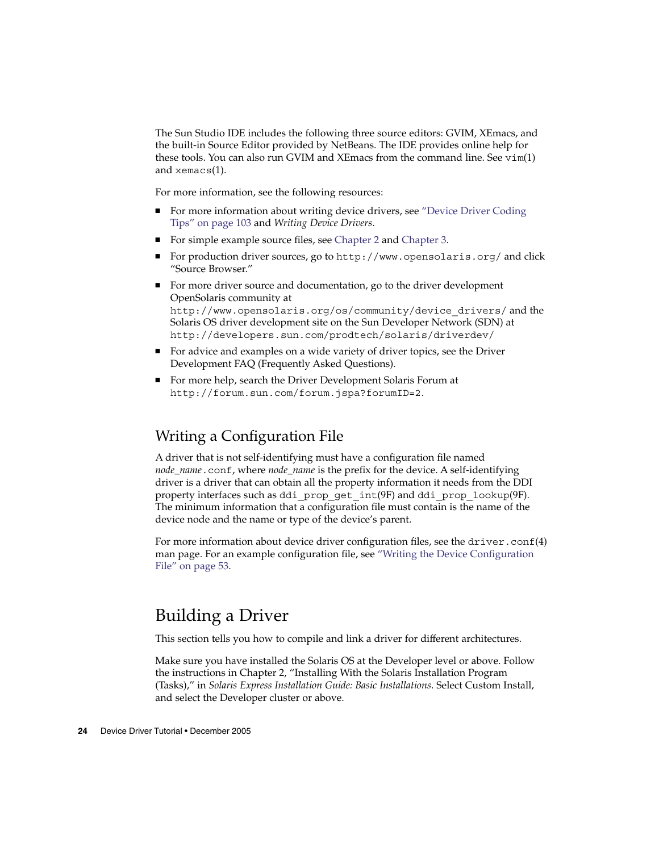<span id="page-23-0"></span>The Sun Studio IDE includes the following three source editors: GVIM, XEmacs, and the built-in Source Editor provided by NetBeans. The IDE provides online help for these tools. You can also run GVIM and XEmacs from the command line. See  $\text{vim}(1)$ and xemacs(1).

For more information, see the following resources:

- For more information about writing device drivers, see ["Device Driver Coding](#page-102-0) Tips" [on page 103](#page-102-0) and *Writing Device Drivers*.
- For simple example source files, see [Chapter 2](#page-30-0) and [Chapter 3.](#page-62-0)
- For production driver sources, go to <http://www.opensolaris.org/> and click "Source Browser."
- For more driver source and documentation, go to the driver development OpenSolaris community at [http://www.opensolaris.org/os/community/device\\_drivers/](http://www.opensolaris.org/os/community/device_drivers/) and the Solaris OS driver development site on the Sun Developer Network (SDN) at <http://developers.sun.com/prodtech/solaris/driverdev/>.
- For advice and examples on a wide variety of driver topics, see the Driver Development [FAQ](http://developers.sun.com/solaris/developer/support/driver/faqs.html) (Frequently Asked Questions).
- For more help, search the Driver Development Solaris Forum at <http://forum.sun.com/forum.jspa?forumID=2>.

#### Writing a Configuration File

A driver that is not self-identifying must have a configuration file named *node\_name*.conf, where *node\_name* is the prefix for the device. A self-identifying driver is a driver that can obtain all the property information it needs from the DDI property interfaces such as ddi\_prop\_get\_int(9F) and ddi\_prop\_lookup(9F). The minimum information that a configuration file must contain is the name of the device node and the name or type of the device's parent.

For more information about device driver configuration files, see the driver.conf(4) man page. For an example configuration file, see ["Writing the Device Configuration](#page-52-0) File" [on page 53.](#page-52-0)

### Building a Driver

This section tells you how to compile and link a driver for different architectures.

Make sure you have installed the Solaris OS at the Developer level or above. Follow the instructions in Chapter 2, "Installing With the Solaris Installation Program (Tasks)," in *Solaris Express Installation Guide: Basic Installations*. Select Custom Install, and select the Developer cluster or above.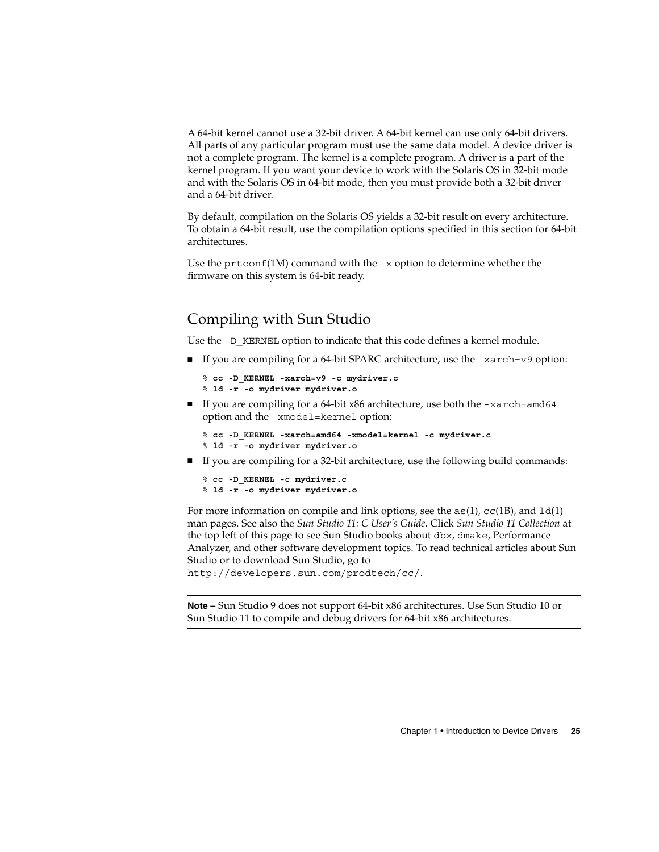A 64-bit kernel cannot use a 32-bit driver. A 64-bit kernel can use only 64-bit drivers. All parts of any particular program must use the same data model. A device driver is not a complete program. The kernel is a complete program. A driver is a part of the kernel program. If you want your device to work with the Solaris OS in 32-bit mode and with the Solaris OS in 64-bit mode, then you must provide both a 32-bit driver and a 64-bit driver.

By default, compilation on the Solaris OS yields a 32-bit result on every architecture. To obtain a 64-bit result, use the compilation options specified in this section for 64-bit architectures.

Use the  $prtconf(1M)$  command with the  $-x$  option to determine whether the firmware on this system is 64-bit ready.

#### Compiling with Sun Studio

Use the -D\_KERNEL option to indicate that this code defines a kernel module.

■ If you are compiling for a 64-bit SPARC architecture, use the -xarch=v9 option:

```
% cc -D_KERNEL -xarch=v9 -c mydriver.c
% ld -r -o mydriver mydriver.o
```
■ If you are compiling for a 64-bit x86 architecture, use both the -xarch=amd64 option and the -xmodel=kernel option:

```
% cc -D_KERNEL -xarch=amd64 -xmodel=kernel -c mydriver.c
% ld -r -o mydriver mydriver.o
```
■ If you are compiling for a 32-bit architecture, use the following build commands:

```
% cc -D_KERNEL -c mydriver.c
% ld -r -o mydriver mydriver.o
```
For more information on compile and link options, see the  $as(1)$ ,  $cc(1B)$ , and  $1d(1)$ man pages. See also the *Sun Studio 11: C User's Guide*. Click *Sun Studio 11 Collection* at the top left of this page to see Sun Studio books about dbx, dmake, Performance Analyzer, and other software development topics. To read technical articles about Sun Studio or to download Sun Studio, go to <http://developers.sun.com/prodtech/cc/>.

**Note –** Sun Studio 9 does not support 64-bit x86 architectures. Use Sun Studio 10 or Sun Studio 11 to compile and debug drivers for 64-bit x86 architectures.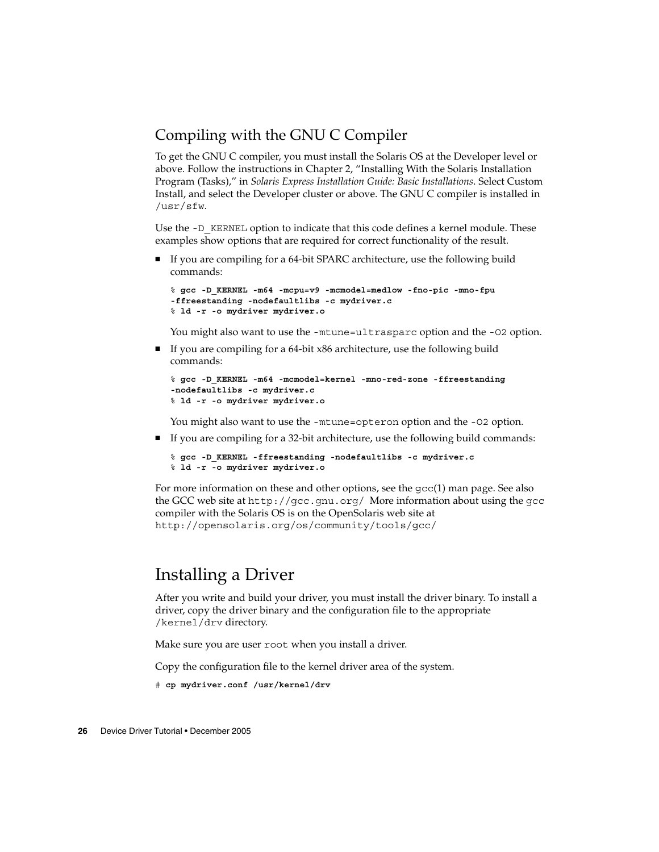#### <span id="page-25-0"></span>Compiling with the GNU C Compiler

To get the GNU C compiler, you must install the Solaris OS at the Developer level or above. Follow the instructions in Chapter 2, "Installing With the Solaris Installation Program (Tasks)," in *Solaris Express Installation Guide: Basic Installations*. Select Custom Install, and select the Developer cluster or above. The GNU C compiler is installed in /usr/sfw.

Use the -D\_KERNEL option to indicate that this code defines a kernel module. These examples show options that are required for correct functionality of the result.

■ If you are compiling for a 64-bit SPARC architecture, use the following build commands:

```
% gcc -D_KERNEL -m64 -mcpu=v9 -mcmodel=medlow -fno-pic -mno-fpu
-ffreestanding -nodefaultlibs -c mydriver.c
% ld -r -o mydriver mydriver.o
```
You might also want to use the -mtune=ultrasparc option and the -02 option.

■ If you are compiling for a 64-bit x86 architecture, use the following build commands:

```
% gcc -D_KERNEL -m64 -mcmodel=kernel -mno-red-zone -ffreestanding
-nodefaultlibs -c mydriver.c
% ld -r -o mydriver mydriver.o
```
You might also want to use the -mtune=opteron option and the -02 option.

■ If you are compiling for a 32-bit architecture, use the following build commands:

```
% gcc -D_KERNEL -ffreestanding -nodefaultlibs -c mydriver.c
% ld -r -o mydriver mydriver.o
```
For more information on these and other options, see the  $qcc(1)$  man page. See also the GCC web site at <http://gcc.gnu.org/>. More information about using the gcc compiler with the Solaris OS is on the OpenSolaris web site at <http://opensolaris.org/os/community/tools/gcc/>.

### Installing a Driver

After you write and build your driver, you must install the driver binary. To install a driver, copy the driver binary and the configuration file to the appropriate /kernel/drv directory.

Make sure you are user root when you install a driver.

Copy the configuration file to the kernel driver area of the system.

# **cp mydriver.conf /usr/kernel/drv**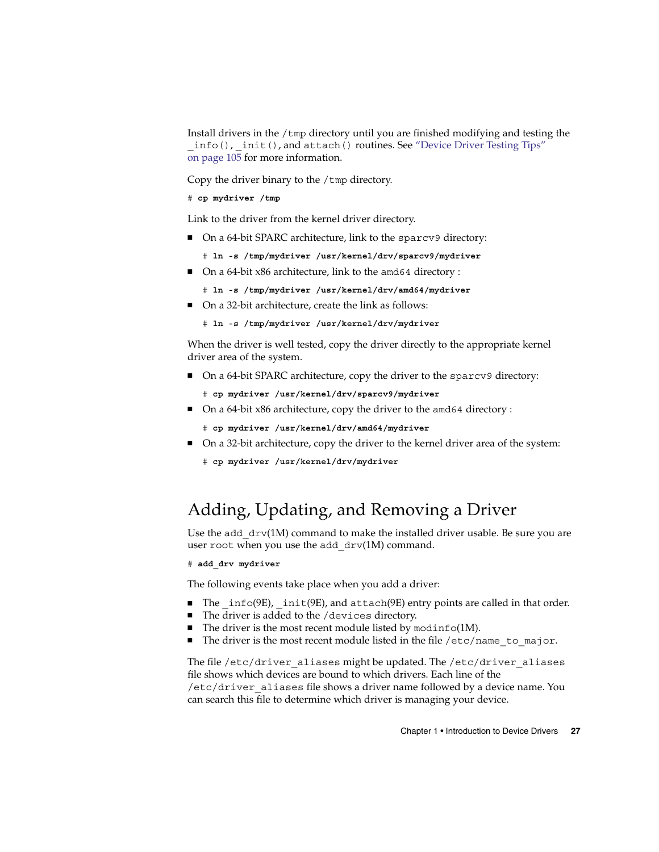<span id="page-26-0"></span>Install drivers in the  $/$ tmp directory until you are finished modifying and testing the info(), init(), and attach() routines. See ["Device Driver Testing Tips"](#page-104-0) [on page 105](#page-104-0) for more information.

Copy the driver binary to the /tmp directory.

```
# cp mydriver /tmp
```
Link to the driver from the kernel driver directory.

- On a 64-bit SPARC architecture, link to the sparcv9 directory:
	- # **ln -s /tmp/mydriver /usr/kernel/drv/sparcv9/mydriver**
- On a 64-bit x86 architecture, link to the amd64 directory :

```
# ln -s /tmp/mydriver /usr/kernel/drv/amd64/mydriver
```
■ On a 32-bit architecture, create the link as follows:

```
# ln -s /tmp/mydriver /usr/kernel/drv/mydriver
```
When the driver is well tested, copy the driver directly to the appropriate kernel driver area of the system.

- On a 64-bit SPARC architecture, copy the driver to the sparcv9 directory:
	- # **cp mydriver /usr/kernel/drv/sparcv9/mydriver**
- On a 64-bit x86 architecture, copy the driver to the amd64 directory :
	- # **cp mydriver /usr/kernel/drv/amd64/mydriver**
- On a 32-bit architecture, copy the driver to the kernel driver area of the system:

```
# cp mydriver /usr/kernel/drv/mydriver
```
### Adding, Updating, and Removing a Driver

Use the add  $drv(1M)$  command to make the installed driver usable. Be sure you are user root when you use the add  $drv(1M)$  command.

```
# add_drv mydriver
```
The following events take place when you add a driver:

- The \_info(9E), \_init(9E), and attach(9E) entry points are called in that order.
- The driver is added to the /devices directory.
- The driver is the most recent module listed by  $modinf \ o(1M)$ .
- The driver is the most recent module listed in the file /etc/name to major.

The file /etc/driver\_aliases might be updated. The /etc/driver\_aliases file shows which devices are bound to which drivers. Each line of the /etc/driver\_aliases file shows a driver name followed by a device name. You can search this file to determine which driver is managing your device.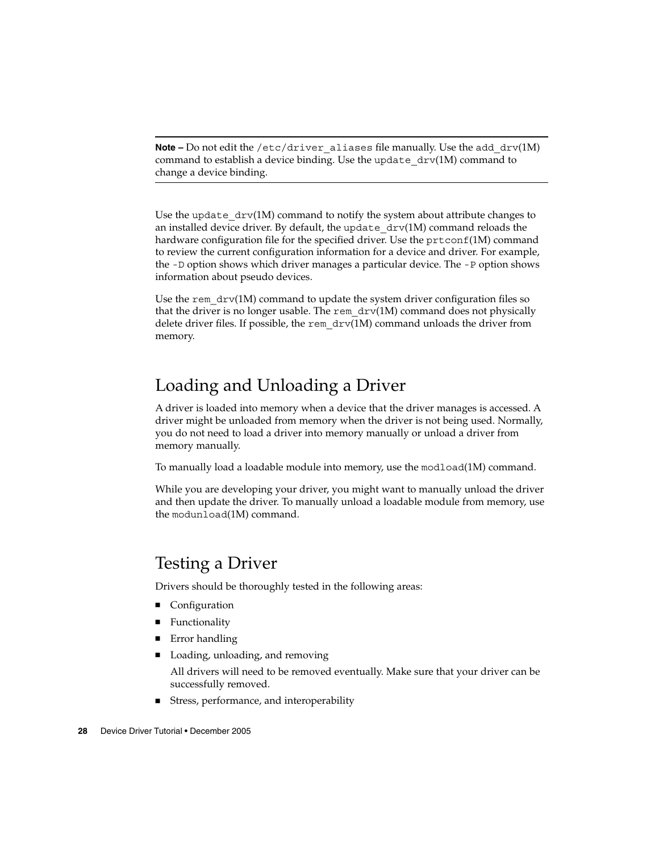<span id="page-27-0"></span>**Note –** Do not edit the /etc/driver\_aliases file manually. Use the add\_drv(1M) command to establish a device binding. Use the update  $drv(1M)$  command to change a device binding.

Use the update  $\text{div}(1\text{M})$  command to notify the system about attribute changes to an installed device driver. By default, the update  $\frac{d}{dx}$  drv(1M) command reloads the hardware configuration file for the specified driver. Use the prtconf(1M) command to review the current configuration information for a device and driver. For example, the -D option shows which driver manages a particular device. The -P option shows information about pseudo devices.

Use the rem  $\text{drv}(1\text{M})$  command to update the system driver configuration files so that the driver is no longer usable. The rem  $\text{drv}(1M)$  command does not physically delete driver files. If possible, the rem  $drv(1M)$  command unloads the driver from memory.

### Loading and Unloading a Driver

A driver is loaded into memory when a device that the driver manages is accessed. A driver might be unloaded from memory when the driver is not being used. Normally, you do not need to load a driver into memory manually or unload a driver from memory manually.

To manually load a loadable module into memory, use the modload(1M) command.

While you are developing your driver, you might want to manually unload the driver and then update the driver. To manually unload a loadable module from memory, use the modunload(1M) command.

### Testing a Driver

Drivers should be thoroughly tested in the following areas:

- Configuration
- Functionality
- Error handling
- Loading, unloading, and removing

All drivers will need to be removed eventually. Make sure that your driver can be successfully removed.

■ Stress, performance, and interoperability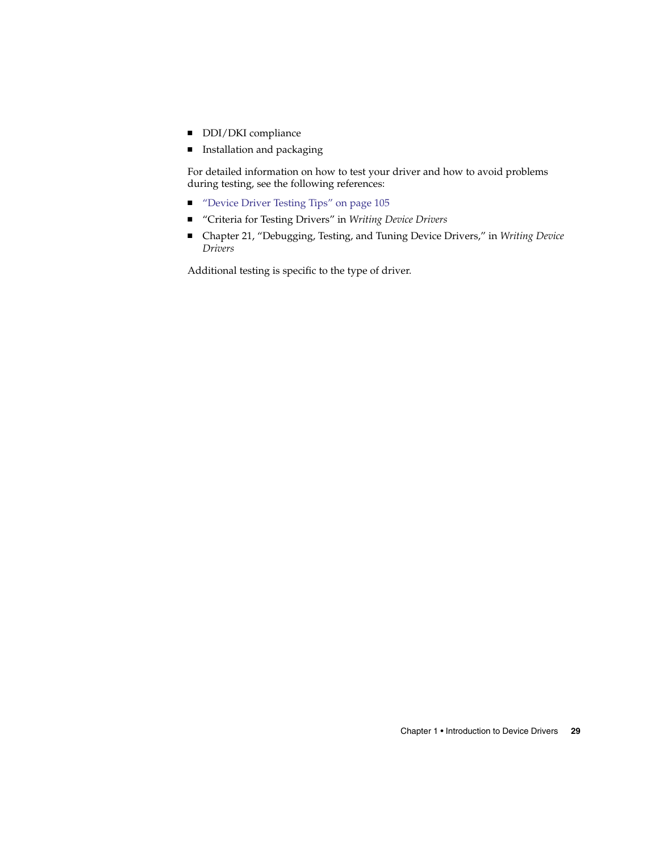- DDI/DKI compliance
- Installation and packaging

For detailed information on how to test your driver and how to avoid problems during testing, see the following references:

- ["Device Driver Testing Tips"](#page-104-0) on page 105
- "Criteria for Testing Drivers" in *Writing Device Drivers*
- Chapter 21, "Debugging, Testing, and Tuning Device Drivers," in *Writing Device Drivers*

Additional testing is specific to the type of driver.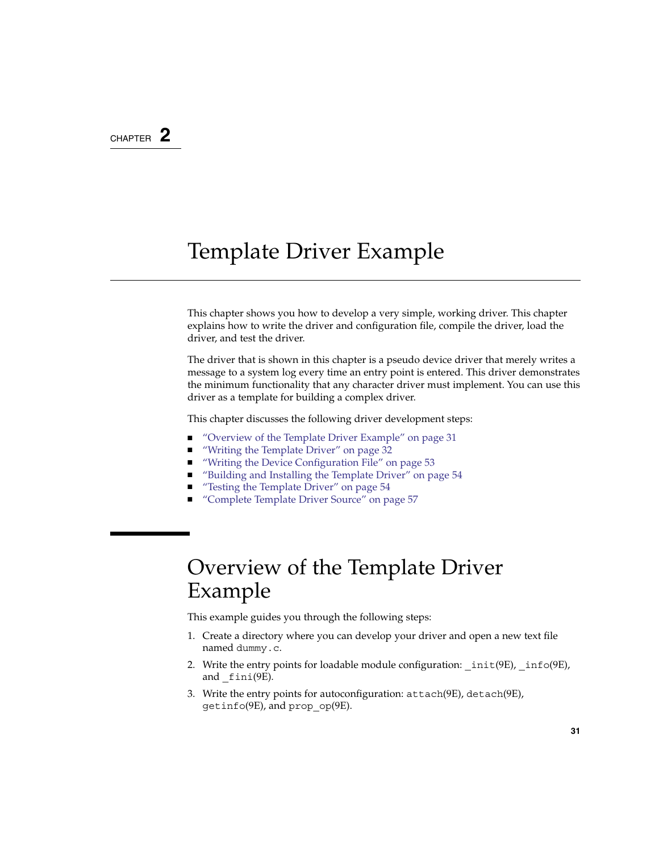#### <span id="page-30-0"></span>CHAPTER **2**

# Template Driver Example

This chapter shows you how to develop a very simple, working driver. This chapter explains how to write the driver and configuration file, compile the driver, load the driver, and test the driver.

The driver that is shown in this chapter is a pseudo device driver that merely writes a message to a system log every time an entry point is entered. This driver demonstrates the minimum functionality that any character driver must implement. You can use this driver as a template for building a complex driver.

This chapter discusses the following driver development steps:

- "Overview of the Template Driver Example" on page 31
- *["Writing the Template Driver"](#page-31-0)* on page 32
- *["Writing the Device Configuration File"](#page-52-0)* on page 53
- ["Building and Installing the Template Driver"](#page-53-0) on page 54
- ["Testing the Template Driver"](#page-53-0) on page 54
- ["Complete Template Driver Source"](#page-56-0) on page 57

# Overview of the Template Driver Example

This example guides you through the following steps:

- 1. Create a directory where you can develop your driver and open a new text file named dummy.c.
- 2. Write the entry points for loadable module configuration:  $\text{init}(9E)$ ,  $\text{info}(9E)$ , and \_fini(9E).
- 3. Write the entry points for autoconfiguration: attach(9E), detach(9E), getinfo(9E), and prop\_op(9E).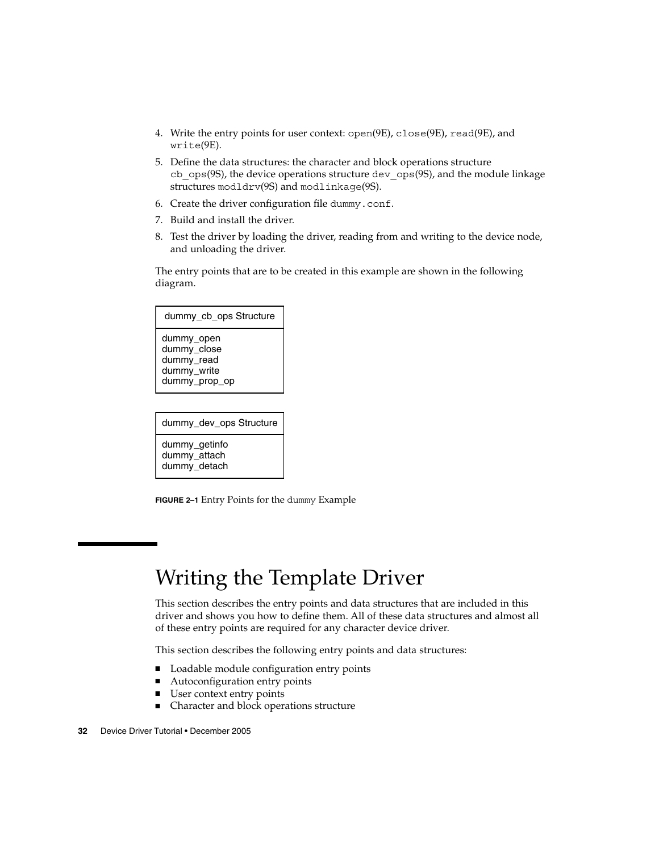- <span id="page-31-0"></span>4. Write the entry points for user context: open(9E), close(9E), read(9E), and write(9E).
- 5. Define the data structures: the character and block operations structure cb  $ops(9S)$ , the device operations structure dev  $ops(9S)$ , and the module linkage structures modldrv(9S) and modlinkage(9S).
- 6. Create the driver configuration file dummy.conf.
- 7. Build and install the driver.
- 8. Test the driver by loading the driver, reading from and writing to the device node, and unloading the driver.

The entry points that are to be created in this example are shown in the following diagram.

| dummy cb ops Structure                                                  |
|-------------------------------------------------------------------------|
| dummy_open<br>dummy_close<br>dummy_read<br>dummy_write<br>dummy_prop_op |
|                                                                         |
| dummy dev ops Structure                                                 |

dummy\_getinfo dummy\_attach dummy\_detach

**FIGURE 2–1** Entry Points for the dummy Example

# Writing the Template Driver

This section describes the entry points and data structures that are included in this driver and shows you how to define them. All of these data structures and almost all of these entry points are required for any character device driver.

This section describes the following entry points and data structures:

- Loadable module configuration entry points
- Autoconfiguration entry points
- User context entry points
- Character and block operations structure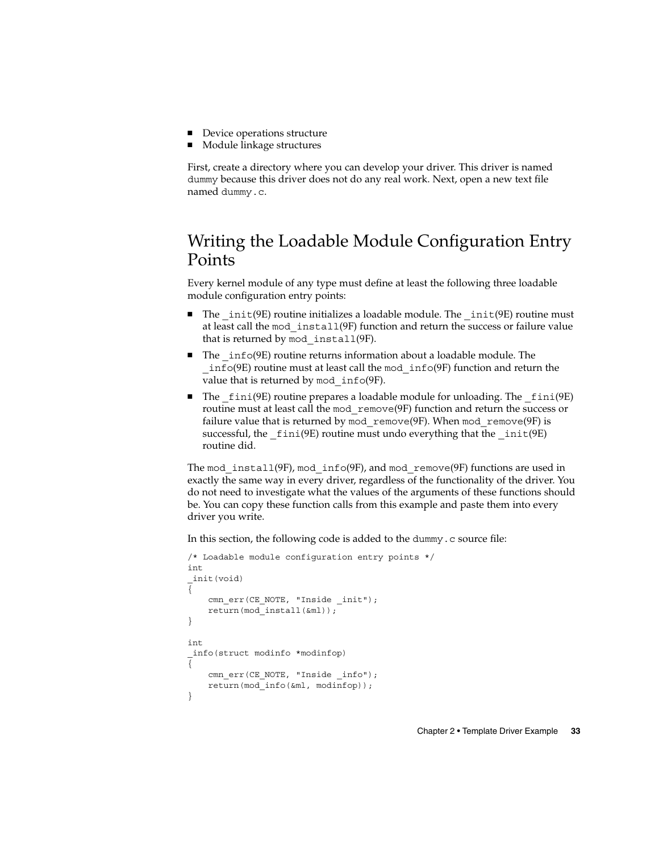- <span id="page-32-0"></span>■ Device operations structure
- Module linkage structures

First, create a directory where you can develop your driver. This driver is named dummy because this driver does not do any real work. Next, open a new text file named dummy.c.

### Writing the Loadable Module Configuration Entry Points

Every kernel module of any type must define at least the following three loadable module configuration entry points:

- The  $init(9E)$  routine initializes a loadable module. The  $init(9E)$  routine must at least call the mod\_install(9F) function and return the success or failure value that is returned by mod\_install(9F).
- The info(9E) routine returns information about a loadable module. The \_info(9E) routine must at least call the mod\_info(9F) function and return the value that is returned by mod info(9F).
- The fini(9E) routine prepares a loadable module for unloading. The fini(9E) routine must at least call the mod\_remove(9F) function and return the success or failure value that is returned by mod\_remove(9F). When mod\_remove(9F) is successful, the  $fini(9E)$  routine must undo everything that the  $init(9E)$ routine did.

The mod install(9F), mod info(9F), and mod remove(9F) functions are used in exactly the same way in every driver, regardless of the functionality of the driver. You do not need to investigate what the values of the arguments of these functions should be. You can copy these function calls from this example and paste them into every driver you write.

In this section, the following code is added to the dummy.c source file:

```
/* Loadable module configuration entry points */
int
_init(void)
{
    cmn_err(CE_NOTE, "Inside _init");
    return(mod_install(&ml));
}
int
_info(struct modinfo *modinfop)
{
    cmn_err(CE_NOTE, "Inside _info");
    return(mod_info(&ml, modinfop));
}
```
Chapter 2 • Template Driver Example **33**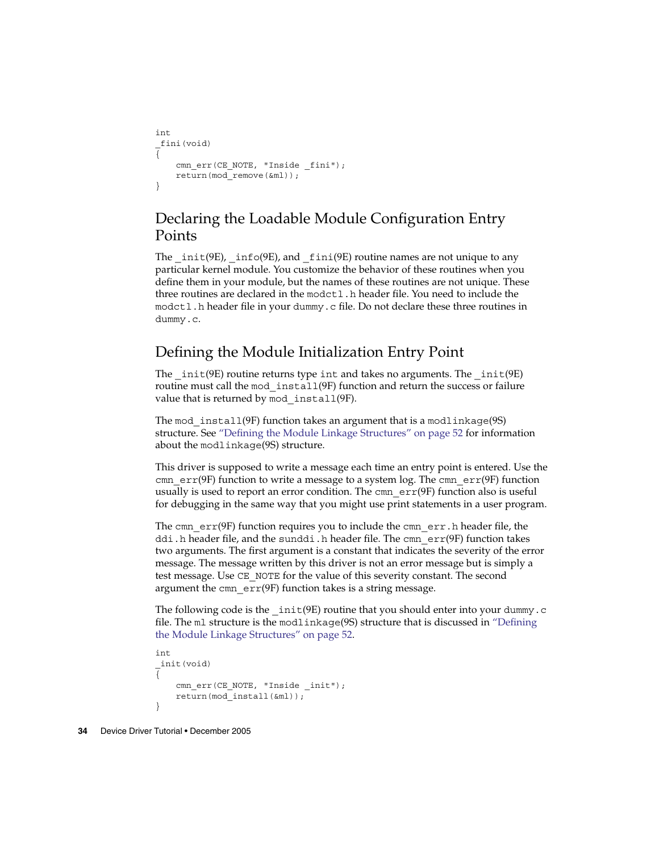```
int
_fini(void)
{
    cmn_err(CE_NOTE, "Inside _fini");
    return(mod_remove(&ml));
}
```
#### Declaring the Loadable Module Configuration Entry Points

The  $int(9E)$ ,  $into(9E)$ , and  $fini(9E)$  routine names are not unique to any particular kernel module. You customize the behavior of these routines when you define them in your module, but the names of these routines are not unique. These three routines are declared in the modctl.h header file. You need to include the modctl.h header file in your dummy.c file. Do not declare these three routines in dummy.c.

#### Defining the Module Initialization Entry Point

The  $\text{init}(9E)$  routine returns type int and takes no arguments. The  $\text{init}(9E)$ routine must call the mod install(9F) function and return the success or failure value that is returned by mod install(9F).

The mod install(9F) function takes an argument that is a modlinkage(9S) structure. See ["Defining the Module Linkage Structures"](#page-51-0) on page 52 for information about the modlinkage(9S) structure.

This driver is supposed to write a message each time an entry point is entered. Use the cmn  $err(9F)$  function to write a message to a system log. The cmn  $err(9F)$  function usually is used to report an error condition. The cmn  $err(9F)$  function also is useful for debugging in the same way that you might use print statements in a user program.

The cmn  $err(9F)$  function requires you to include the cmn  $err.h$  header file, the ddi.h header file, and the sunddi.h header file. The cmn  $err(9F)$  function takes two arguments. The first argument is a constant that indicates the severity of the error message. The message written by this driver is not an error message but is simply a test message. Use CE\_NOTE for the value of this severity constant. The second argument the cmn  $err(9F)$  function takes is a string message.

The following code is the  $init(9E)$  routine that you should enter into your dummy.c file. The ml structure is the modlinkage(9S) structure that is discussed in ["Defining](#page-51-0) [the Module Linkage Structures"](#page-51-0) on page 52.

```
int
 _init(void)
{
    cmn_err(CE_NOTE, "Inside _init");
    return(mod_install(&ml));
}
```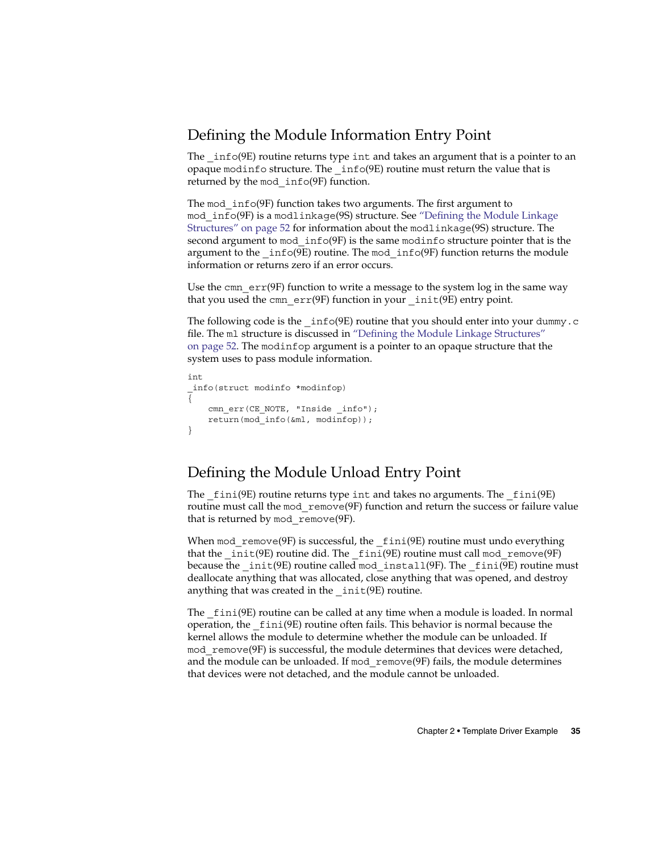#### Defining the Module Information Entry Point

The  $\int$ info(9E) routine returns type int and takes an argument that is a pointer to an opaque modinfo structure. The \_info(9E) routine must return the value that is returned by the mod\_info(9F) function.

The mod info(9F) function takes two arguments. The first argument to mod\_info(9F) is a modlinkage(9S) structure. See ["Defining the Module Linkage](#page-51-0) [Structures"](#page-51-0) on page 52 for information about the modlinkage(9S) structure. The second argument to mod\_info(9F) is the same modinfo structure pointer that is the argument to the  $\inf_0(9E)$  routine. The mod  $\inf_0(9F)$  function returns the module information or returns zero if an error occurs.

Use the cmn  $err(9F)$  function to write a message to the system log in the same way that you used the cmn  $err(9F)$  function in your  $int(9E)$  entry point.

The following code is the  $info(9E)$  routine that you should enter into your dummy.c file. The ml structure is discussed in ["Defining the Module Linkage Structures"](#page-51-0) [on page 52.](#page-51-0) The modinfop argument is a pointer to an opaque structure that the system uses to pass module information.

```
int
_info(struct modinfo *modinfop)
{
    cmn_err(CE_NOTE, "Inside _info");
   return(mod_info(&ml, modinfop));
}
```
#### Defining the Module Unload Entry Point

The  $fini(9E)$  routine returns type int and takes no arguments. The  $fini(9E)$ routine must call the mod  $r$ emove(9F) function and return the success or failure value that is returned by mod\_remove(9F).

When mod  $\text{remove}(9F)$  is successful, the  $\text{finite}(9E)$  routine must undo everything that the  $\text{init}(\theta)$  routine did. The  $\text{finite}(\theta)$  routine must call mod  $\text{remove}(\theta)$ because the  $init(9E)$  routine called mod install(9F). The  $fini(9E)$  routine must deallocate anything that was allocated, close anything that was opened, and destroy anything that was created in the  $int(9E)$  routine.

The  $fini(9E)$  routine can be called at any time when a module is loaded. In normal operation, the  $\pm$ ini(9E) routine often fails. This behavior is normal because the kernel allows the module to determine whether the module can be unloaded. If mod remove(9F) is successful, the module determines that devices were detached, and the module can be unloaded. If mod\_remove(9F) fails, the module determines that devices were not detached, and the module cannot be unloaded.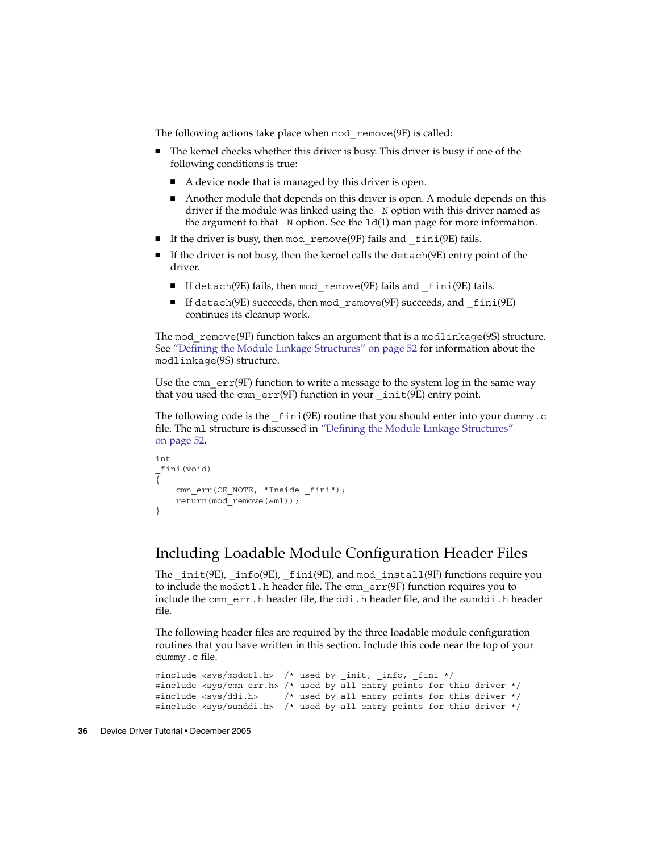The following actions take place when mod remove(9F) is called:

- The kernel checks whether this driver is busy. This driver is busy if one of the following conditions is true:
	- A device node that is managed by this driver is open.
	- Another module that depends on this driver is open. A module depends on this driver if the module was linked using the -N option with this driver named as the argument to that  $-N$  option. See the  $ld(1)$  man page for more information.
- If the driver is busy, then mod remove(9F) fails and  $fini(9E)$  fails.
- $\blacksquare$  If the driver is not busy, then the kernel calls the detach(9E) entry point of the driver.
	- If detach(9E) fails, then mod remove(9F) fails and fini(9E) fails.
	- If detach(9E) succeeds, then mod remove(9F) succeeds, and fini(9E) continues its cleanup work.

The mod  $r$ emove(9F) function takes an argument that is a modlinkage(9S) structure. See ["Defining the Module Linkage Structures"](#page-51-0) on page 52 for information about the modlinkage(9S) structure.

Use the cmn  $err(9F)$  function to write a message to the system log in the same way that you used the cmn  $err(9F)$  function in your  $int(9E)$  entry point.

The following code is the  $\pm$ ini(9E) routine that you should enter into your dummy.c file. The ml structure is discussed in ["Defining the Module Linkage Structures"](#page-51-0) [on page 52.](#page-51-0)

```
int
_fini(void)
{
    cmn_err(CE_NOTE, "Inside _fini");
    return(mod_remove(&ml));
}
```
#### Including Loadable Module Configuration Header Files

The  $init(9E)$ ,  $info(9E)$ ,  $fini(9E)$ , and mod  $install(9F)$  functions require you to include the modctl.h header file. The cmn  $err(9F)$  function requires you to include the cmn err.h header file, the ddi.h header file, and the sunddi.h header file.

The following header files are required by the three loadable module configuration routines that you have written in this section. Include this code near the top of your dummy.c file.

```
#include <sys/modctl.h> /* used by _init, _info, _fini */
#include <sys/cmn err.h> /* used by all entry points for this driver */
#include <sys/ddi.h> /* used by all entry points for this driver */
#include <sys/sunddi.h> /* used by all entry points for this driver */
```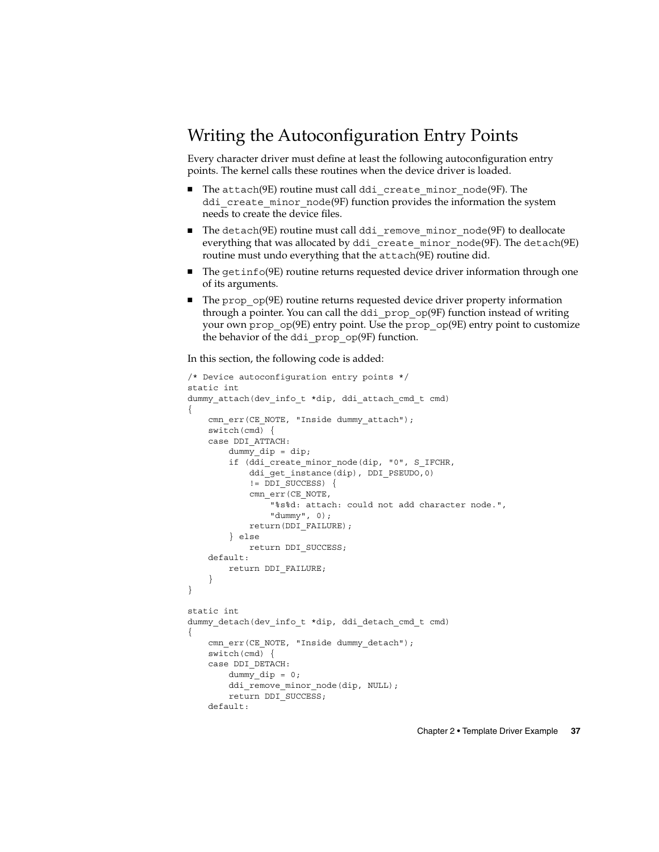# Writing the Autoconfiguration Entry Points

Every character driver must define at least the following autoconfiguration entry points. The kernel calls these routines when the device driver is loaded.

- The attach(9E) routine must call ddi create minor node(9F). The ddi create minor node(9F) function provides the information the system needs to create the device files.
- The detach(9E) routine must call ddi\_remove\_minor\_node(9F) to deallocate everything that was allocated by ddi\_create\_minor\_node(9F). The detach(9E) routine must undo everything that the attach(9E) routine did.
- The getinfo(9E) routine returns requested device driver information through one of its arguments.
- The prop\_op(9E) routine returns requested device driver property information through a pointer. You can call the ddi\_prop\_op(9F) function instead of writing your own prop\_op(9E) entry point. Use the prop\_op(9E) entry point to customize the behavior of the ddi\_prop\_op(9F) function.

In this section, the following code is added:

```
/* Device autoconfiguration entry points */
static int
dummy attach(dev info t *dip, ddi attach cmd t cmd)
{
    cmn_err(CE_NOTE, "Inside dummy_attach");
    switch(cmd) {
    case DDI_ATTACH:
        dummy dip = dip;
        if (ddi_create_minor_node(dip, "0", S_IFCHR,
            ddi_get_instance(dip), DDI_PSEUDO,0)
            != DDI_SUCCESS) {
            cmn_err(CE_NOTE,
                "%s%d: attach: could not add character node.",
                "dummy", 0);
            return(DDI_FAILURE);
        } else
           return DDI_SUCCESS;
    default:
       return DDI_FAILURE;
    }
}
static int
dummy detach(dev info t *dip, ddi detach cmd t cmd)
{
    cmn_err(CE_NOTE, "Inside dummy_detach");
    switch(cmd) {
    case DDI_DETACH:
        dummy\_dip = 0;ddi_remove_minor_node(dip, NULL);
        return DDI_SUCCESS;
    default:
```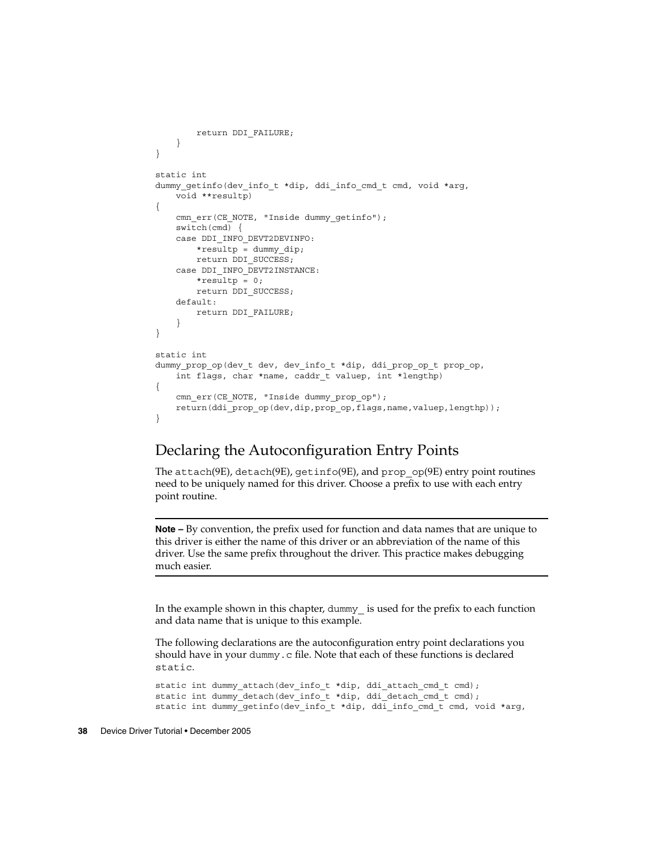```
return DDI_FAILURE;
    }
}
static int
dummy qetinfo(dev info t *dip, ddi info cmd t cmd, void *arg,
   void **resultp)
{
   cmn_err(CE_NOTE, "Inside dummy_getinfo");
    switch(cmd) {
    case DDI_INFO_DEVT2DEVINFO:
       *resultp = dummy_dip;
       return DDI_SUCCESS;
    case DDI_INFO_DEVT2INSTANCE:
       *resultp = 0;
        return DDI_SUCCESS;
    default:
        return DDI_FAILURE;
    }
}
static int
dummy_prop_op(dev_t dev, dev_info_t *dip, ddi_prop_op_t prop_op,
   int flags, char *name, caddr_t valuep, int *lengthp)
{
    cmn_err(CE_NOTE, "Inside dummy_prop_op");
    return(ddi_prop_op(dev,dip,prop_op,flags,name,valuep,lengthp));
}
```
### Declaring the Autoconfiguration Entry Points

The attach(9E), detach(9E), getinfo(9E), and prop\_op(9E) entry point routines need to be uniquely named for this driver. Choose a prefix to use with each entry point routine.

**Note –** By convention, the prefix used for function and data names that are unique to this driver is either the name of this driver or an abbreviation of the name of this driver. Use the same prefix throughout the driver. This practice makes debugging much easier.

In the example shown in this chapter, dummy is used for the prefix to each function and data name that is unique to this example.

The following declarations are the autoconfiguration entry point declarations you should have in your dummy.c file. Note that each of these functions is declared static.

```
static int dummy_attach(dev_info_t *dip, ddi_attach_cmd_t cmd);
static int dummy detach(dev info t *dip, ddi detach cmd t cmd);
static int dummy getinfo(dev info t *dip, ddi info cmd t cmd, void *arg,
```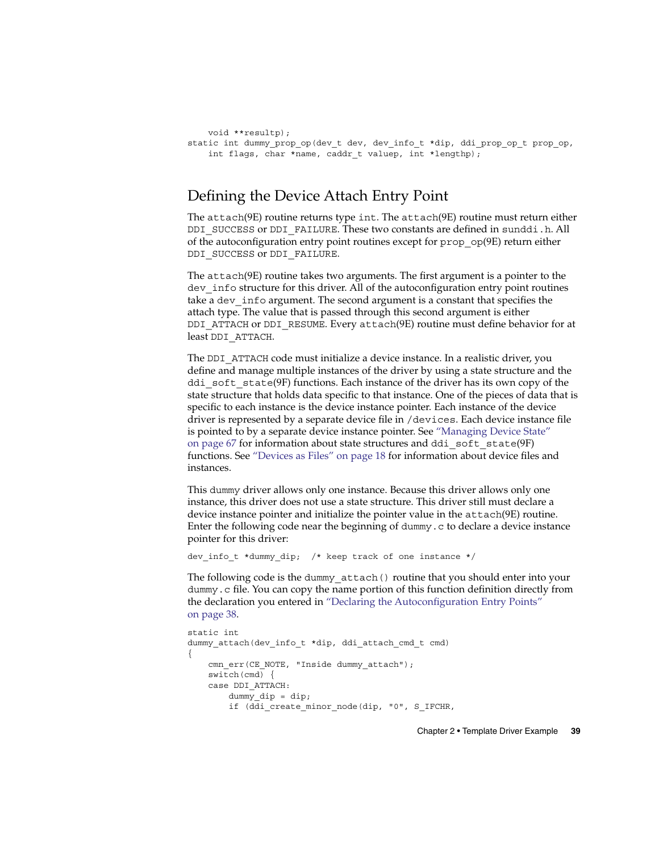```
void **resultp);
static int dummy prop op(dev t dev, dev info t *dip, ddi prop op t prop op,
    int flags, char *name, caddr t valuep, int *lengthp);
```
# Defining the Device Attach Entry Point

The attach(9E) routine returns type int. The attach(9E) routine must return either DDI\_SUCCESS or DDI\_FAILURE. These two constants are defined in sunddi.h. All of the autoconfiguration entry point routines except for prop\_op(9E) return either DDI\_SUCCESS or DDI\_FAILURE.

The attach(9E) routine takes two arguments. The first argument is a pointer to the dev info structure for this driver. All of the autoconfiguration entry point routines take a dev info argument. The second argument is a constant that specifies the attach type. The value that is passed through this second argument is either DDI\_ATTACH or DDI\_RESUME. Every attach(9E) routine must define behavior for at least DDI\_ATTACH.

The DDI\_ATTACH code must initialize a device instance. In a realistic driver, you define and manage multiple instances of the driver by using a state structure and the ddi soft state(9F) functions. Each instance of the driver has its own copy of the state structure that holds data specific to that instance. One of the pieces of data that is specific to each instance is the device instance pointer. Each instance of the device driver is represented by a separate device file in /devices. Each device instance file is pointed to by a separate device instance pointer. See ["Managing Device State"](#page-66-0) [on page 67](#page-66-0) for information about state structures and ddi\_soft\_state(9F) functions. See ["Devices as Files"](#page-17-0) on page 18 for information about device files and instances.

This dummy driver allows only one instance. Because this driver allows only one instance, this driver does not use a state structure. This driver still must declare a device instance pointer and initialize the pointer value in the attach(9E) routine. Enter the following code near the beginning of dummy.  $c$  to declare a device instance pointer for this driver:

dev info t \*dummy dip; /\* keep track of one instance \*/

The following code is the dummy\_attach() routine that you should enter into your dummy.c file. You can copy the name portion of this function definition directly from the declaration you entered in ["Declaring the Autoconfiguration Entry Points"](#page-37-0) [on page 38.](#page-37-0)

```
static int
dummy attach(dev info t *dip, ddi attach cmd t cmd)
{
    cmn_err(CE_NOTE, "Inside dummy_attach");
    switch(cmd) {
    case DDI_ATTACH:
        dummy dip = dip;
        if (ddi create minor node(dip, "0", S IFCHR,
```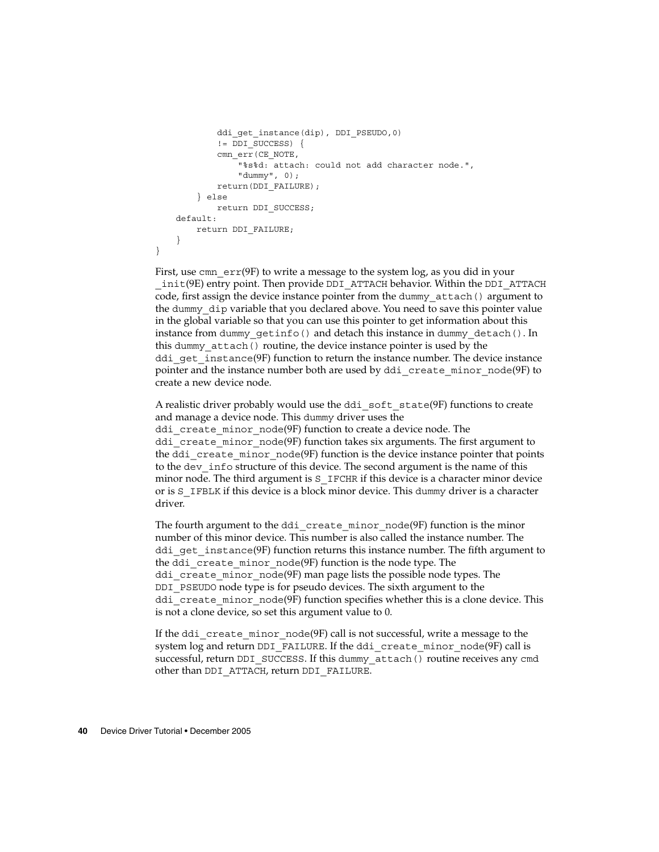```
ddi qet instance(dip), DDI PSEUDO,0)
            != DDI_SUCCESS) {
            cmn_err(CE_NOTE,
                "%s%d: attach: could not add character node.",
                "dummy", 0);
            return(DDI_FAILURE);
        } else
            return DDI_SUCCESS;
    default:
       return DDI_FAILURE;
    }
}
```
First, use cmn  $err(9F)$  to write a message to the system log, as you did in your \_init(9E) entry point. Then provide DDI\_ATTACH behavior. Within the DDI\_ATTACH code, first assign the device instance pointer from the dummy\_attach() argument to the dummy\_dip variable that you declared above. You need to save this pointer value in the global variable so that you can use this pointer to get information about this instance from dummy getinfo() and detach this instance in dummy detach(). In this dummy\_attach() routine, the device instance pointer is used by the ddi get instance(9F) function to return the instance number. The device instance pointer and the instance number both are used by ddi\_create\_minor\_node(9F) to create a new device node.

A realistic driver probably would use the ddi\_soft\_state(9F) functions to create and manage a device node. This dummy driver uses the ddi create minor node(9F) function to create a device node. The ddi create minor node(9F) function takes six arguments. The first argument to the ddi create minor node(9F) function is the device instance pointer that points to the dev\_info structure of this device. The second argument is the name of this minor node. The third argument is S IFCHR if this device is a character minor device or is S\_IFBLK if this device is a block minor device. This dummy driver is a character driver.

The fourth argument to the ddi create minor node(9F) function is the minor number of this minor device. This number is also called the instance number. The ddi get instance(9F) function returns this instance number. The fifth argument to the ddi\_create\_minor\_node(9F) function is the node type. The ddi create minor node(9F) man page lists the possible node types. The DDI\_PSEUDO node type is for pseudo devices. The sixth argument to the ddi create minor node(9F) function specifies whether this is a clone device. This is not a clone device, so set this argument value to 0.

If the ddi create minor node(9F) call is not successful, write a message to the system log and return DDI\_FAILURE. If the ddi\_create\_minor\_node(9F) call is successful, return DDI\_SUCCESS. If this dummy\_attach() routine receives any cmd other than DDI\_ATTACH, return DDI\_FAILURE.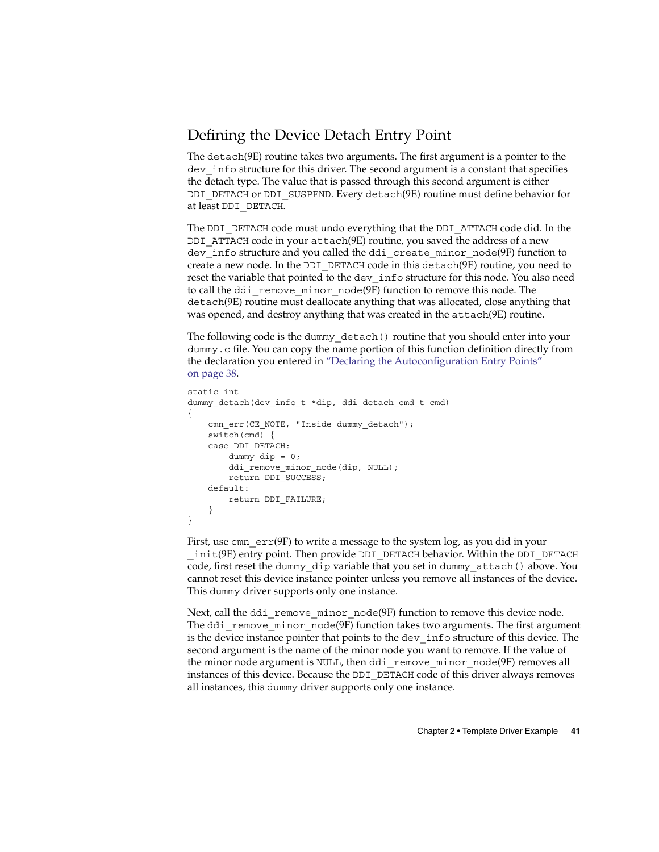# Defining the Device Detach Entry Point

The detach(9E) routine takes two arguments. The first argument is a pointer to the dev info structure for this driver. The second argument is a constant that specifies the detach type. The value that is passed through this second argument is either DDI DETACH or DDI SUSPEND. Every detach(9E) routine must define behavior for at least DDI\_DETACH.

The DDI DETACH code must undo everything that the DDI ATTACH code did. In the DDI ATTACH code in your attach(9E) routine, you saved the address of a new dev info structure and you called the ddi create minor node(9F) function to create a new node. In the DDI\_DETACH code in this detach(9E) routine, you need to reset the variable that pointed to the dev\_info structure for this node. You also need to call the ddi\_remove\_minor\_node(9F) function to remove this node. The detach(9E) routine must deallocate anything that was allocated, close anything that was opened, and destroy anything that was created in the attach(9E) routine.

The following code is the dummy\_detach() routine that you should enter into your dummy.c file. You can copy the name portion of this function definition directly from the declaration you entered in ["Declaring the Autoconfiguration Entry Points"](#page-37-0) [on page 38.](#page-37-0)

```
static int
dummy detach(dev info t *dip, ddi detach cmd t cmd)
{
    cmn_err(CE_NOTE, "Inside dummy_detach");
   switch(cmd) {
    case DDI_DETACH:
        dummy dip = 0;ddi_remove_minor_node(dip, NULL);
        return DDI_SUCCESS;
    default:
        return DDI_FAILURE;
    }
}
```
First, use cmn  $err(9F)$  to write a message to the system log, as you did in your \_init(9E) entry point. Then provide DDI\_DETACH behavior. Within the DDI\_DETACH code, first reset the dummy\_dip variable that you set in dummy\_attach() above. You cannot reset this device instance pointer unless you remove all instances of the device. This dummy driver supports only one instance.

Next, call the ddi remove minor node(9F) function to remove this device node. The ddi\_remove\_minor\_node(9F) function takes two arguments. The first argument is the device instance pointer that points to the dev info structure of this device. The second argument is the name of the minor node you want to remove. If the value of the minor node argument is NULL, then ddi\_remove\_minor\_node(9F) removes all instances of this device. Because the DDI\_DETACH code of this driver always removes all instances, this dummy driver supports only one instance.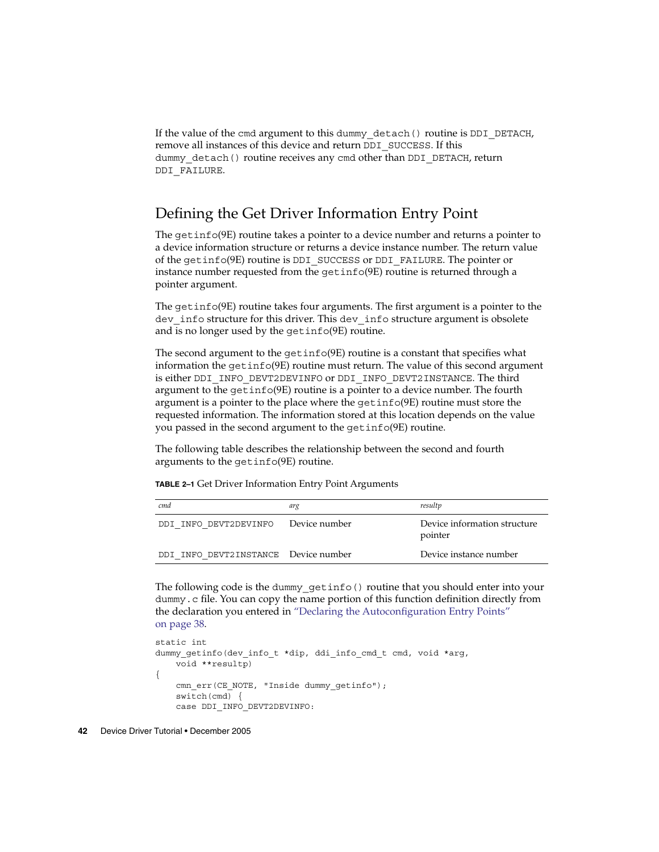If the value of the cmd argument to this dummy\_detach() routine is DDI\_DETACH, remove all instances of this device and return DDI\_SUCCESS. If this dummy detach() routine receives any cmd other than DDI DETACH, return DDI\_FAILURE.

# Defining the Get Driver Information Entry Point

The getinfo(9E) routine takes a pointer to a device number and returns a pointer to a device information structure or returns a device instance number. The return value of the getinfo(9E) routine is DDI\_SUCCESS or DDI\_FAILURE. The pointer or instance number requested from the getinfo(9E) routine is returned through a pointer argument.

The getinfo(9E) routine takes four arguments. The first argument is a pointer to the dev info structure for this driver. This dev info structure argument is obsolete and is no longer used by the getinfo(9E) routine.

The second argument to the getinfo(9E) routine is a constant that specifies what information the getinfo(9E) routine must return. The value of this second argument is either DDI\_INFO\_DEVT2DEVINFO or DDI\_INFO\_DEVT2INSTANCE. The third argument to the getinfo(9E) routine is a pointer to a device number. The fourth argument is a pointer to the place where the getinfo(9E) routine must store the requested information. The information stored at this location depends on the value you passed in the second argument to the getinfo(9E) routine.

The following table describes the relationship between the second and fourth arguments to the getinfo(9E) routine.

| <b>TABLE 2–1</b> Get Driver Information Entry Point Arguments |
|---------------------------------------------------------------|
|                                                               |

| cmd                                  | arg           | resultp                                 |
|--------------------------------------|---------------|-----------------------------------------|
| DDI INFO DEVT2DEVINFO                | Device number | Device information structure<br>pointer |
| DDI INFO DEVT2INSTANCE Device number |               | Device instance number                  |

The following code is the dummy\_getinfo() routine that you should enter into your dummy.c file. You can copy the name portion of this function definition directly from the declaration you entered in ["Declaring the Autoconfiguration Entry Points"](#page-37-0) [on page 38.](#page-37-0)

```
static int
dummy qetinfo(dev info t *dip, ddi info cmd t cmd, void *arg,
   void **resultp)
{
   cmn_err(CE_NOTE, "Inside dummy_getinfo");
   switch(cmd) {
   case DDI_INFO_DEVT2DEVINFO:
```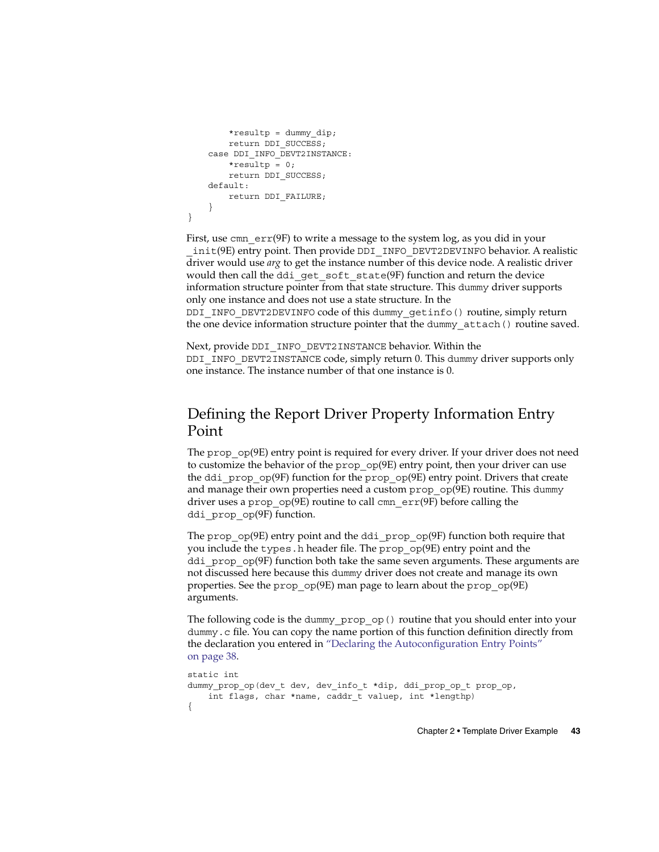```
*resultp = dummy dip;return DDI_SUCCESS;
case DDI_INFO_DEVT2INSTANCE:
    *resultp = 0;return DDI_SUCCESS;
default:
   return DDI_FAILURE;
}
```
}

First, use cmn  $err(9F)$  to write a message to the system log, as you did in your \_init(9E) entry point. Then provide DDI\_INFO\_DEVT2DEVINFO behavior. A realistic driver would use *arg* to get the instance number of this device node. A realistic driver would then call the ddi get soft state(9F) function and return the device information structure pointer from that state structure. This dummy driver supports only one instance and does not use a state structure. In the

DDI\_INFO\_DEVT2DEVINFO code of this dummy\_getinfo() routine, simply return the one device information structure pointer that the dummy\_attach() routine saved.

Next, provide DDI\_INFO\_DEVT2INSTANCE behavior. Within the DDI\_INFO\_DEVT2INSTANCE code, simply return 0. This dummy driver supports only one instance. The instance number of that one instance is 0.

# Defining the Report Driver Property Information Entry Point

The prop\_op(9E) entry point is required for every driver. If your driver does not need to customize the behavior of the prop\_op(9E) entry point, then your driver can use the ddi prop  $op(9F)$  function for the prop  $op(9E)$  entry point. Drivers that create and manage their own properties need a custom prop\_op(9E) routine. This dummy driver uses a prop  $op(9E)$  routine to call cmn  $err(9F)$  before calling the ddi prop op(9F) function.

The prop  $op(9E)$  entry point and the ddi prop  $op(9F)$  function both require that you include the types.h header file. The prop\_op(9E) entry point and the ddi prop op(9F) function both take the same seven arguments. These arguments are not discussed here because this dummy driver does not create and manage its own properties. See the prop\_op(9E) man page to learn about the prop\_op(9E) arguments.

The following code is the dummy\_prop\_op() routine that you should enter into your dummy.c file. You can copy the name portion of this function definition directly from the declaration you entered in ["Declaring the Autoconfiguration Entry Points"](#page-37-0) [on page 38.](#page-37-0)

```
static int
dummy_prop_op(dev_t dev, dev_info_t *dip, ddi_prop_op_t prop_op,
    int flags, char *name, caddr_t valuep, int *lengthp)
{
```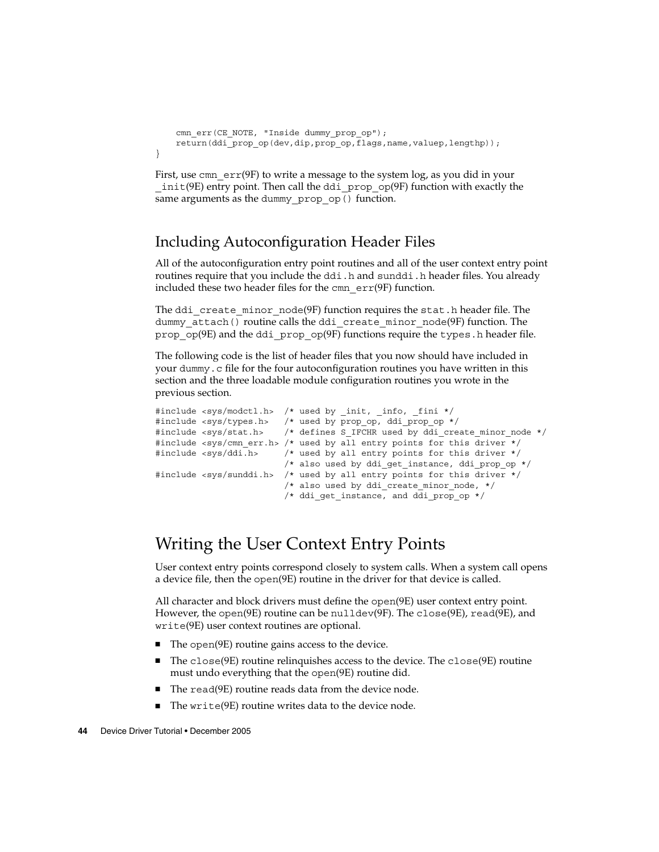```
cmn_err(CE_NOTE, "Inside dummy_prop_op");
   return(ddi_prop_op(dev,dip,prop_op,flags,name,valuep,lengthp));
}
```
First, use cmn  $err(9F)$  to write a message to the system log, as you did in your  $init(9E)$  entry point. Then call the ddi  $prop$  op(9F) function with exactly the same arguments as the dummy prop op() function.

# Including Autoconfiguration Header Files

All of the autoconfiguration entry point routines and all of the user context entry point routines require that you include the ddi.h and sunddi.h header files. You already included these two header files for the cmn  $err(9F)$  function.

The ddi create  $\min$  node(9F) function requires the stat.h header file. The dummy attach() routine calls the ddi create minor node(9F) function. The prop\_op(9E) and the ddi\_prop\_op(9F) functions require the types. h header file.

The following code is the list of header files that you now should have included in your dummy. c file for the four autoconfiguration routines you have written in this section and the three loadable module configuration routines you wrote in the previous section.

```
#include <sys/modctl.h> /* used by _init, _info, _fini */
#include <sys/types.h> /* used by prop_op, ddi_prop_op */
#include <sys/stat.h> /* defines S_IFCHR used by ddi_create_minor_node */
#include <sys/cmn err.h> /* used by all entry points for this driver */
#include <sys/ddi.h> /* used by all entry points for this driver */
                        /* also used by ddi get instance, ddi_prop_op */
#include <sys/sunddi.h> /* used by all entry points for this driver */
                        /* also used by ddi create minor node, */
                        /* ddi get instance, and ddi prop op */
```
# Writing the User Context Entry Points

User context entry points correspond closely to system calls. When a system call opens a device file, then the open(9E) routine in the driver for that device is called.

All character and block drivers must define the open(9E) user context entry point. However, the open(9E) routine can be nulldev(9F). The close(9E), read(9E), and write(9E) user context routines are optional.

- The open(9E) routine gains access to the device.
- The close(9E) routine relinquishes access to the device. The close(9E) routine must undo everything that the open(9E) routine did.
- The read(9E) routine reads data from the device node.
- The  $write(9E)$  routine writes data to the device node.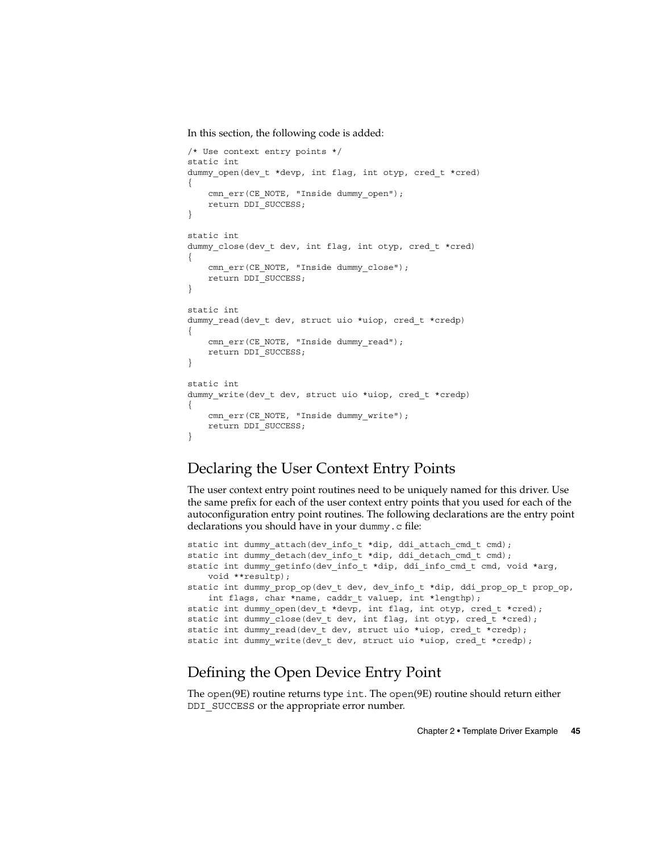<span id="page-44-0"></span>In this section, the following code is added:

```
/* Use context entry points */
static int
dummy_open(dev_t *devp, int flag, int otyp, cred_t *cred)
{
    cmn_err(CE_NOTE, "Inside dummy_open");
    return DDI_SUCCESS;
}
static int
dummy close(dev t dev, int flag, int otyp, cred t *cred)
{
    cmn_err(CE_NOTE, "Inside dummy_close");
    return DDI_SUCCESS;
}
static int
dummy read(dev t dev, struct uio *uiop, cred t *credp)
{
   cmn_err(CE_NOTE, "Inside dummy_read");
    return DDI_SUCCESS;
}
static int
dummy write(dev t dev, struct uio *uiop, cred t *credp)
{
    cmn_err(CE_NOTE, "Inside dummy_write");
    return DDI_SUCCESS;
}
```
# Declaring the User Context Entry Points

The user context entry point routines need to be uniquely named for this driver. Use the same prefix for each of the user context entry points that you used for each of the autoconfiguration entry point routines. The following declarations are the entry point declarations you should have in your dummy.c file:

```
static int dummy_attach(dev_info_t *dip, ddi_attach_cmd_t cmd);
static int dummy_detach(dev_info_t *dip, ddi_detach_cmd_t cmd);
static int dummy_getinfo(dev_info_t *dip, ddi_info_cmd_t cmd, void *arg,
   void **resultp);
static int dummy prop op(dev t dev, dev info t *dip, ddi prop op t prop op,
   int flags, char *name, caddr_t valuep, int *lengthp);
static int dummy_open(dev_t *devp, int flag, int otyp, cred_t *cred);
static int dummy_close(dev_t dev, int flag, int otyp, cred_t *cred);
static int dummy read(dev t dev, struct uio *uiop, cred t *credp);
static int dummy write(dev t dev, struct uio *uiop, cred t *credp);
```
# Defining the Open Device Entry Point

The open(9E) routine returns type int. The open(9E) routine should return either DDI SUCCESS or the appropriate error number.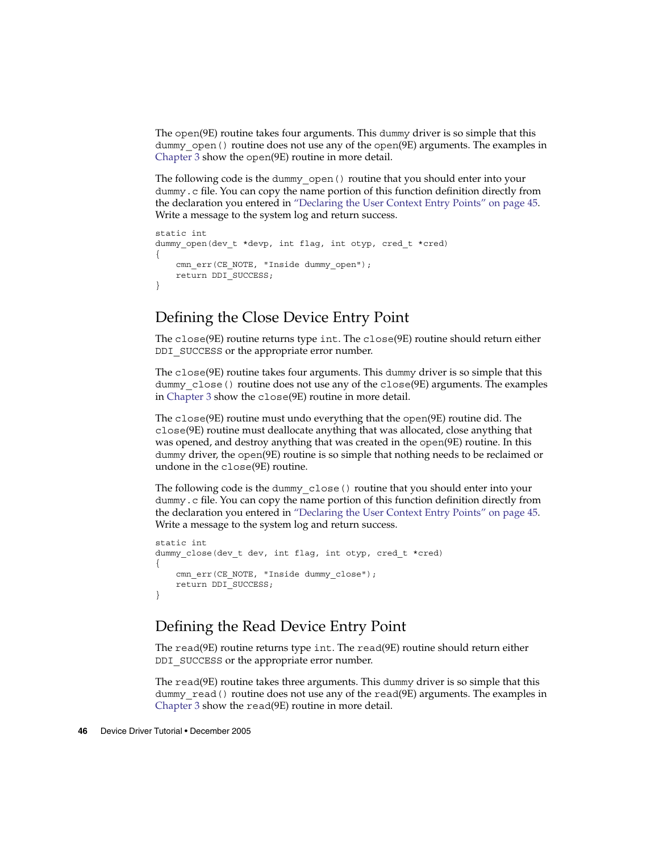The open(9E) routine takes four arguments. This dummy driver is so simple that this dummy open () routine does not use any of the open(9E) arguments. The examples in [Chapter 3](#page-62-0) show the open(9E) routine in more detail.

The following code is the dummy\_open() routine that you should enter into your dummy.c file. You can copy the name portion of this function definition directly from the declaration you entered in ["Declaring the User Context Entry Points"](#page-44-0) on page 45. Write a message to the system log and return success.

```
static int
dummy_open(dev_t *devp, int flag, int otyp, cred_t *cred)
{
    cmn_err(CE_NOTE, "Inside dummy_open");
   return DDI_SUCCESS;
}
```
# Defining the Close Device Entry Point

The close(9E) routine returns type int. The close(9E) routine should return either DDI SUCCESS or the appropriate error number.

The close(9E) routine takes four arguments. This dummy driver is so simple that this dummy\_close() routine does not use any of the close(9E) arguments. The examples in [Chapter 3](#page-62-0) show the close(9E) routine in more detail.

The close(9E) routine must undo everything that the open(9E) routine did. The close(9E) routine must deallocate anything that was allocated, close anything that was opened, and destroy anything that was created in the open(9E) routine. In this dummy driver, the open(9E) routine is so simple that nothing needs to be reclaimed or undone in the close(9E) routine.

The following code is the dummy\_close() routine that you should enter into your dummy.c file. You can copy the name portion of this function definition directly from the declaration you entered in ["Declaring the User Context Entry Points"](#page-44-0) on page 45. Write a message to the system log and return success.

```
static int
dummy close(dev t dev, int flag, int otyp, cred t *cred)
{
    cmn_err(CE_NOTE, "Inside dummy_close");
    return DDI_SUCCESS;
}
```
# Defining the Read Device Entry Point

The read(9E) routine returns type int. The read(9E) routine should return either DDI SUCCESS or the appropriate error number.

The read(9E) routine takes three arguments. This dummy driver is so simple that this dummy  $real()$  routine does not use any of the  $read(9E)$  arguments. The examples in [Chapter 3](#page-62-0) show the read(9E) routine in more detail.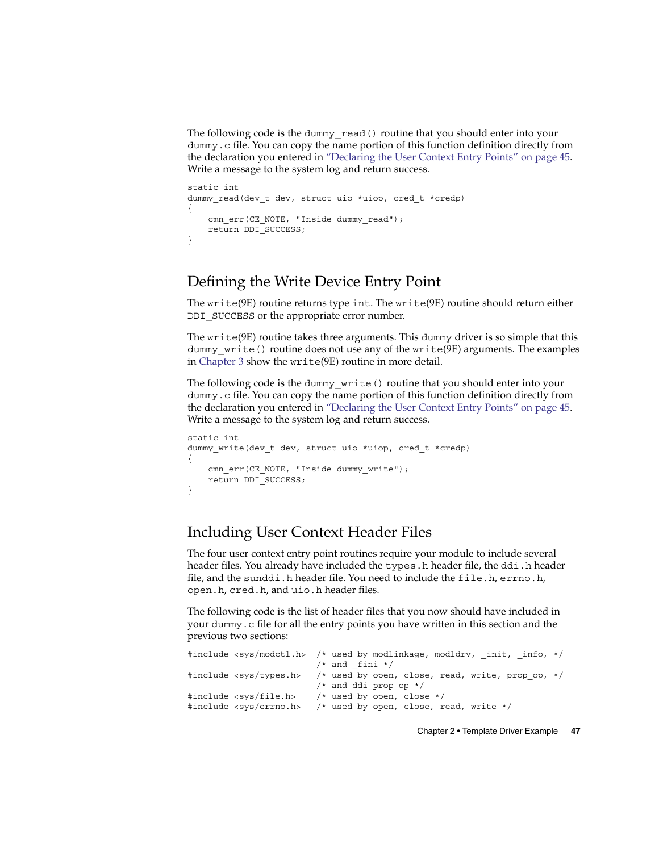The following code is the dummy\_read() routine that you should enter into your dummy.c file. You can copy the name portion of this function definition directly from the declaration you entered in ["Declaring the User Context Entry Points"](#page-44-0) on page 45. Write a message to the system log and return success.

```
static int
dummy_read(dev_t dev, struct uio *uiop, cred_t *credp)
{
    cmn_err(CE_NOTE, "Inside dummy_read");
   return DDI_SUCCESS;
}
```
### Defining the Write Device Entry Point

The write(9E) routine returns type int. The write(9E) routine should return either DDI SUCCESS or the appropriate error number.

The write(9E) routine takes three arguments. This dummy driver is so simple that this dummy write() routine does not use any of the write(9E) arguments. The examples in [Chapter 3](#page-62-0) show the write(9E) routine in more detail.

The following code is the dummy\_write() routine that you should enter into your dummy.c file. You can copy the name portion of this function definition directly from the declaration you entered in ["Declaring the User Context Entry Points"](#page-44-0) on page 45. Write a message to the system log and return success.

```
static int
dummy write(dev t dev, struct uio *uiop, cred t *credp)
{
   cmn_err(CE_NOTE, "Inside dummy_write");
    return DDI_SUCCESS;
}
```
# Including User Context Header Files

The four user context entry point routines require your module to include several header files. You already have included the types. h header file, the ddi.h header file, and the sunddi.h header file. You need to include the file.h, errno.h, open.h, cred.h, and uio.h header files.

The following code is the list of header files that you now should have included in your dummy.c file for all the entry points you have written in this section and the previous two sections:

|                                 | #include <sys modctl.h=""> /* used by modlinkage, modldrv, init, info, */</sys>  |
|---------------------------------|----------------------------------------------------------------------------------|
|                                 | $/*$ and fini $*/$                                                               |
|                                 | #include <sys types.h=""> /* used by open, close, read, write, prop op, */</sys> |
|                                 | $/*$ and ddi prop op $*/$                                                        |
| #include <sys file.h=""></sys>  | $/*$ used by open, close $*/$                                                    |
| #include <sys errno.h=""></sys> | $/*$ used by open, close, read, write */                                         |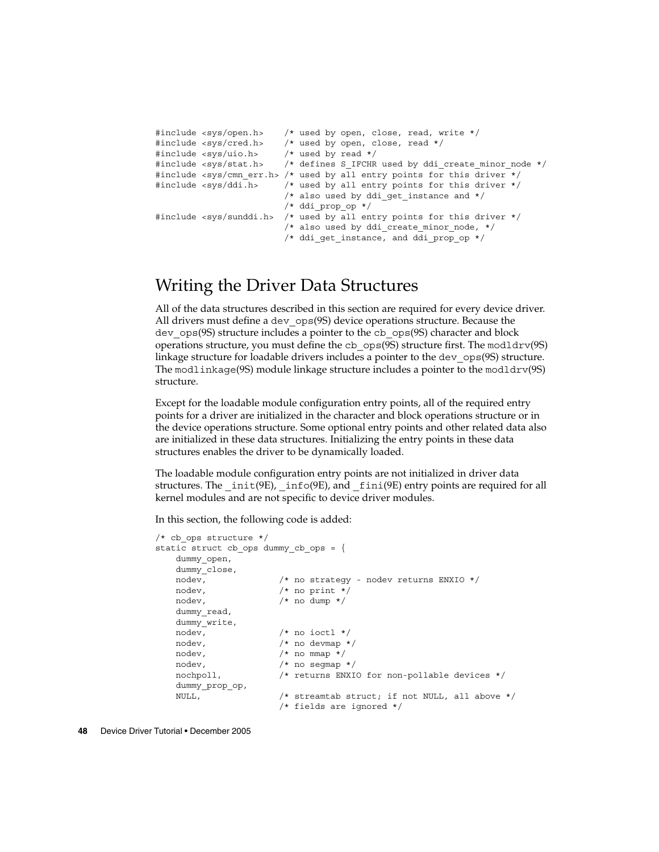```
#include <sys/open.h> /* used by open, close, read, write */
#include <sys/cred.h> /* used by open, close, read */
#include <sys/uio.h> /* used by read */
#include <sys/stat.h> /* defines S_IFCHR used by ddi_create_minor_node */
#include <sys/cmn err.h> /* used by all entry points for this driver */
#include <sys/ddi.h> /* used by all entry points for this driver */
                        /* also used by ddi get instance and *//* ddi_prop_op */
#include <sys/sunddi.h> /* used by all entry points for this driver */
                        /* also used by ddi create minor node, */
                        /* ddi get instance, and ddi prop op */
```
# Writing the Driver Data Structures

All of the data structures described in this section are required for every device driver. All drivers must define a dev ops(9S) device operations structure. Because the dev ops(9S) structure includes a pointer to the cb ops(9S) character and block operations structure, you must define the cb  $ops(9S)$  structure first. The modldrv $(9S)$ linkage structure for loadable drivers includes a pointer to the dev\_ops(9S) structure. The modlinkage(9S) module linkage structure includes a pointer to the modldrv(9S) structure.

Except for the loadable module configuration entry points, all of the required entry points for a driver are initialized in the character and block operations structure or in the device operations structure. Some optional entry points and other related data also are initialized in these data structures. Initializing the entry points in these data structures enables the driver to be dynamically loaded.

The loadable module configuration entry points are not initialized in driver data structures. The  $int(9E)$ ,  $into(9E)$ , and  $f_1$ ini(9E) entry points are required for all kernel modules and are not specific to device driver modules.

In this section, the following code is added:

```
/* cb_ops structure */
static struct cb_ops dummy_cb_ops = {
   dummy_open,
   dummy_close,
                  /* no strategy - nodev returns ENXIO */
   nodev, /* no print */
   nodev, /* no dump */
  dummy_read,
  dummy_write,
  nodev, /* no ioctl */nodev, /* no devmap */
   nodev, /* no mmap */
   nodev, /* no segmap */
   nochpoll, /* returns ENXIO for non-pollable devices */
   dummy_prop_op,
   NULL, /* streamtab struct; if not NULL, all above */
                   /* fields are ignored */
```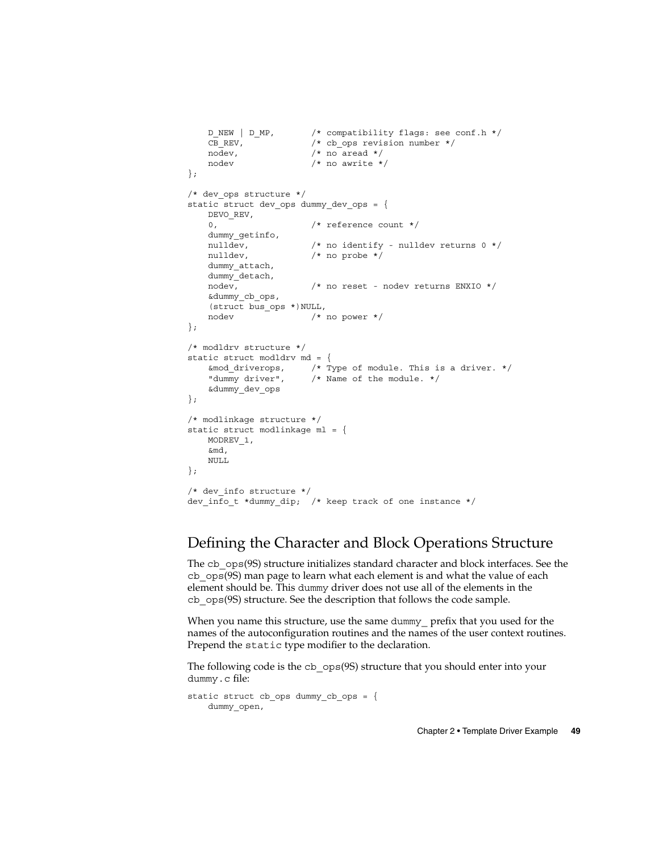```
\begin{tabular}{llllll} D_NEW & D_MP, & /* compatibility flags: see conf.h */\\ CB REV, & /* cb_ops revision number */\\ \end{tabular}/* cb_ops revision number */nodev, /* no aread */
    nodev /* no awrite */
};
/* dev_ops structure */
static struct dev_ops dummy_dev_ops = {
   DEVO_REV,
    0, \overline{\hspace{1cm}} /* reference count */
   dummy_getinfo,<br>nulldev,
    nulldev, /* no identify - nulldev returns 0 */
    nulldev, /* no probe */
   dummy_attach,
   dummy_detach,
   nodev, /* no reset - nodev returns ENXIO */
   &dummy_cb_ops,
    (struct bus_ops *)NULL,
    nodev /* no power */
};
/* modldrv structure */
static struct modldrv md = {
    &mod driverops, \frac{1}{2} /* Type of module. This is a driver. */
    "dummy driver", /* Name of the module. */
    &dummy_dev_ops
};
/* modlinkage structure */
static struct modlinkage ml = {
   MODREV_1,
    &md,
    NULL
};
/* dev_info structure */
dev_info_t *dummy_dip; /* keep track of one instance */
```
# Defining the Character and Block Operations Structure

The cb\_ops(9S) structure initializes standard character and block interfaces. See the cb\_ops(9S) man page to learn what each element is and what the value of each element should be. This dummy driver does not use all of the elements in the cb\_ops(9S) structure. See the description that follows the code sample.

When you name this structure, use the same dummy\_ prefix that you used for the names of the autoconfiguration routines and the names of the user context routines. Prepend the static type modifier to the declaration.

The following code is the cb\_ops(9S) structure that you should enter into your dummy.c file:

```
static struct cb ops dummy cb ops = {
    dummy_open,
```
Chapter 2 • Template Driver Example **49**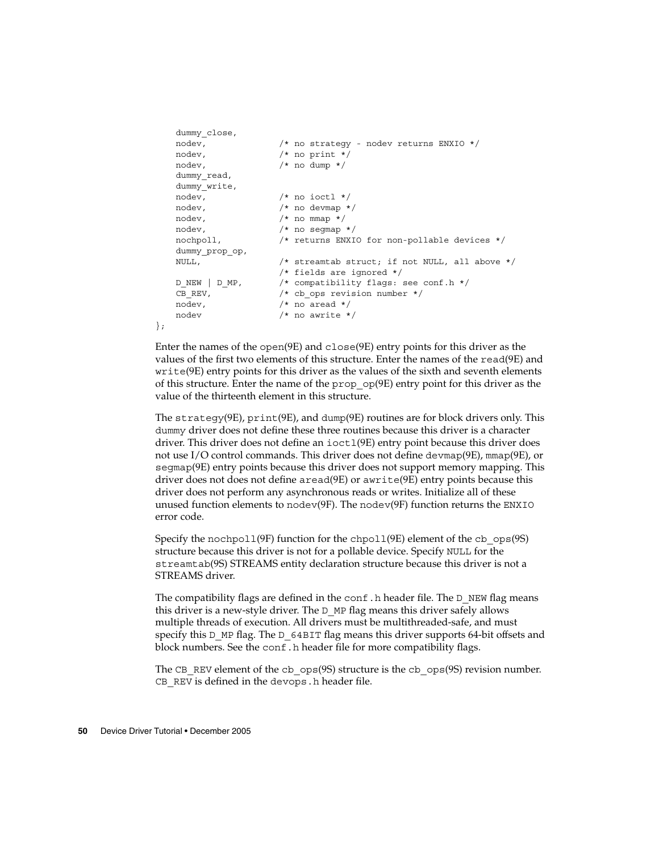```
dummy_close,
   nodev, /* no strategy - nodev returns ENXIO */
   nodev, \frac{1}{x} \frac{1}{x} \frac{1}{x} no print \frac{x}{x}nodev, /* no dump */
    dummy_read,
   dummy_write,
   nodev, /* no iocht */nodev, \frac{1}{2} /* no devmap */
   nodev, \frac{1}{\sqrt{2}} no mmap \frac{1}{\sqrt{2}}nodev, /* no segmap */
    nochpoll, /* returns ENXIO for non-pollable devices */
    dummy_prop_op,
    NULL, \overline{y} \overline{z} \overline{z} \overline{z} \overline{z} \overline{z} streamtab struct; if not NULL, all above */
                          /* fields are ignored */
    D_NEW | D_MP, \hspace{1cm} /* compatibility flags: see conf.h */
   D_NEW | D_MP, /* compatibility flags: see<br>CB_REV, /* cb_ops revision number */
   nodev, /* no aread */
    nodev /* no awrite */};
```
Enter the names of the open(9E) and close(9E) entry points for this driver as the values of the first two elements of this structure. Enter the names of the read(9E) and write(9E) entry points for this driver as the values of the sixth and seventh elements of this structure. Enter the name of the prop\_op(9E) entry point for this driver as the value of the thirteenth element in this structure.

The strategy(9E), print(9E), and dump(9E) routines are for block drivers only. This dummy driver does not define these three routines because this driver is a character driver. This driver does not define an ioctl(9E) entry point because this driver does not use I/O control commands. This driver does not define devmap(9E), mmap(9E), or segmap(9E) entry points because this driver does not support memory mapping. This driver does not does not define aread(9E) or awrite(9E) entry points because this driver does not perform any asynchronous reads or writes. Initialize all of these unused function elements to nodev(9F). The nodev(9F) function returns the ENXIO error code.

Specify the nochpoll(9F) function for the chpoll(9E) element of the cb  $\text{ops}(9S)$ structure because this driver is not for a pollable device. Specify NULL for the streamtab(9S) STREAMS entity declaration structure because this driver is not a STREAMS driver.

The compatibility flags are defined in the conf. h header file. The  $D$  NEW flag means this driver is a new-style driver. The D\_MP flag means this driver safely allows multiple threads of execution. All drivers must be multithreaded-safe, and must specify this D\_MP flag. The D\_64BIT flag means this driver supports 64-bit offsets and block numbers. See the conf.h header file for more compatibility flags.

The CB REV element of the cb  $\cos(9S)$  structure is the cb  $\cos(9S)$  revision number. CB REV is defined in the devops. h header file.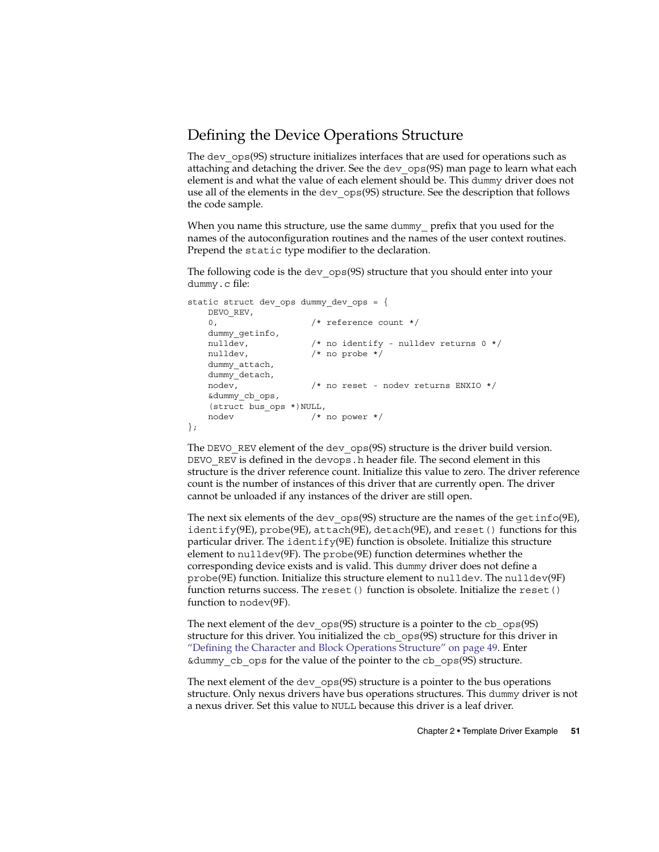# <span id="page-50-0"></span>Defining the Device Operations Structure

The dev  $ops(9S)$  structure initializes interfaces that are used for operations such as attaching and detaching the driver. See the dev\_ops(9S) man page to learn what each element is and what the value of each element should be. This dummy driver does not use all of the elements in the dev  $ops(9S)$  structure. See the description that follows the code sample.

When you name this structure, use the same dummy prefix that you used for the names of the autoconfiguration routines and the names of the user context routines. Prepend the static type modifier to the declaration.

The following code is the dev ops(9S) structure that you should enter into your dummy.c file:

```
static struct dev ops dummy dev ops = {
   DEVO_REV,
   0, /* reference count */dummy_getinfo,
   nulldev, /* no identify - nulldev returns 0 */
   nulldev, /* no probe */dummy_attach,
   dummy_detach,
   nodev, /* no reset - nodev returns ENXIO */
   &dummy_cb_ops,
   (\text{struct bus} \text{ops} *) NULL,
   nodev /* no power */
};
```
The DEVO\_REV element of the dev\_ops(9S) structure is the driver build version. DEVO\_REV is defined in the devops.h header file. The second element in this structure is the driver reference count. Initialize this value to zero. The driver reference count is the number of instances of this driver that are currently open. The driver cannot be unloaded if any instances of the driver are still open.

The next six elements of the dev ops(9S) structure are the names of the getinfo(9E), identify(9E), probe(9E), attach(9E), detach(9E), and reset() functions for this particular driver. The identify(9E) function is obsolete. Initialize this structure element to nulldev(9F). The probe(9E) function determines whether the corresponding device exists and is valid. This dummy driver does not define a probe(9E) function. Initialize this structure element to nulldev. The nulldev(9F) function returns success. The reset () function is obsolete. Initialize the reset () function to nodev(9F).

The next element of the dev  $ops(9S)$  structure is a pointer to the cb  $ops(9S)$ structure for this driver. You initialized the cb ops(9S) structure for this driver in ["Defining the Character and Block Operations Structure"](#page-48-0) on page 49. Enter &dummy\_cb\_ops for the value of the pointer to the cb\_ops(9S) structure.

The next element of the dev  $ops(9S)$  structure is a pointer to the bus operations structure. Only nexus drivers have bus operations structures. This dummy driver is not a nexus driver. Set this value to NULL because this driver is a leaf driver.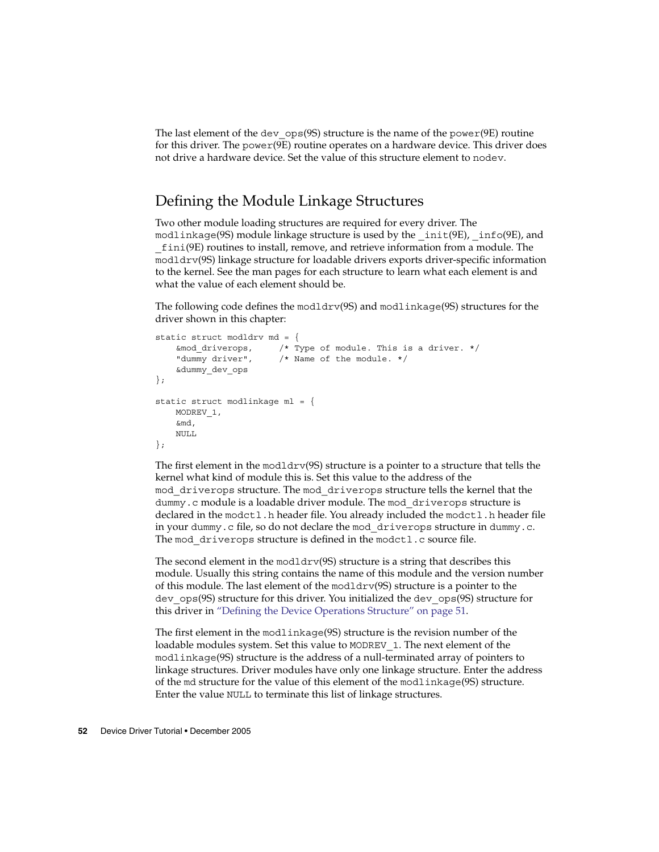The last element of the dev  $ops(9S)$  structure is the name of the power $(9E)$  routine for this driver. The power(9E) routine operates on a hardware device. This driver does not drive a hardware device. Set the value of this structure element to nodev.

### Defining the Module Linkage Structures

Two other module loading structures are required for every driver. The modlinkage(9S) module linkage structure is used by the init(9E), info(9E), and \_fini(9E) routines to install, remove, and retrieve information from a module. The modldrv(9S) linkage structure for loadable drivers exports driver-specific information to the kernel. See the man pages for each structure to learn what each element is and what the value of each element should be.

The following code defines the modldrv(9S) and modlinkage(9S) structures for the driver shown in this chapter:

```
static struct modldrv md = {
   &mod_driverops, /* Type of module. This is a driver. */
   "dummy driver", /* Name of the module. */
   &dummy_dev_ops
};
static struct modlinkage ml = {
   MODREV_1,
   &md,
   NULL
};
```
The first element in the  $modldrv(9S)$  structure is a pointer to a structure that tells the kernel what kind of module this is. Set this value to the address of the mod\_driverops structure. The mod\_driverops structure tells the kernel that the dummy.c module is a loadable driver module. The mod\_driverops structure is declared in the modctl.h header file. You already included the modctl.h header file in your dummy.c file, so do not declare the mod\_driverops structure in dummy.c. The mod driverops structure is defined in the modctl.c source file.

The second element in the  $modldr(9S)$  structure is a string that describes this module. Usually this string contains the name of this module and the version number of this module. The last element of the modldrv(9S) structure is a pointer to the dev\_ops(9S) structure for this driver. You initialized the dev\_ops(9S) structure for this driver in ["Defining the Device Operations Structure"](#page-50-0) on page 51.

The first element in the modlinkage(9S) structure is the revision number of the loadable modules system. Set this value to MODREV\_1. The next element of the modlinkage(9S) structure is the address of a null-terminated array of pointers to linkage structures. Driver modules have only one linkage structure. Enter the address of the md structure for the value of this element of the modlinkage(9S) structure. Enter the value NULL to terminate this list of linkage structures.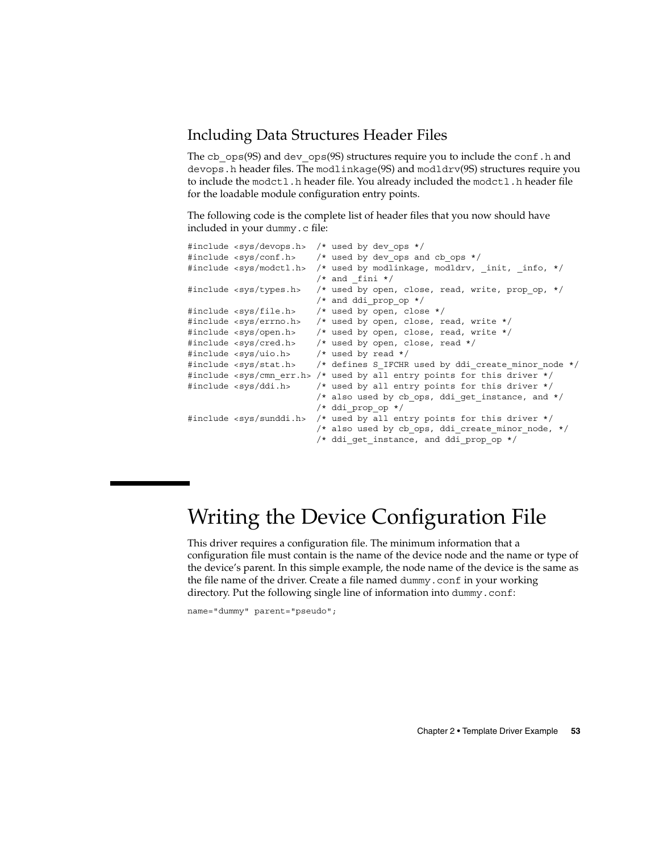### Including Data Structures Header Files

The cb  $ops(9S)$  and dev  $ops(9S)$  structures require you to include the conf.h and devops.h header files. The modlinkage(9S) and modldrv(9S) structures require you to include the modctl.h header file. You already included the modctl.h header file for the loadable module configuration entry points.

The following code is the complete list of header files that you now should have included in your dummy.c file:

```
#include <sys/devops.h> /* used by dev ops */
#include <sys/conf.h> /* used by dev ops and cb ops */
#include <sys/modctl.h> /* used by modlinkage, modldrv, init, info, */
                        /* and _fini */
#include <sys/types.h> /* used by open, close, read, write, prop_op, */
                        /* and ddi prop op */#include <sys/file.h> /* used by open, close */
#include <sys/errno.h> /* used by open, close, read, write */
#include <sys/open.h> /* used by open, close, read, write */
#include <sys/cred.h> /* used by open, close, read */
#include <sys/uio.h> /* used by read */
#include <sys/stat.h> /* defines S_IFCHR used by ddi_create_minor_node */
#include <sys/cmn err.h> /* used by all entry points for this driver */
#include <sys/ddi.h> /* used by all entry points for this driver */
                        /* also used by cb_ops, ddi_get_instance, and */
                        /* ddi prop_op */
#include <sys/sunddi.h> /* used by all entry points for this driver */
                        /* also used by cb ops, ddi create minor node, */
                        /* ddi get instance, and ddi prop op */
```
# Writing the Device Configuration File

This driver requires a configuration file. The minimum information that a configuration file must contain is the name of the device node and the name or type of the device's parent. In this simple example, the node name of the device is the same as the file name of the driver. Create a file named dummy.conf in your working directory. Put the following single line of information into dummy.conf:

name="dummy" parent="pseudo";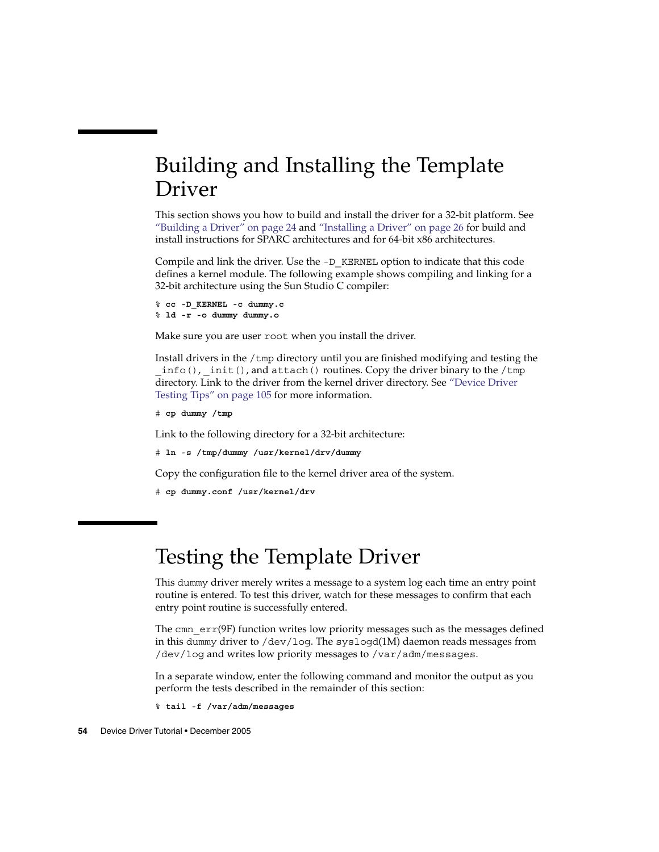# Building and Installing the Template Driver

This section shows you how to build and install the driver for a 32-bit platform. See ["Building a Driver"](#page-23-0) on page 24 and ["Installing a Driver"](#page-25-0) on page 26 for build and install instructions for SPARC architectures and for 64-bit x86 architectures.

Compile and link the driver. Use the -D\_KERNEL option to indicate that this code defines a kernel module. The following example shows compiling and linking for a 32-bit architecture using the Sun Studio C compiler:

% **cc -D\_KERNEL -c dummy.c** % **ld -r -o dummy dummy.o**

Make sure you are user root when you install the driver.

Install drivers in the /tmp directory until you are finished modifying and testing the info(), init(), and attach() routines. Copy the driver binary to the /tmp directory. Link to the driver from the kernel driver directory. See ["Device Driver](#page-104-0) [Testing Tips"](#page-104-0) on page 105 for more information.

```
# cp dummy /tmp
```
Link to the following directory for a 32-bit architecture:

```
# ln -s /tmp/dummy /usr/kernel/drv/dummy
```
Copy the configuration file to the kernel driver area of the system.

# **cp dummy.conf /usr/kernel/drv**

# Testing the Template Driver

This dummy driver merely writes a message to a system log each time an entry point routine is entered. To test this driver, watch for these messages to confirm that each entry point routine is successfully entered.

The cmn  $err(9F)$  function writes low priority messages such as the messages defined in this dummy driver to /dev/log. The syslogd(1M) daemon reads messages from /dev/log and writes low priority messages to /var/adm/messages.

In a separate window, enter the following command and monitor the output as you perform the tests described in the remainder of this section:

% **tail -f /var/adm/messages**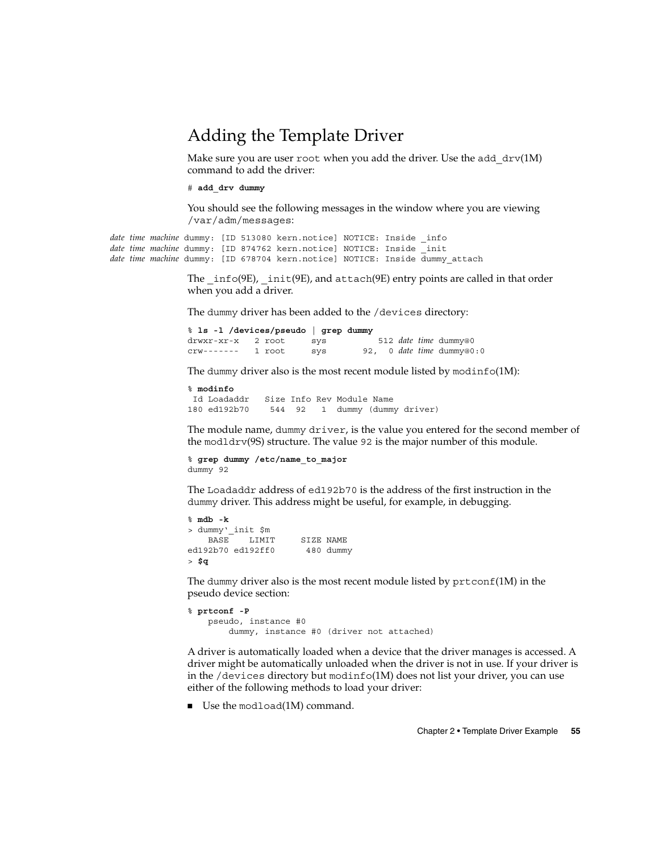# <span id="page-54-0"></span>Adding the Template Driver

Make sure you are user root when you add the driver. Use the add  $drv(1M)$ command to add the driver:

```
# add_drv dummy
```
You should see the following messages in the window where you are viewing /var/adm/messages:

*date time machine* dummy: [ID 513080 kern.notice] NOTICE: Inside \_info *date time machine* dummy: [ID 874762 kern.notice] NOTICE: Inside init *date time machine* dummy: [ID 678704 kern.notice] NOTICE: Inside dummy\_attach

> The  $info(9E)$ ,  $init(9E)$ , and  $attach(9E)$  entry points are called in that order when you add a driver.

The dummy driver has been added to the /devices directory:

| % 1s -1 /devices/pseudo   grep dummy |        |     |  |  |                              |
|--------------------------------------|--------|-----|--|--|------------------------------|
| drwxr-xr-x 2 root                    |        | SVS |  |  | 512 <i>date time</i> dummy@0 |
| $C\Gamma W$ – – – – – – –            | 1 root | SVS |  |  | 92, 0 date time dummy@0:0    |

The dummy driver also is the most recent module listed by modinfo(1M):

% **modinfo** Id Loadaddr Size Info Rev Module Name 180 ed192b70 544 92 1 dummy (dummy driver)

The module name, dummy driver, is the value you entered for the second member of the modldrv(9S) structure. The value 92 is the major number of this module.

% **grep dummy /etc/name\_to\_major** dummy 92

The Loadaddr address of ed192b70 is the address of the first instruction in the dummy driver. This address might be useful, for example, in debugging.

```
% mdb -k
> dummy'_init $m
   BASE LIMIT SIZE NAME
ed192b70 ed192ff0 480 dummy
> $q
```
The dummy driver also is the most recent module listed by  $prtconf(1M)$  in the pseudo device section:

```
% prtconf -P
   pseudo, instance #0
        dummy, instance #0 (driver not attached)
```
A driver is automatically loaded when a device that the driver manages is accessed. A driver might be automatically unloaded when the driver is not in use. If your driver is in the /devices directory but modinfo(1M) does not list your driver, you can use either of the following methods to load your driver:

■ Use the modload(1M) command.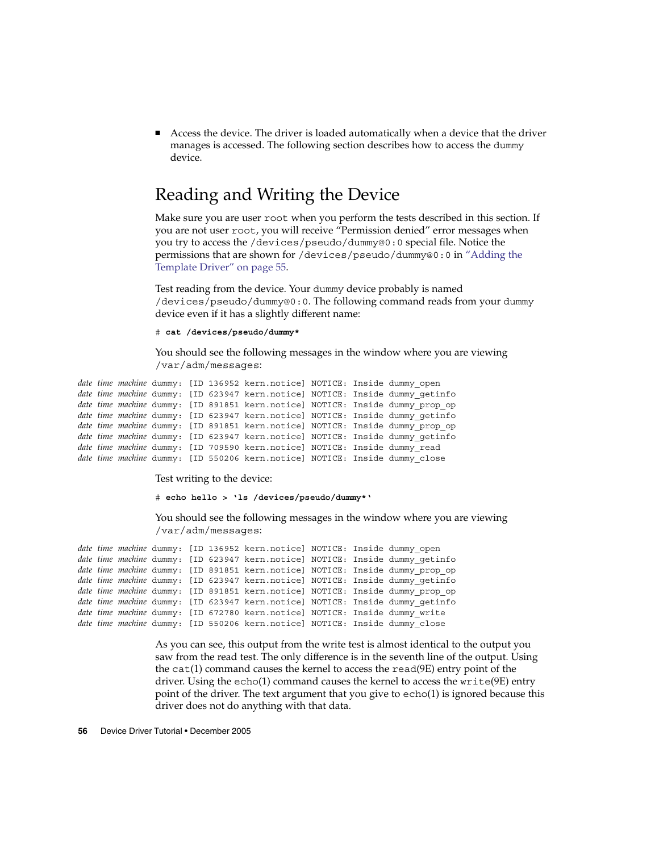Access the device. The driver is loaded automatically when a device that the driver manages is accessed. The following section describes how to access the dummy device.

# Reading and Writing the Device

Make sure you are user root when you perform the tests described in this section. If you are not user root, you will receive "Permission denied" error messages when you try to access the /devices/pseudo/dummy@0:0 special file. Notice the permissions that are shown for /devices/pseudo/dummy@0:0 in ["Adding the](#page-54-0) [Template Driver"](#page-54-0) on page 55.

Test reading from the device. Your dummy device probably is named /devices/pseudo/dummy@0:0. The following command reads from your dummy device even if it has a slightly different name:

#### # **cat /devices/pseudo/dummy\***

You should see the following messages in the window where you are viewing /var/adm/messages:

```
date time machine dummy: [ID 136952 kern.notice] NOTICE: Inside dummy_open
date time machine dummy: [ID 623947 kern.notice] NOTICE: Inside dummy_getinfo
date time machine dummy: [ID 891851 kern.notice] NOTICE: Inside dummy_prop_op
date time machine dummy: [ID 623947 kern.notice] NOTICE: Inside dummy_getinfo
date time machine dummy: [ID 891851 kern.notice] NOTICE: Inside dummy_prop_op
date time machine dummy: [ID 623947 kern.notice] NOTICE: Inside dummy_getinfo
date time machine dummy: [ID 709590 kern.notice] NOTICE: Inside dummy_read
date time machine dummy: [ID 550206 kern.notice] NOTICE: Inside dummy_close
```
Test writing to the device:

# **echo hello > 'ls /devices/pseudo/dummy\*'**

You should see the following messages in the window where you are viewing /var/adm/messages:

```
date time machine dummy: [ID 136952 kern.notice] NOTICE: Inside dummy_open
date time machine dummy: [ID 623947 kern.notice] NOTICE: Inside dummy_getinfo
date time machine dummy: [ID 891851 kern.notice] NOTICE: Inside dummy_prop_op
date time machine dummy: [ID 623947 kern.notice] NOTICE: Inside dummy_getinfo
date time machine dummy: [ID 891851 kern.notice] NOTICE: Inside dummy_prop_op
date time machine dummy: [ID 623947 kern.notice] NOTICE: Inside dummy_getinfo
date time machine dummy: [ID 672780 kern.notice] NOTICE: Inside dummy_write
date time machine dummy: [ID 550206 kern.notice] NOTICE: Inside dummy_close
```
As you can see, this output from the write test is almost identical to the output you saw from the read test. The only difference is in the seventh line of the output. Using the cat(1) command causes the kernel to access the read(9E) entry point of the driver. Using the echo(1) command causes the kernel to access the write(9E) entry point of the driver. The text argument that you give to echo(1) is ignored because this driver does not do anything with that data.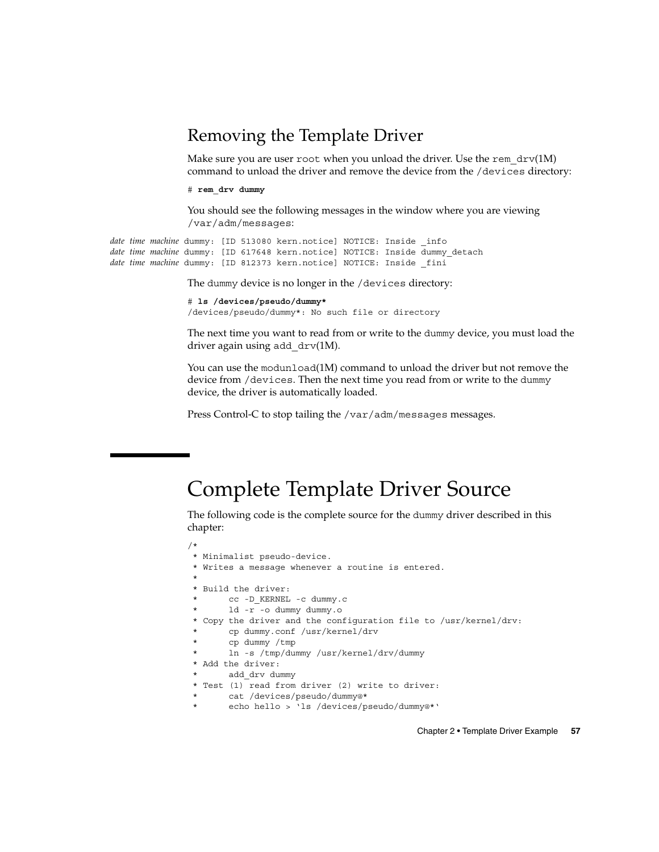# Removing the Template Driver

Make sure you are user root when you unload the driver. Use the rem  $drv(1M)$ command to unload the driver and remove the device from the /devices directory:

```
# rem_drv dummy
```
You should see the following messages in the window where you are viewing /var/adm/messages:

*date time machine* dummy: [ID 513080 kern.notice] NOTICE: Inside \_info *date time machine* dummy: [ID 617648 kern.notice] NOTICE: Inside dummy\_detach *date time machine* dummy: [ID 812373 kern.notice] NOTICE: Inside \_fini

The dummy device is no longer in the /devices directory:

# **ls /devices/pseudo/dummy\*** /devices/pseudo/dummy\*: No such file or directory

The next time you want to read from or write to the dummy device, you must load the driver again using add\_drv(1M).

You can use the modunload(1M) command to unload the driver but not remove the device from /devices. Then the next time you read from or write to the dummy device, the driver is automatically loaded.

Press Control-C to stop tailing the /var/adm/messages messages.

# Complete Template Driver Source

The following code is the complete source for the dummy driver described in this chapter:

```
/*
* Minimalist pseudo-device.
* Writes a message whenever a routine is entered.
 *
* Build the driver:
 * cc -D_KERNEL -c dummy.c
      1d -r -o dummy dummy.o
* Copy the driver and the configuration file to /usr/kernel/drv:
       cp dummy.conf /usr/kernel/drv
       cp dummy /tmp
       ln -s /tmp/dummy /usr/kernel/drv/dummy
 * Add the driver:
       add drv dummy
* Test (1) read from driver (2) write to driver:
       cat /devices/pseudo/dummy@*
 * echo hello > 'ls /devices/pseudo/dummy@*'
```
Chapter 2 • Template Driver Example **57**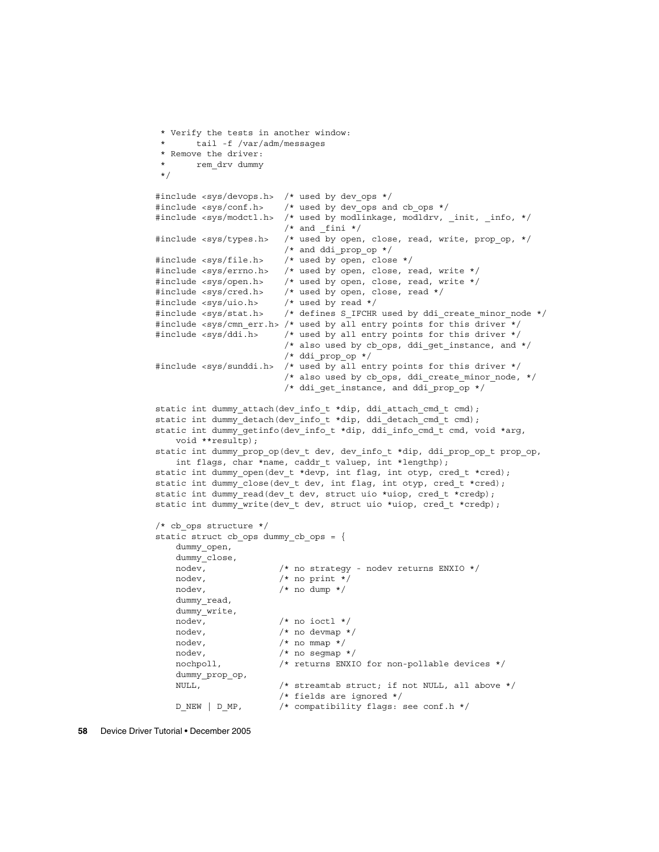```
* Verify the tests in another window:
 * tail -f /var/adm/messages
 * Remove the driver:
 * rem_drv dummy
 */
#include <sys/devops.h> /* used by dev ops */
#include <sys/conf.h> /* used by dev ops and cb ops */
#include <sys/modctl.h> /* used by modlinkage, modldrv, init, info, */
                       /* and fini */#include <sys/types.h> /* used by open, close, read, write, prop_op, */
                       /* and ddi_prop_op */
#include <sys/file.h> /* used by open, close */
#include <sys/errno.h> /* used by open, close, read, write */
#include <sys/open.h> /* used by open, close, read, write */
#include <sys/cred.h> /* used by open, close, read */
#include <sys/uio.h>
#include <sys/stat.h> /* defines S_IFCHR used by ddi_create_minor_node */
#include <sys/cmn err.h> /* used by all entry points for this driver */
#include <sys/ddi.h> /* used by all entry points for this driver */
                       /* also used by cb ops, ddi get instance, and */
                       /* ddi prop op */#include <sys/sunddi.h> /* used by all entry points for this driver */
                       /* also used by cb_ops, ddi_create_minor_node, */
                       /* ddi get instance, and ddi prop op */
static int dummy attach(dev info t *dip, ddi attach cmd t cmd);
static int dummy detach(dev) info t *dip, ddi detach cmd t cmd);
static int dummy_getinfo(dev_info_t *dip, ddi_info_cmd_t cmd, void *arg,
   void **resultp);
static int dummy prop op(dev_t dev, dev_info_t *dip, ddi_prop_op_t prop_op,
   int flags, char *name, caddr_t valuep, int *lengthp);
static int dummy_open(dev_t *devp, int flag, int otyp, cred_t *cred);
static int dummy_close(dev_t dev, int flag, int otyp, cred_t *cred);
static int dummy_read(dev_t dev, struct uio *uiop, cred_t *credp);
static int dummy_write(dev_t dev, struct uio *uiop, cred_t *credp);
/* cb ops structure */static struct cb ops dummy cb ops = {
   dummy_open,
   dummy_close,
   nodev, /* no strategy - nodev returns ENXIO */
   nodev, /* no print */
   nodev, /* no dump */dummy_read,
   dummy_write,
   nodev, /* no ioctl */nodev, /* no devmap */
   nodev, \overline{'} \overline{'} no mmap \overline{'}nodev, /* no segmap */
   nochpoll, /* returns ENXIO for non-pollable devices */
   dummy_prop_op,
   NULL, /* streamtab struct; if not NULL, all above */
                      /* fields are ignored */
   D_NEW | D_MP, /* compatibility flags: see conf.h */
```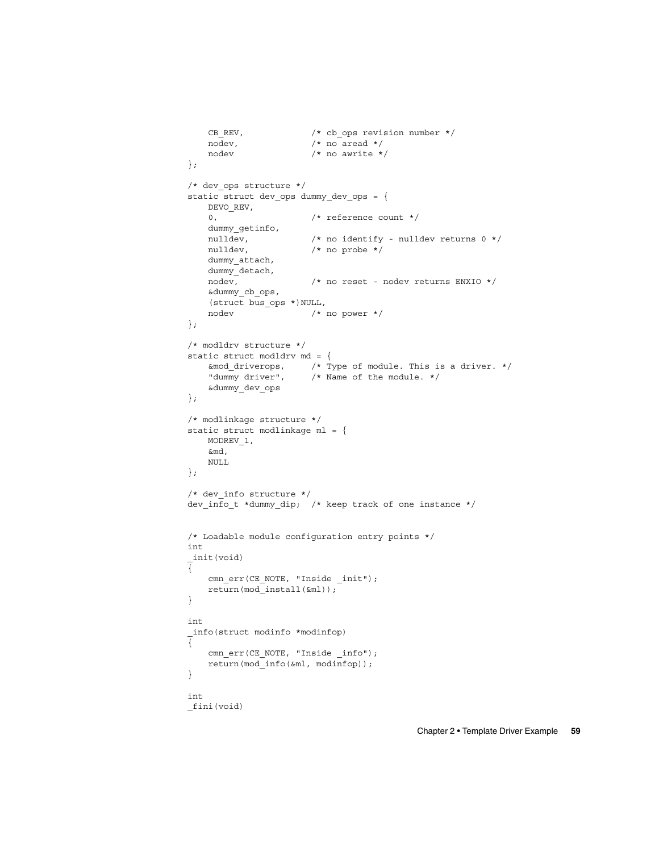```
CB_REV, /* cb_ops revision number */
   nodev, \frac{1}{2} /* no aread */<br>nodev \frac{1}{2} /* no awrite */
                       /* no awrite */};
/* dev_ops structure */
static struct dev_ops dummy_dev_ops = {
   DEVO_REV,
   0, /* reference count */dummy_getinfo,
   nulldev, /* no identify - nulldev returns 0 */
   nulldev, /* no probe */dummy_attach,
   dummy_detach,
   nodev, /* no reset - nodev returns ENXIO */
   &dummy_cb_ops,
   (struct bus_ops *)NULL,
   nodev /* no power */
};
/* modldrv structure */
static struct modldry md = \{&mod_driverops, /* Type of module. This is a driver. */
   "dummy driver", /* Name of the module. */
   &dummy_dev_ops
};
/* modlinkage structure */
static struct modlinkage ml = \{MODREV_1,
   &md,
   NULL
};
/* dev_info structure */
dev_info_t *dummy_dip; /* keep track of one instance */
/* Loadable module configuration entry points */
int
_init(void)
\overline{\{}cmn_err(CE_NOTE, "Inside _init");
   return(mod_install(&ml));
}
int
_info(struct modinfo *modinfop)
{
   cmn_err(CE_NOTE, "Inside _info");
   return(mod_info(&ml, modinfop));
}
int
_fini(void)
```
Chapter 2 • Template Driver Example **59**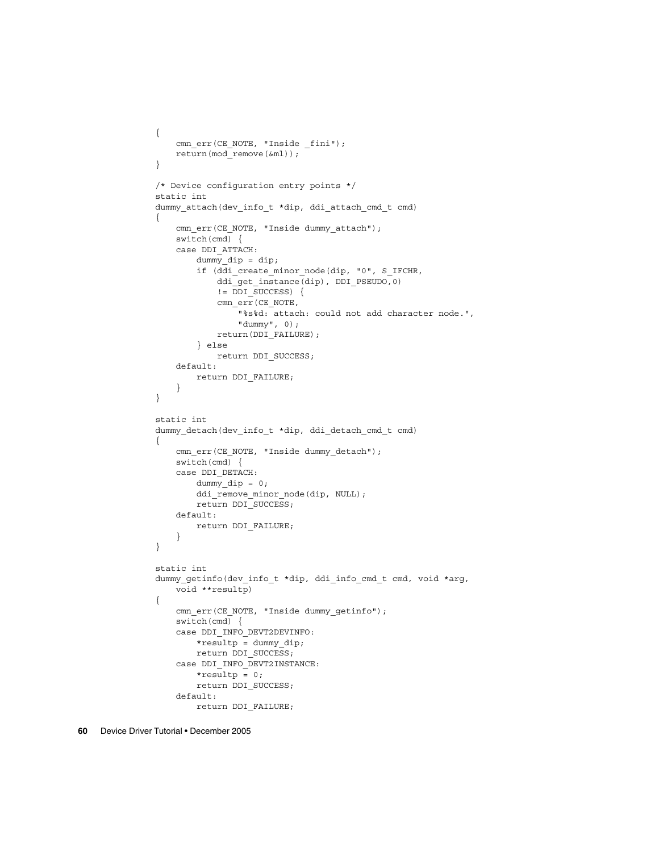```
{
    cmn_err(CE_NOTE, "Inside _fini");
    return(mod_remove(&ml));
}
/* Device configuration entry points */
static int
dummy attach(dev info t *dip, ddi attach cmd t cmd)
{
    cmn_err(CE_NOTE, "Inside dummy_attach");
    switch(cmd) {
    case DDI_ATTACH:
        dummy_dip = dip;
        if (ddi_create_minor_node(dip, "0", S_IFCHR,
            ddi get instance(dip), DDI PSEUDO, 0)
            != DDI_SUCCESS) {
            cmn_err(CE_NOTE,
                "%s%d: attach: could not add character node.",
                "dummy", 0);
            return(DDI_FAILURE);
        } else
            return DDI_SUCCESS;
    default:
        return DDI_FAILURE;
    }
}
static int
dummy_detach(dev_info_t *dip, ddi_detach_cmd_t cmd)
{
    cmn_err(CE_NOTE, "Inside dummy_detach");
    switch(cmd) {
    case DDI_DETACH:
        dummy dip = 0;ddi remove minor node(dip, NULL);
       return DDI_SUCCESS;
    default:
       return DDI_FAILURE;
    }
}
static int
dummy getinfo(dev info t *dip, ddi info cmd t cmd, void *arg,
    void **resultp)
{
    cmn_err(CE_NOTE, "Inside dummy_getinfo");
    switch(cmd) {
    case DDI_INFO_DEVT2DEVINFO:
       *resultp = dummy_dip;
       return DDI_SUCCESS;
    case DDI_INFO_DEVT2INSTANCE:
       *resultp = 0;
       return DDI_SUCCESS;
    default:
        return DDI_FAILURE;
```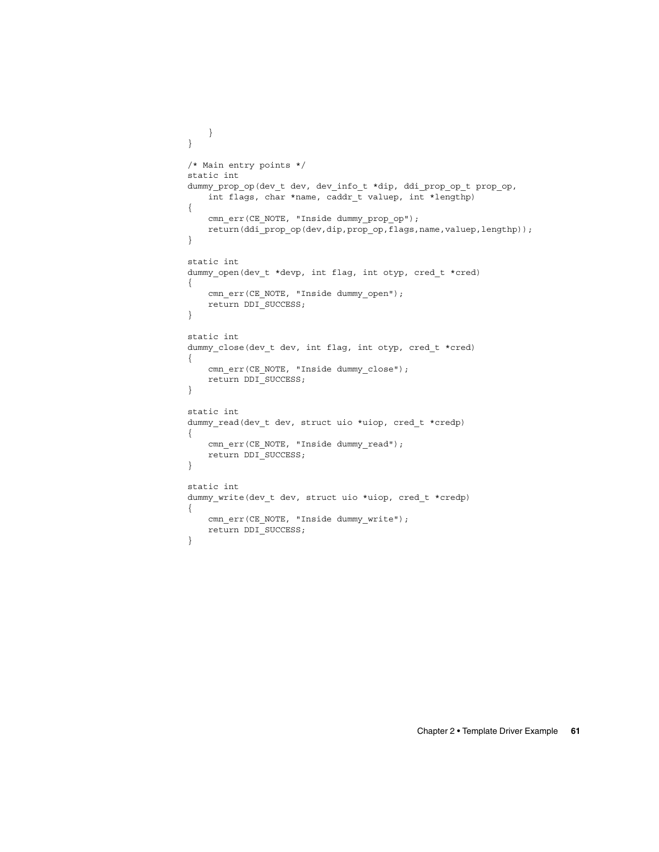```
}
}
/* Main entry points */
static int
dummy_prop_op(dev_t dev, dev_info_t *dip, ddi_prop_op_t prop_op,
    int flags, char *name, caddr_t valuep, int *lengthp)
{
    cmn_err(CE_NOTE, "Inside dummy_prop_op");
    return(ddi_prop_op(dev,dip,prop_op,flags,name,valuep,lengthp));
}
static int
dummy_open(dev_t *devp, int flag, int otyp, cred_t *cred)
{
    cmn_err(CE_NOTE, "Inside dummy_open");
   return DDI_SUCCESS;
}
static int
dummy_close(dev_t dev, int flag, int otyp, cred_t *cred)
{
    cmn_err(CE_NOTE, "Inside dummy_close");
    return DDI_SUCCESS;
}
static int
dummy read(dev t dev, struct uio *uiop, cred t *credp)
{
    cmn_err(CE_NOTE, "Inside dummy_read");
   return DDI_SUCCESS;
}
static int
dummy_write(dev_t dev, struct uio *uiop, cred_t *credp)
{
    cmn_err(CE_NOTE, "Inside dummy_write");
   return DDI_SUCCESS;
}
```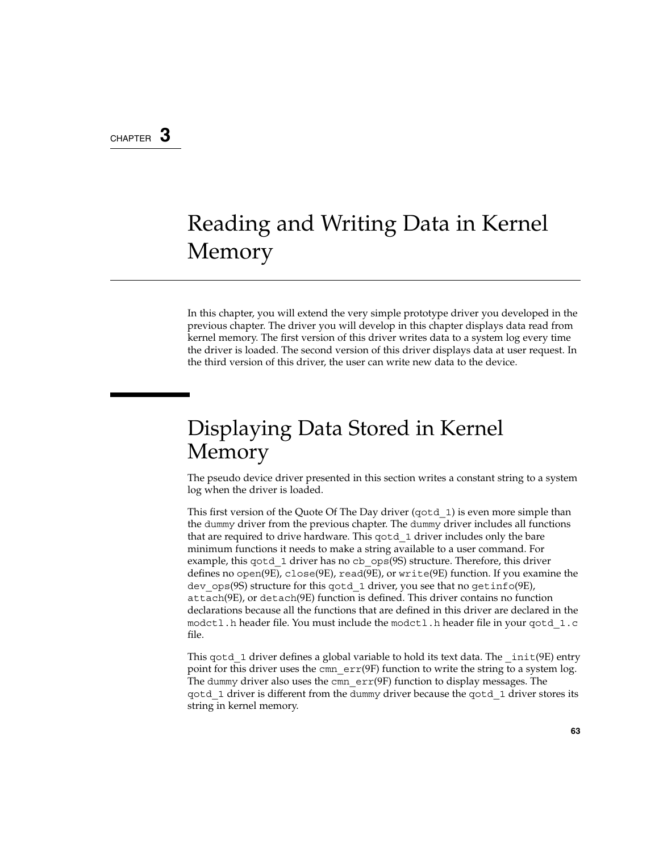## <span id="page-62-0"></span>CHAPTER **3**

# Reading and Writing Data in Kernel Memory

In this chapter, you will extend the very simple prototype driver you developed in the previous chapter. The driver you will develop in this chapter displays data read from kernel memory. The first version of this driver writes data to a system log every time the driver is loaded. The second version of this driver displays data at user request. In the third version of this driver, the user can write new data to the device.

# Displaying Data Stored in Kernel Memory

The pseudo device driver presented in this section writes a constant string to a system log when the driver is loaded.

This first version of the Quote Of The Day driver (qotd\_1) is even more simple than the dummy driver from the previous chapter. The dummy driver includes all functions that are required to drive hardware. This gotd 1 driver includes only the bare minimum functions it needs to make a string available to a user command. For example, this gotd 1 driver has no cb ops(9S) structure. Therefore, this driver defines no open(9E), close(9E), read(9E), or write(9E) function. If you examine the dev\_ops(9S) structure for this qotd\_1 driver, you see that no getinfo(9E), attach(9E), or detach(9E) function is defined. This driver contains no function declarations because all the functions that are defined in this driver are declared in the modctl.h header file. You must include the modctl.h header file in your qotd\_1.c file.

This gotd 1 driver defines a global variable to hold its text data. The  $int(9E)$  entry point for this driver uses the cmn  $err(9F)$  function to write the string to a system log. The dummy driver also uses the cmn  $err(9F)$  function to display messages. The qotd\_1 driver is different from the dummy driver because the qotd\_1 driver stores its string in kernel memory.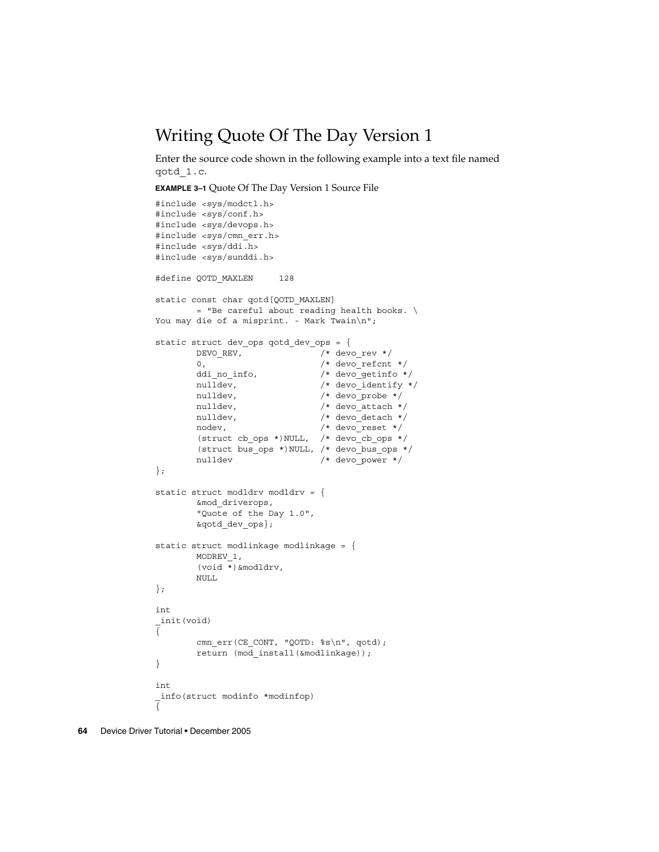# Writing Quote Of The Day Version 1

Enter the source code shown in the following example into a text file named qotd\_1.c.

**EXAMPLE 3–1** Quote Of The Day Version 1 Source File

```
#include <sys/modctl.h>
#include <sys/conf.h>
#include <sys/devops.h>
#include <sys/cmn_err.h>
#include <sys/ddi.h>
#include <sys/sunddi.h>
#define QOTD_MAXLEN 128
static const char qotd[QOTD_MAXLEN]
       = "Be careful about reading health books. \setminusYou may die of a misprint. - Mark Twain\n";
static struct dev_ops qotd_dev_ops = {
       DEVO_REV, - + + devo_rev */
        0, /* devo refcnt */ddi no info, \frac{1}{2} /* devo getinfo */
        nulldev, \frac{1}{2} /* devo identify */
        nulldev, \frac{1}{2} /* devo_probe */
       nulldev, \frac{1}{x} \times \frac{1}{x} above \frac{1}{x} attach \frac{x}{x}nulldev, /* devo<sup>detach */</sup>
        nodev, /* devo reset */(struct cb ops *)NULL, /* devo cb ops */
       (struct bus_ops *)NULL, /* devo_bus_ops */
       nulldev /* devo power */};
static struct modldrv modldrv = {
      &mod_driverops,
       "Quote of the Day 1.0",
       &qotd_dev_ops};
static struct modlinkage modlinkage = {
       MODREV_1,
       (void *)&modldrv,
       NULL
};
int
_init(void)
{
       cmn_err(CE_CONT, "OOTD: %s\n", qotd);
       return (mod_install(&modlinkage));
}
int
_info(struct modinfo *modinfop)
{
```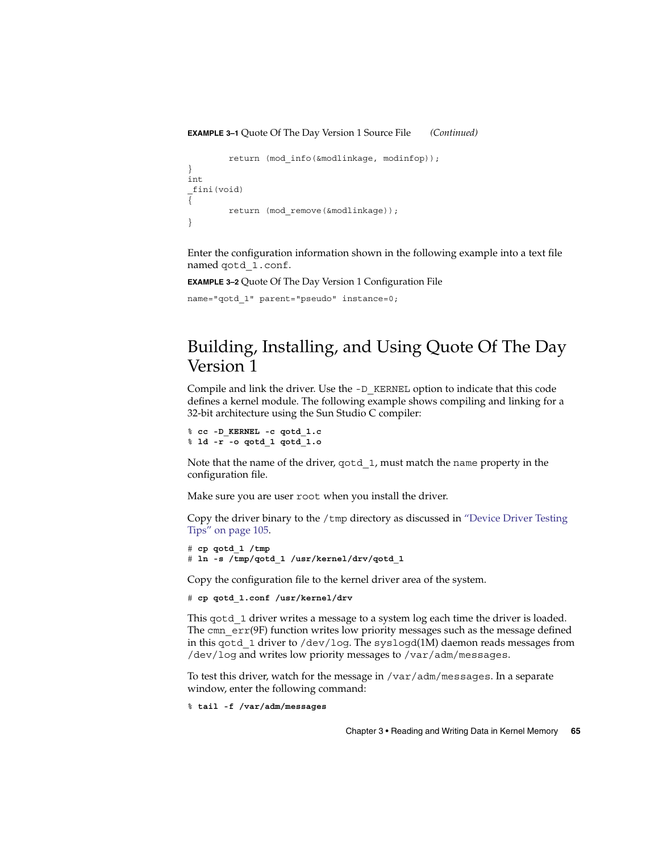#### **EXAMPLE 3–1** Quote Of The Day Version 1 Source File *(Continued)*

```
return (mod_info(&modlinkage, modinfop));
}
int
_fini(void)
{
        return (mod_remove(&modlinkage));
}
```
Enter the configuration information shown in the following example into a text file named qotd\_1.conf.

**EXAMPLE 3–2** Quote Of The Day Version 1 Configuration File

```
name="gotd 1" parent="pseudo" instance=0;
```
# Building, Installing, and Using Quote Of The Day Version 1

Compile and link the driver. Use the -D\_KERNEL option to indicate that this code defines a kernel module. The following example shows compiling and linking for a 32-bit architecture using the Sun Studio C compiler:

```
% cc -D_KERNEL -c qotd_1.c
% ld -r -o qotd_1 qotd_1.o
```
Note that the name of the driver, gotd 1, must match the name property in the configuration file.

Make sure you are user root when you install the driver.

Copy the driver binary to the /tmp directory as discussed in ["Device Driver Testing](#page-104-0) Tips" [on page 105.](#page-104-0)

```
# cp qotd_1 /tmp
# ln -s /tmp/qotd_1 /usr/kernel/drv/qotd_1
```
Copy the configuration file to the kernel driver area of the system.

```
# cp qotd_1.conf /usr/kernel/drv
```
This gotd 1 driver writes a message to a system log each time the driver is loaded. The cmn  $err(9F)$  function writes low priority messages such as the message defined in this qotd\_1 driver to /dev/log. The syslogd(1M) daemon reads messages from /dev/log and writes low priority messages to /var/adm/messages.

To test this driver, watch for the message in /var/adm/messages. In a separate window, enter the following command:

```
% tail -f /var/adm/messages
```
Chapter 3 • Reading and Writing Data in Kernel Memory **65**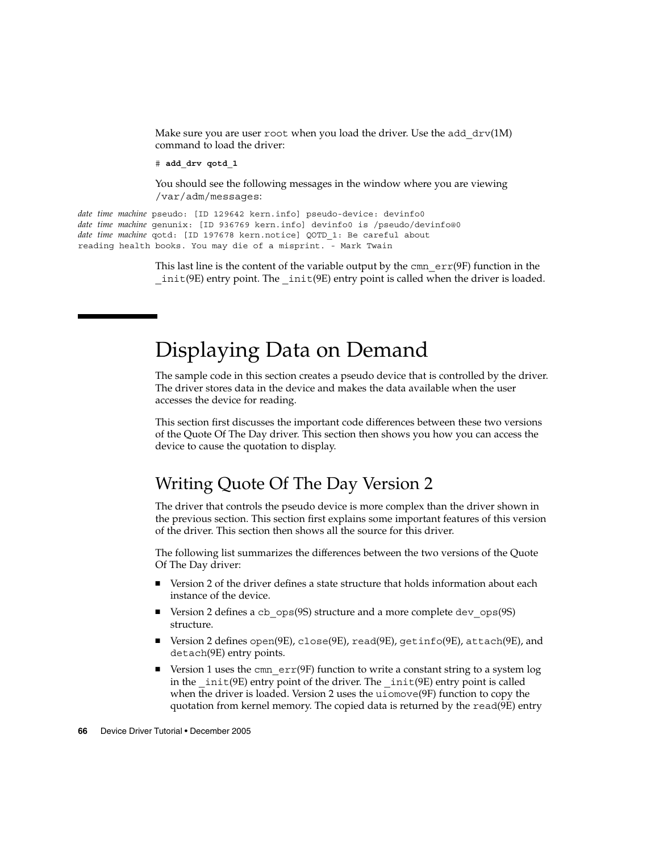Make sure you are user root when you load the driver. Use the add  $\text{drv}(1\text{M})$ command to load the driver:

# **add\_drv qotd\_1**

You should see the following messages in the window where you are viewing /var/adm/messages:

```
date time machine pseudo: [ID 129642 kern.info] pseudo-device: devinfo0
date time machine genunix: [ID 936769 kern.info] devinfo0 is /pseudo/devinfo@0
date time machine qotd: [ID 197678 kern.notice] QOTD_1: Be careful about
reading health books. You may die of a misprint. - Mark Twain
```
This last line is the content of the variable output by the cmn  $err(9F)$  function in the init(9E) entry point. The init(9E) entry point is called when the driver is loaded.

# Displaying Data on Demand

The sample code in this section creates a pseudo device that is controlled by the driver. The driver stores data in the device and makes the data available when the user accesses the device for reading.

This section first discusses the important code differences between these two versions of the Quote Of The Day driver. This section then shows you how you can access the device to cause the quotation to display.

# Writing Quote Of The Day Version 2

The driver that controls the pseudo device is more complex than the driver shown in the previous section. This section first explains some important features of this version of the driver. This section then shows all the source for this driver.

The following list summarizes the differences between the two versions of the Quote Of The Day driver:

- Version 2 of the driver defines a state structure that holds information about each instance of the device.
- Version 2 defines a cb\_ops(9S) structure and a more complete dev\_ops(9S) structure.
- Version 2 defines open(9E), close(9E), read(9E), qetinfo(9E), attach(9E), and detach(9E) entry points.
- Version 1 uses the cmn  $err(9F)$  function to write a constant string to a system log in the  $\text{init}(9E)$  entry point of the driver. The  $\text{init}(9E)$  entry point is called when the driver is loaded. Version 2 uses the uiomove(9F) function to copy the quotation from kernel memory. The copied data is returned by the read(9E) entry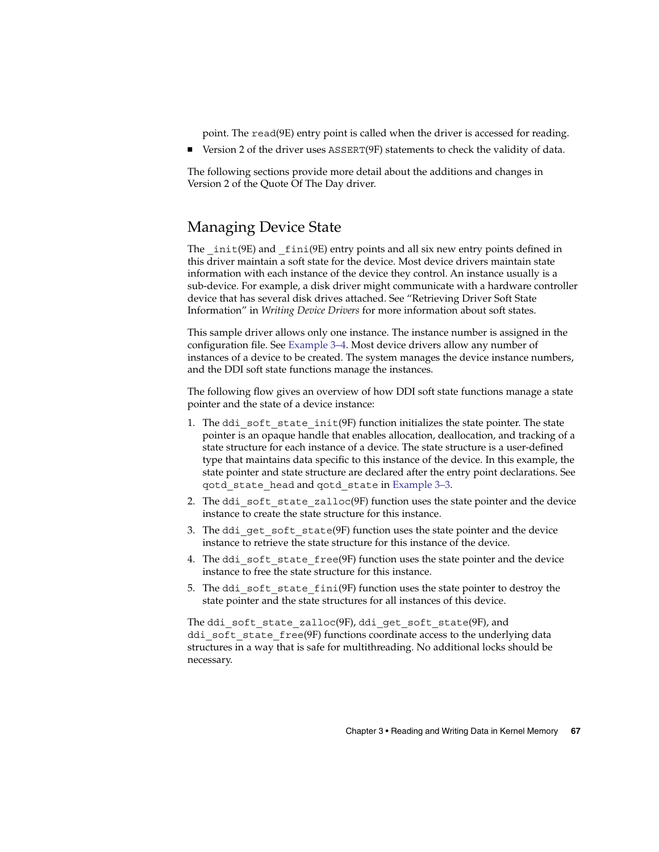point. The read(9E) entry point is called when the driver is accessed for reading.

<span id="page-66-0"></span>■ Version 2 of the driver uses ASSERT(9F) statements to check the validity of data.

The following sections provide more detail about the additions and changes in Version 2 of the Quote Of The Day driver.

## Managing Device State

The  $int(9E)$  and  $finit(9E)$  entry points and all six new entry points defined in this driver maintain a soft state for the device. Most device drivers maintain state information with each instance of the device they control. An instance usually is a sub-device. For example, a disk driver might communicate with a hardware controller device that has several disk drives attached. See "Retrieving Driver Soft State Information" in *Writing Device Drivers* for more information about soft states.

This sample driver allows only one instance. The instance number is assigned in the configuration file. See [Example 3–4.](#page-74-0) Most device drivers allow any number of instances of a device to be created. The system manages the device instance numbers, and the DDI soft state functions manage the instances.

The following flow gives an overview of how DDI soft state functions manage a state pointer and the state of a device instance:

- 1. The ddi soft state  $init(9F)$  function initializes the state pointer. The state pointer is an opaque handle that enables allocation, deallocation, and tracking of a state structure for each instance of a device. The state structure is a user-defined type that maintains data specific to this instance of the device. In this example, the state pointer and state structure are declared after the entry point declarations. See qotd\_state\_head and qotd\_state in [Example 3–3.](#page-69-0)
- 2. The ddi soft state  $z$ alloc(9F) function uses the state pointer and the device instance to create the state structure for this instance.
- 3. The ddi qet soft state(9F) function uses the state pointer and the device instance to retrieve the state structure for this instance of the device.
- 4. The ddi soft state free(9F) function uses the state pointer and the device instance to free the state structure for this instance.
- 5. The ddi soft state  $fini(9F)$  function uses the state pointer to destroy the state pointer and the state structures for all instances of this device.

The ddi soft state zalloc(9F), ddi get soft state(9F), and ddi soft state free(9F) functions coordinate access to the underlying data structures in a way that is safe for multithreading. No additional locks should be necessary.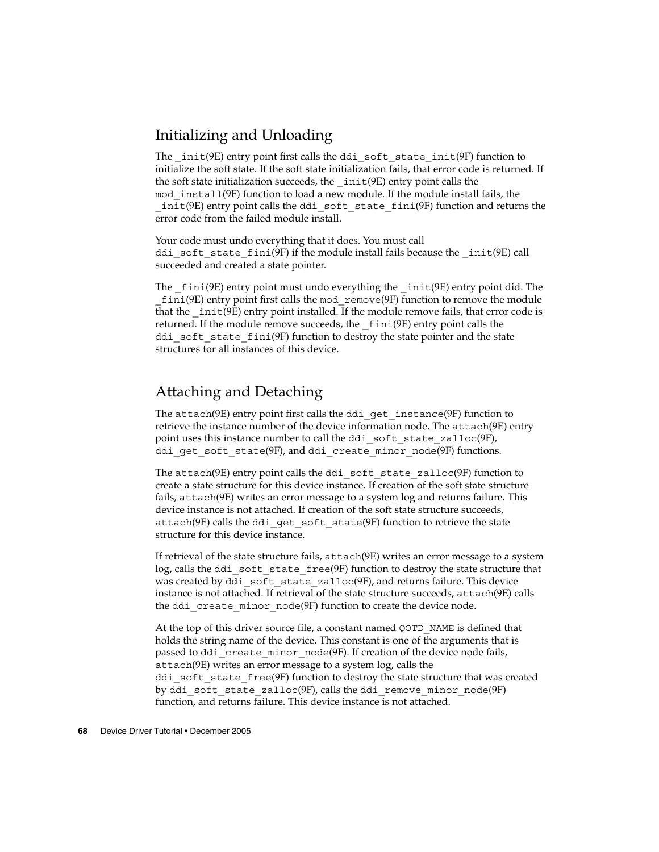# Initializing and Unloading

The  $init(9E)$  entry point first calls the ddi soft state  $init(9F)$  function to initialize the soft state. If the soft state initialization fails, that error code is returned. If the soft state initialization succeeds, the  $int(9E)$  entry point calls the mod\_install(9F) function to load a new module. If the module install fails, the  $init(9E)$  entry point calls the ddi soft state fini(9F) function and returns the error code from the failed module install.

Your code must undo everything that it does. You must call ddi soft state fini(9F) if the module install fails because the  $init(9E)$  call succeeded and created a state pointer.

The  $fini(9E)$  entry point must undo everything the  $init(9E)$  entry point did. The  $fini(9E)$  entry point first calls the mod remove $(9F)$  function to remove the module that the  $\text{init}(9E)$  entry point installed. If the module remove fails, that error code is returned. If the module remove succeeds, the \_fini(9E) entry point calls the ddi\_soft\_state\_fini(9F) function to destroy the state pointer and the state structures for all instances of this device.

# Attaching and Detaching

The attach(9E) entry point first calls the ddi\_get\_instance(9F) function to retrieve the instance number of the device information node. The attach(9E) entry point uses this instance number to call the ddi soft state zalloc(9F), ddi qet soft state(9F), and ddi create minor node(9F) functions.

The attach(9E) entry point calls the ddi soft state  $z$ alloc(9F) function to create a state structure for this device instance. If creation of the soft state structure fails, attach(9E) writes an error message to a system log and returns failure. This device instance is not attached. If creation of the soft state structure succeeds, attach(9E) calls the ddi\_get\_soft\_state(9F) function to retrieve the state structure for this device instance.

If retrieval of the state structure fails, attach(9E) writes an error message to a system log, calls the ddi\_soft\_state\_free(9F) function to destroy the state structure that was created by ddi soft state zalloc( $9F$ ), and returns failure. This device instance is not attached. If retrieval of the state structure succeeds, attach(9E) calls the ddi create minor node(9F) function to create the device node.

At the top of this driver source file, a constant named QOTD\_NAME is defined that holds the string name of the device. This constant is one of the arguments that is passed to ddi create minor node(9F). If creation of the device node fails, attach(9E) writes an error message to a system log, calls the ddi soft state  $free(9F)$  function to destroy the state structure that was created by ddi soft state zalloc(9F), calls the ddi remove minor node(9F) function, and returns failure. This device instance is not attached.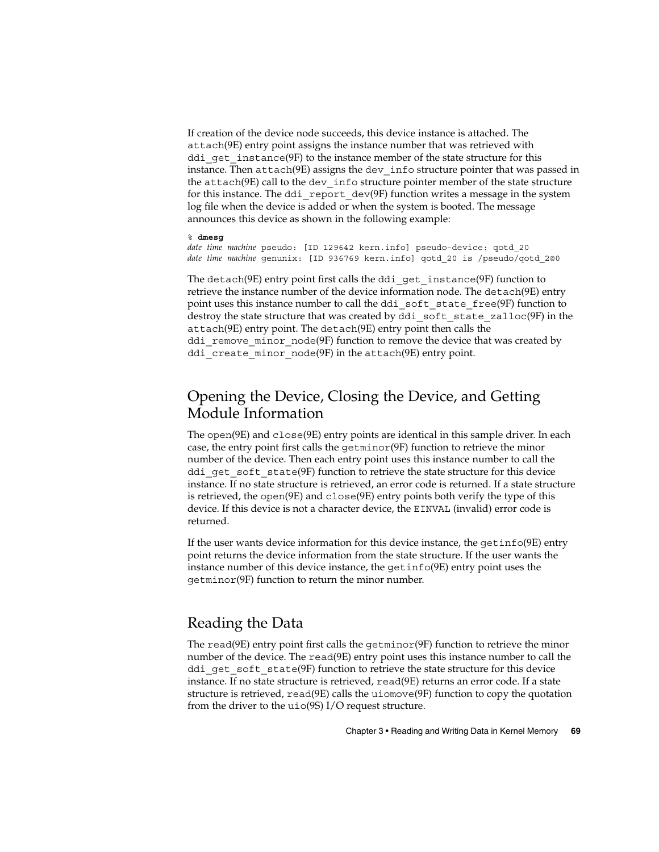If creation of the device node succeeds, this device instance is attached. The attach(9E) entry point assigns the instance number that was retrieved with ddi  $qet$  instance $(9F)$  to the instance member of the state structure for this instance. Then attach(9E) assigns the dev\_info structure pointer that was passed in the attach(9E) call to the dev\_info structure pointer member of the state structure for this instance. The ddi\_report\_dev(9F) function writes a message in the system log file when the device is added or when the system is booted. The message announces this device as shown in the following example:

#### % **dmesg**

*date time machine* pseudo: [ID 129642 kern.info] pseudo-device: qotd\_20 *date time machine* genunix: [ID 936769 kern.info] qotd\_20 is /pseudo/qotd\_2@0

The detach(9E) entry point first calls the ddi get instance(9F) function to retrieve the instance number of the device information node. The detach(9E) entry point uses this instance number to call the ddi soft state free(9F) function to destroy the state structure that was created by ddi soft state zalloc(9F) in the attach(9E) entry point. The detach(9E) entry point then calls the ddi remove minor node(9F) function to remove the device that was created by ddi create minor node(9F) in the attach(9E) entry point.

# Opening the Device, Closing the Device, and Getting Module Information

The open(9E) and close(9E) entry points are identical in this sample driver. In each case, the entry point first calls the getminor(9F) function to retrieve the minor number of the device. Then each entry point uses this instance number to call the ddi get soft state(9F) function to retrieve the state structure for this device instance. If no state structure is retrieved, an error code is returned. If a state structure is retrieved, the open(9E) and close(9E) entry points both verify the type of this device. If this device is not a character device, the EINVAL (invalid) error code is returned.

If the user wants device information for this device instance, the getinfo(9E) entry point returns the device information from the state structure. If the user wants the instance number of this device instance, the getinfo(9E) entry point uses the getminor(9F) function to return the minor number.

### Reading the Data

The read(9E) entry point first calls the getminor(9F) function to retrieve the minor number of the device. The read(9E) entry point uses this instance number to call the ddi get soft state(9F) function to retrieve the state structure for this device instance. If no state structure is retrieved, read(9E) returns an error code. If a state structure is retrieved, read(9E) calls the uiomove(9F) function to copy the quotation from the driver to the uio(9S) I/O request structure.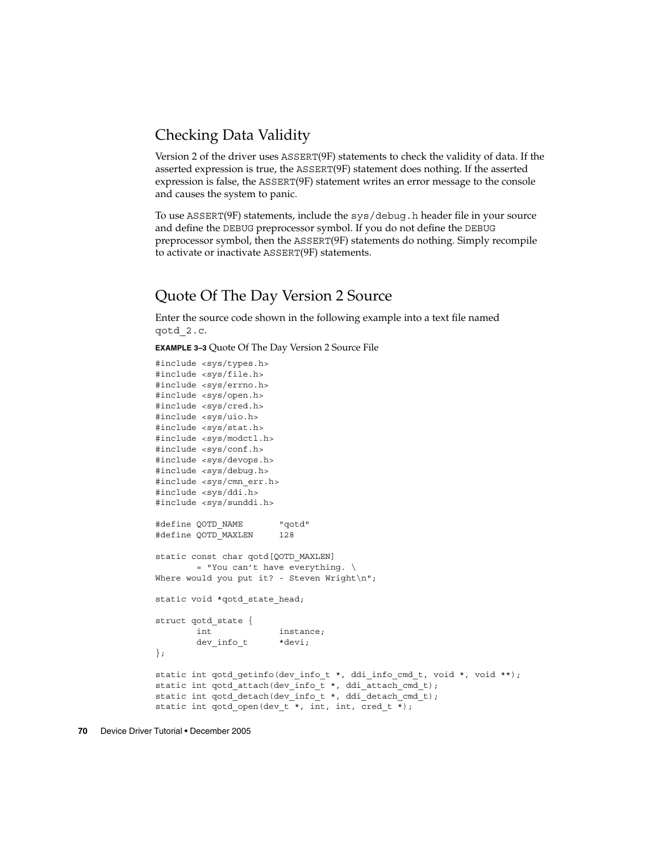# <span id="page-69-0"></span>Checking Data Validity

Version 2 of the driver uses ASSERT(9F) statements to check the validity of data. If the asserted expression is true, the ASSERT(9F) statement does nothing. If the asserted expression is false, the ASSERT(9F) statement writes an error message to the console and causes the system to panic.

To use ASSERT(9F) statements, include the sys/debug.h header file in your source and define the DEBUG preprocessor symbol. If you do not define the DEBUG preprocessor symbol, then the ASSERT(9F) statements do nothing. Simply recompile to activate or inactivate ASSERT(9F) statements.

## Quote Of The Day Version 2 Source

Enter the source code shown in the following example into a text file named qotd\_2.c.

**EXAMPLE 3–3** Quote Of The Day Version 2 Source File

```
#include <sys/types.h>
#include <sys/file.h>
#include <sys/errno.h>
#include <sys/open.h>
#include <sys/cred.h>
#include <sys/uio.h>
#include <sys/stat.h>
#include <sys/modctl.h>
#include <sys/conf.h>
#include <sys/devops.h>
#include <sys/debug.h>
#include <sys/cmn_err.h>
#include <sys/ddi.h>
#include <sys/sunddi.h>
#define QOTD_NAME "qotd"
#define QOTD_MAXLEN 128
static const char qotd[QOTD_MAXLEN]
       = "You can't have everything. \setminusWhere would you put it? - Steven Wright\n";
static void *qotd state head;
struct qotd_state {
        int instance;
        dev info t *devi;
};
static int qotd_getinfo(dev_info_t *, ddi_info_cmd_t, void *, void **);
static int qotd_attach(dev_info_t *, ddi_attach_cmd_t);
static int qotd detach(dev info t *, ddi detach cmd t);
static int qotd open(dev t *, int, int, cred t *);
```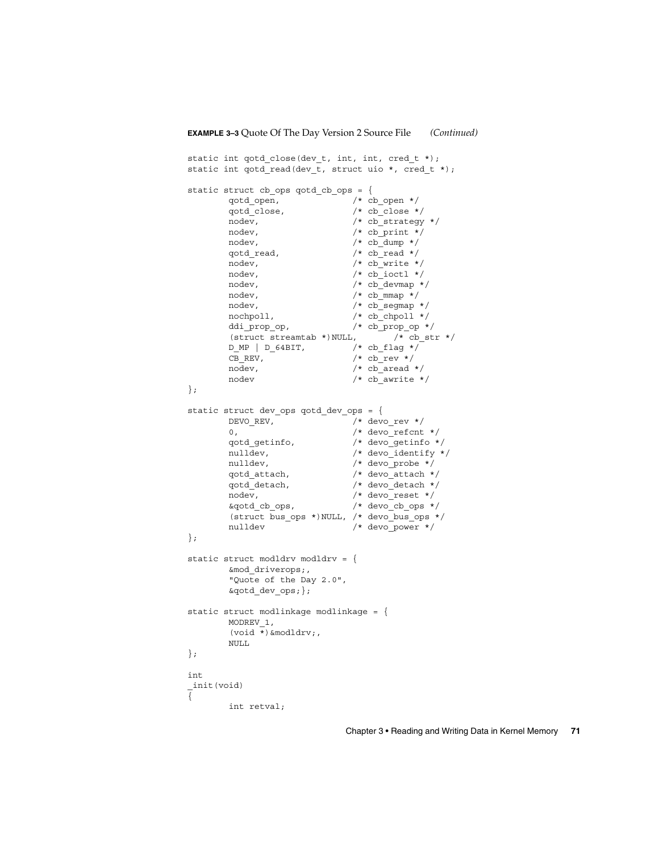```
static int qotd_close(dev_t, int, int, cred_t *);
static int qotd_read(dev_t, struct uio *, cred_t *);
static struct cb ops qotd cb ops = {
       qotd_open, /* cb_open */
       qotd_close, <br>
\frac{1}{x} cb_close */<br>
nodev, <br>
\frac{1}{x} cb_strategy
        nodev, \frac{1}{2} /* cb strategy */
        nodev, \frac{1}{2} /* cb print */
        nodev, /* cb dump */qotd read, /* cb read */
        nodev, /* cb write */nodev, /* cb ioctl */nodev, /* cb_devmap */
        nodev, \frac{1}{2} /* cb mmap */
        nodev, /* cb segmap */nochpoll, /* cb_chpoll */
        ddi prop op, /* cb prop op */
       (struct streamtab *) NULL, \overline{\hspace{1cm}} /* cb_str */
       \begin{array}{ccc} \texttt{D\_MP} & \texttt{D\_64BIT,} & \texttt{/* cb\_flag */} \\ \texttt{CB REV,} & \texttt{/* cb\_rev */} \\ \end{array}/* cb_rev */nodev, \frac{\pi}{6} /* cb_aread */<br>nodev /* cb_awrite *
                              /* cb_awrite */
};
static struct dev_ops qotd_dev_ops = {
        DEVO REV, \frac{1}{2} /* devorev */
        0, /* devo refcnt */qotd_getinfo, /* devo_getinfo */
        nulldev, \frac{1}{2} /* devo identify */
        nulldev, \frac{1}{2} /* devo probe */
        qotd_attach, /* devo_attach */
        qotd_detach, /* devo_detach */
        nodev, /* devo reset */&qotd_cb_ops, /* devo_cb_ops */
        (struct bus_ops *)NULL, /* devo_bus_ops */
        nulldev /* devo_power */
};
static struct modldrv modldrv = {
       &mod_driverops;,
       "Quote of the Day 2.0",
       &qotd dev ops;};
static struct modlinkage modlinkage = \{MODREV_1,
       (void *)&modldrv;,
       NULL
};
int
_init(void)
{
       int retval;
```
Chapter 3 • Reading and Writing Data in Kernel Memory **71**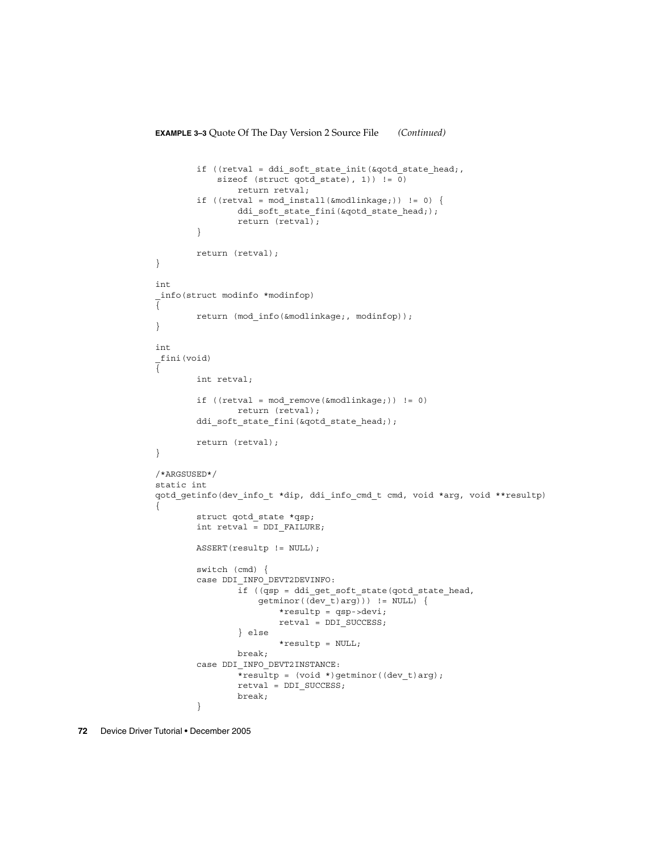```
if ((retval = ddi_soft_state_init(&qotd_state_head;,
            sizeof (struct qotd_state), 1)) != 0)
               return retval;
        if ((retval = mod_install(&modlinkage;)) != 0) {
                ddi_soft_state_fini(&qotd_state_head;);
                return (retval);
        }
        return (retval);
}
int
_info(struct modinfo *modinfop)
{
        return (mod_info(&modlinkage;, modinfop));
}
int
_fini(void)
{
        int retval;
        if ((retval = mod remove(&modlinkage;)) != 0)
                return (retval);
        ddi_soft_state_fini(&qotd_state_head;);
        return (retval);
}
/*ARGSUSED*/
static int
qotd_getinfo(dev_info_t *dip, ddi_info_cmd_t cmd, void *arg, void **resultp)
{
        struct qotd state *qsp;
        int retval = DDI_FAILURE;
        ASSERT(resultp != NULL);
        switch (cmd) {
        case DDI_INFO_DEVT2DEVINFO:
                if ((qsp = ddi_get_soft_state(qotd_state_head,
                    getminor((dev_t)arg))) != NULL) {
                        *resultp = qsp{-}-devi;
                        retval = DDI_SUCCESS;
                } else
                        *resultp = NULL;
                break;
        case DDI_INFO_DEVT2INSTANCE:
                *resultp = (void *)getminor((dev_t)arg);
                retval = DDI_SUCCESS;
                break;
        }
```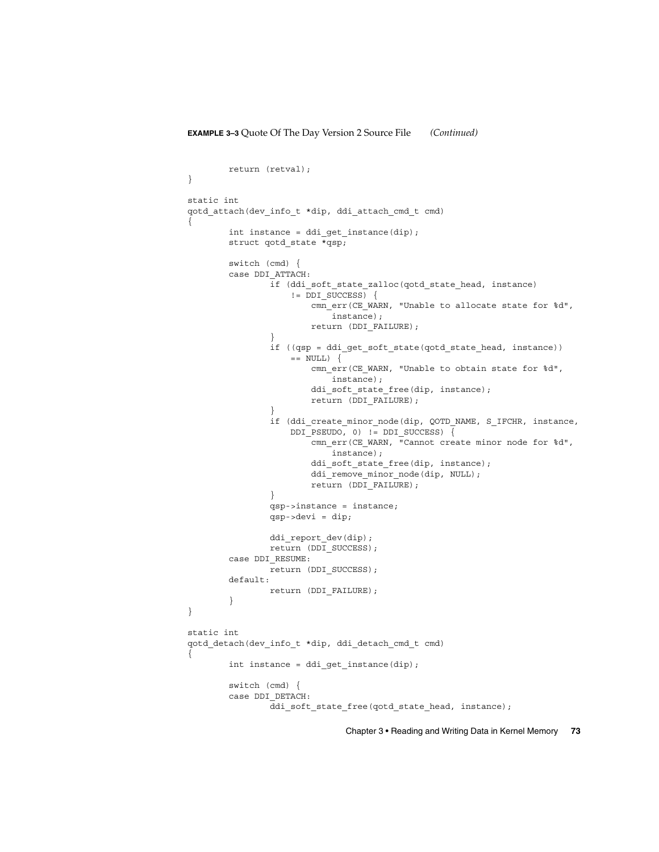```
return (retval);
}
static int
qotd_attach(dev_info_t *dip, ddi_attach_cmd_t cmd)
{
        int instance = ddi_get_instance(dip);
        struct qotd_state *qsp;
        switch (cmd) {
        case DDI_ATTACH:
                if (ddi_soft_state_zalloc(qotd_state_head, instance)
                    != DDI_SUCCESS) {
                        cmn_err(CE_WARN, "Unable to allocate state for %d",
                            instance);
                        return (DDI_FAILURE);
                }
                if ((qsp = ddi_get_soft_state(qotd_state_head, instance))
                    == NULL) {
                        cmn_err(CE_WARN, "Unable to obtain state for %d",
                            instance);
                        ddi soft state free(dip, instance);
                        return (DDI_FAILURE);
                }
                if (ddi_create_minor_node(dip, QOTD_NAME, S_IFCHR, instance,
                    DDI_PSEUDO, 0) != DDI_SUCCESS) {
                        cmn_err(CE_WARN, "Cannot create minor node for %d",
                           instance);
                        ddi soft state free(dip, instance);
                        ddi remove minor node(dip, NULL);
                        return (DDI_FAILURE);
                }
                qsp->instance = instance;
                qsp->devi = dip;
                ddi_report_dev(dip);
               return (DDI_SUCCESS);
        case DDI_RESUME:
               return (DDI_SUCCESS);
        default:
                return (DDI_FAILURE);
        }
}
static int
qotd_detach(dev_info_t *dip, ddi_detach_cmd_t cmd)
{
        int instance = ddi qet instance(dip);
        switch (cmd) {
        case DDI_DETACH:
                ddi soft state free(qotd state head, instance);
```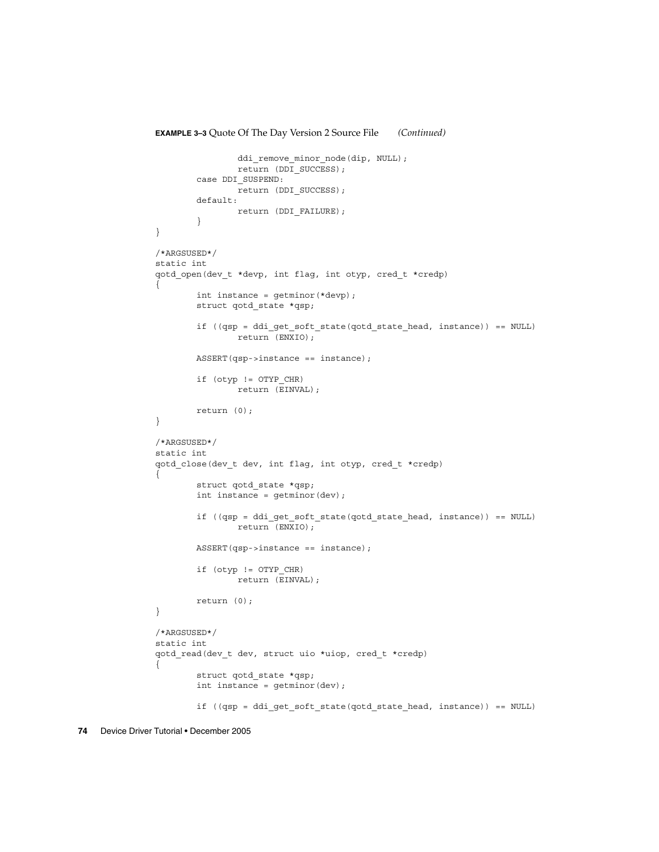```
EXAMPLE 3–3 Quote Of The Day Version 2 Source File (Continued)
                ddi_remove_minor_node(dip, NULL);
                return (DDI_SUCCESS);
        case DDI_SUSPEND:
               return (DDI_SUCCESS);
        default:
               return (DDI_FAILURE);
        }
}
/*ARGSUSED*/
static int
qotd_open(dev_t *devp, int flag, int otyp, cred_t *credp)
{
        int instance = getminor(*devp);
        struct qotd_state *qsp;
        if ((qsp = ddi get soft state(qotd state head, instance)) == NULL)
                return (ENXIO);
        ASSERT(qsp->instance == instance);
        if (otyp != OTYP_CHR)
                return (EINVAL);
        return (0);
}
/*ARGSUSED*/
static int
qotd_close(dev_t dev, int flag, int otyp, cred_t *credp)
{
        struct qotd_state *qsp;
        int instance = getminor(dev);
        if ((qsp = ddi get soft state(qotd state head, instance)) == NULL)
                return (ENXIO);
        ASSERT(qsp->instance == instance);
        if (otyp != OTYP_CHR)
                return (EINVAL);
        return (0);
}
/*ARGSUSED*/
static int
qotd_read(dev_t dev, struct uio *uiop, cred_t *credp)
{
        struct qotd_state *qsp;
        int instance = getminor(dev);
        if ((qsp = ddi get soft state(qotd state head, instance)) == NULL)
```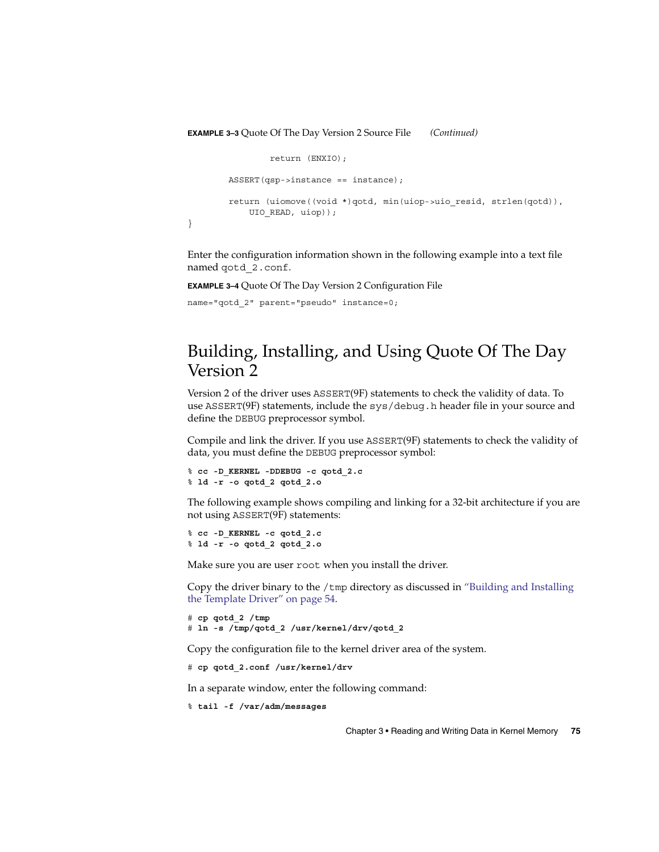```
return (ENXIO);
ASSERT(qsp->instance == instance);
return (uiomove((void *)qotd, min(uiop->uio_resid, strlen(qotd)),
   UIO_READ, uiop));
```
Enter the configuration information shown in the following example into a text file named qotd\_2.conf.

**EXAMPLE 3–4** Quote Of The Day Version 2 Configuration File

name="qotd\_2" parent="pseudo" instance=0;

}

## Building, Installing, and Using Quote Of The Day Version 2

Version 2 of the driver uses ASSERT(9F) statements to check the validity of data. To use ASSERT(9F) statements, include the sys/debug.h header file in your source and define the DEBUG preprocessor symbol.

Compile and link the driver. If you use ASSERT(9F) statements to check the validity of data, you must define the DEBUG preprocessor symbol:

```
% cc -D_KERNEL -DDEBUG -c qotd_2.c
% ld -r -o qotd_2 qotd_2.o
```
The following example shows compiling and linking for a 32-bit architecture if you are not using ASSERT(9F) statements:

```
% cc -D_KERNEL -c qotd_2.c
% ld -r -o qotd_2 qotd_2.o
```
Make sure you are user root when you install the driver.

Copy the driver binary to the /tmp directory as discussed in ["Building and Installing](#page-53-0) [the Template Driver"](#page-53-0) on page 54.

```
# cp qotd_2 /tmp
# ln -s /tmp/qotd_2 /usr/kernel/drv/qotd_2
```
Copy the configuration file to the kernel driver area of the system.

```
# cp qotd_2.conf /usr/kernel/drv
```
In a separate window, enter the following command:

```
% tail -f /var/adm/messages
```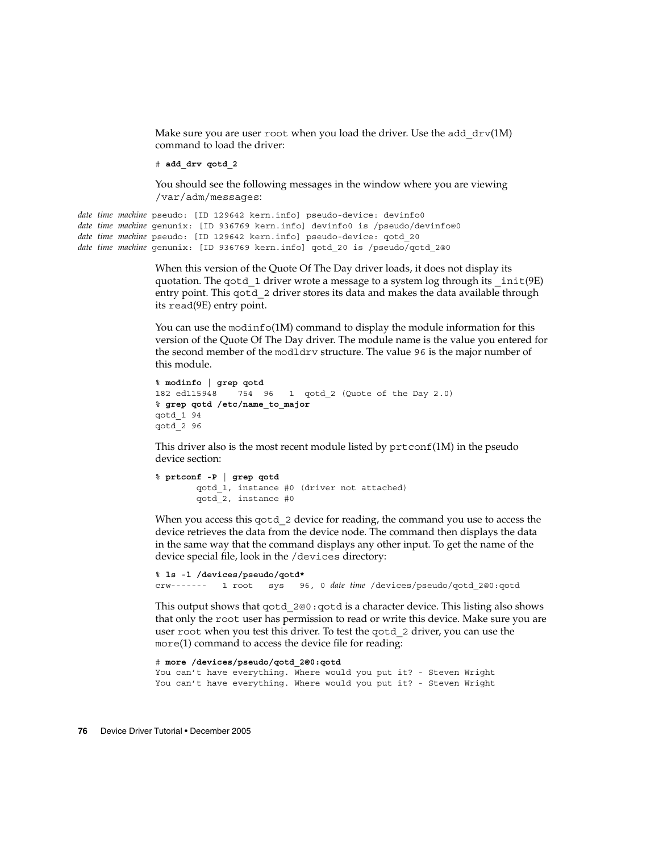Make sure you are user root when you load the driver. Use the add  $\text{drv}(1\text{M})$ command to load the driver:

# **add\_drv qotd\_2**

You should see the following messages in the window where you are viewing /var/adm/messages:

```
date time machine pseudo: [ID 129642 kern.info] pseudo-device: devinfo0
date time machine genunix: [ID 936769 kern.info] devinfo0 is /pseudo/devinfo@0
date time machine pseudo: [ID 129642 kern.info] pseudo-device: qotd_20
date time machine genunix: [ID 936769 kern.info] qotd_20 is /pseudo/qotd_2@0
```
When this version of the Quote Of The Day driver loads, it does not display its quotation. The gotd 1 driver wrote a message to a system log through its  $int(9E)$ entry point. This gotd 2 driver stores its data and makes the data available through its read(9E) entry point.

You can use the modinfo(1M) command to display the module information for this version of the Quote Of The Day driver. The module name is the value you entered for the second member of the modldrv structure. The value 96 is the major number of this module.

```
% modinfo | grep qotd
182 ed115948 754 96 1 qotd_2 (Quote of the Day 2.0)
% grep qotd /etc/name_to_major
qotd_1 94
qotd_2 96
```
This driver also is the most recent module listed by  $prtconf(1M)$  in the pseudo device section:

```
% prtconf -P | grep qotd
       qotd_1, instance #0 (driver not attached)
       qotd_2, instance #0
```
When you access this gotd 2 device for reading, the command you use to access the device retrieves the data from the device node. The command then displays the data in the same way that the command displays any other input. To get the name of the device special file, look in the /devices directory:

```
% ls -l /devices/pseudo/qotd*
crw------- 1 root sys 96, 0 date time /devices/pseudo/qotd_2@0:qotd
```
This output shows that  $qotd 2@0:qotd$  is a character device. This listing also shows that only the root user has permission to read or write this device. Make sure you are user root when you test this driver. To test the qotd\_2 driver, you can use the more(1) command to access the device file for reading:

```
# more /devices/pseudo/qotd_2@0:qotd
You can't have everything. Where would you put it? - Steven Wright
You can't have everything. Where would you put it? - Steven Wright
```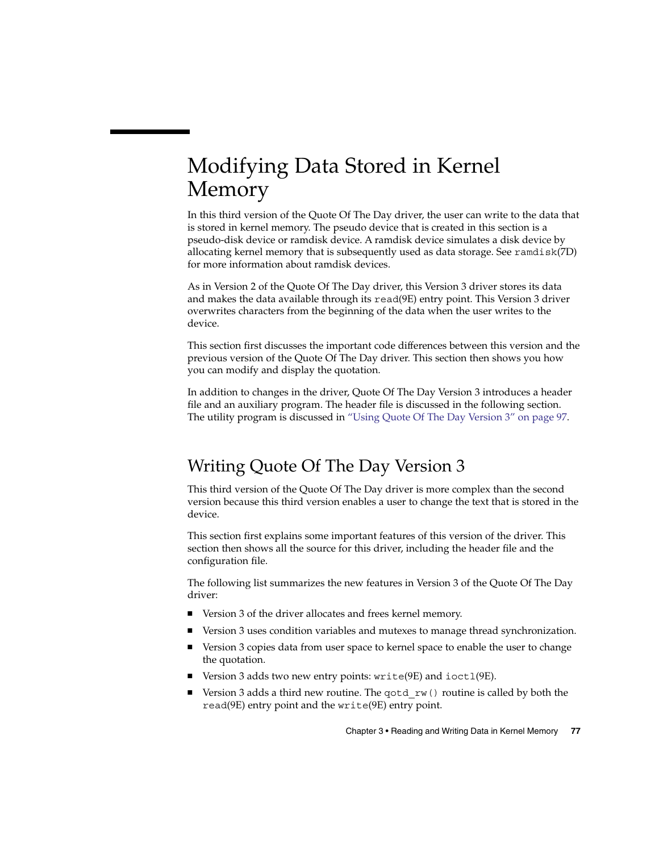# Modifying Data Stored in Kernel Memory

In this third version of the Quote Of The Day driver, the user can write to the data that is stored in kernel memory. The pseudo device that is created in this section is a pseudo-disk device or ramdisk device. A ramdisk device simulates a disk device by allocating kernel memory that is subsequently used as data storage. See ramdisk(7D) for more information about ramdisk devices.

As in Version 2 of the Quote Of The Day driver, this Version 3 driver stores its data and makes the data available through its read(9E) entry point. This Version 3 driver overwrites characters from the beginning of the data when the user writes to the device.

This section first discusses the important code differences between this version and the previous version of the Quote Of The Day driver. This section then shows you how you can modify and display the quotation.

In addition to changes in the driver, Quote Of The Day Version 3 introduces a header file and an auxiliary program. The header file is discussed in the following section. The utility program is discussed in ["Using Quote Of The Day Version 3"](#page-96-0) on page 97.

# Writing Quote Of The Day Version 3

This third version of the Quote Of The Day driver is more complex than the second version because this third version enables a user to change the text that is stored in the device.

This section first explains some important features of this version of the driver. This section then shows all the source for this driver, including the header file and the configuration file.

The following list summarizes the new features in Version 3 of the Quote Of The Day driver:

- Version 3 of the driver allocates and frees kernel memory.
- Version 3 uses condition variables and mutexes to manage thread synchronization.
- Version 3 copies data from user space to kernel space to enable the user to change the quotation.
- Version 3 adds two new entry points: write(9E) and ioct1(9E).
- Version 3 adds a third new routine. The qotd  $rw($  routine is called by both the read(9E) entry point and the write(9E) entry point.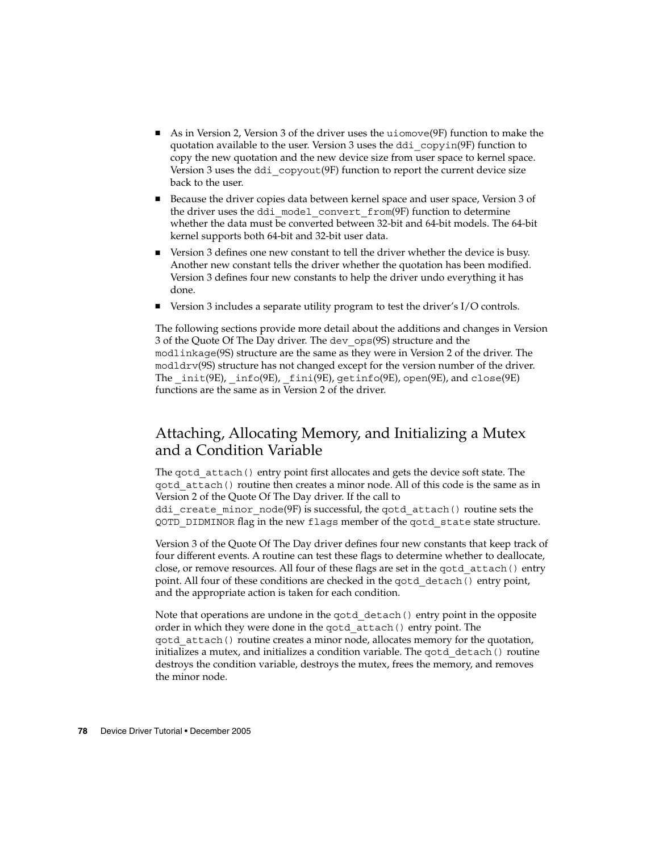- As in Version 2, Version 3 of the driver uses the uiomove(9F) function to make the quotation available to the user. Version 3 uses the ddi\_copyin(9F) function to copy the new quotation and the new device size from user space to kernel space. Version 3 uses the ddi\_copyout(9F) function to report the current device size back to the user.
- Because the driver copies data between kernel space and user space, Version 3 of the driver uses the ddi\_model\_convert\_from(9F) function to determine whether the data must be converted between 32-bit and 64-bit models. The 64-bit kernel supports both 64-bit and 32-bit user data.
- Version 3 defines one new constant to tell the driver whether the device is busy. Another new constant tells the driver whether the quotation has been modified. Version 3 defines four new constants to help the driver undo everything it has done.
- Version 3 includes a separate utility program to test the driver's I/O controls.

The following sections provide more detail about the additions and changes in Version 3 of the Quote Of The Day driver. The dev\_ops(9S) structure and the modlinkage(9S) structure are the same as they were in Version 2 of the driver. The modldrv(9S) structure has not changed except for the version number of the driver. The  $int(9E)$ ,  $info(9E)$ ,  $fini(9E)$ ,  $getinfo(9E)$ ,  $open(9E)$ , and  $close(9E)$ functions are the same as in Version 2 of the driver.

## Attaching, Allocating Memory, and Initializing a Mutex and a Condition Variable

The qotd attach() entry point first allocates and gets the device soft state. The qotd\_attach() routine then creates a minor node. All of this code is the same as in Version 2 of the Quote Of The Day driver. If the call to ddi create minor node(9F) is successful, the qotd attach() routine sets the QOTD\_DIDMINOR flag in the new flags member of the qotd\_state state structure.

Version 3 of the Quote Of The Day driver defines four new constants that keep track of four different events. A routine can test these flags to determine whether to deallocate, close, or remove resources. All four of these flags are set in the qotd\_attach() entry point. All four of these conditions are checked in the qotd\_detach() entry point, and the appropriate action is taken for each condition.

Note that operations are undone in the qotd\_detach() entry point in the opposite order in which they were done in the qotd\_attach() entry point. The qotd\_attach() routine creates a minor node, allocates memory for the quotation, initializes a mutex, and initializes a condition variable. The qotd\_detach() routine destroys the condition variable, destroys the mutex, frees the memory, and removes the minor node.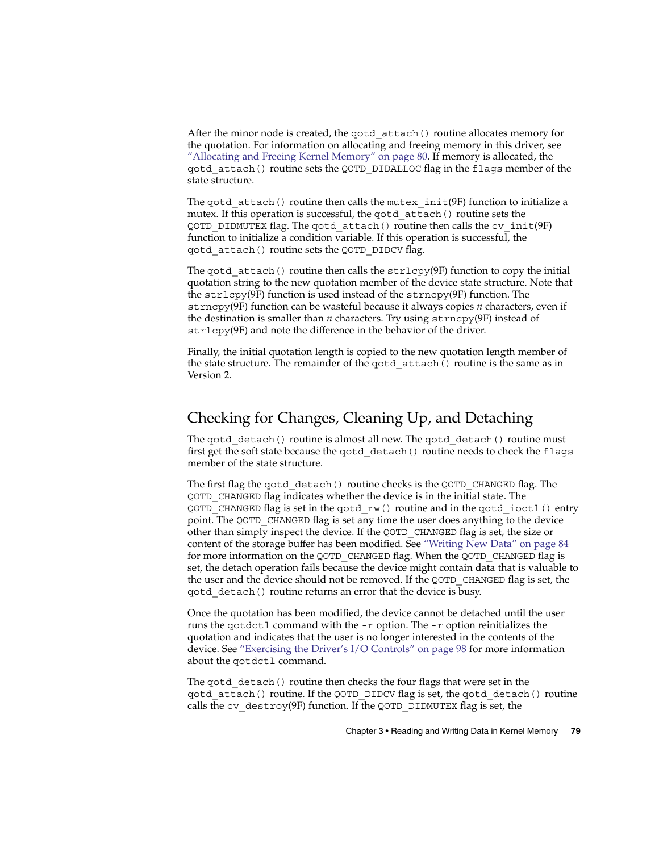After the minor node is created, the qotd\_attach() routine allocates memory for the quotation. For information on allocating and freeing memory in this driver, see ["Allocating and Freeing Kernel Memory"](#page-79-0) on page 80. If memory is allocated, the qotd\_attach() routine sets the QOTD\_DIDALLOC flag in the flags member of the state structure.

The qotd  $attach()$  routine then calls the mutex  $init(9F)$  function to initialize a mutex. If this operation is successful, the qotd\_attach() routine sets the QOTD\_DIDMUTEX flag. The qotd\_attach() routine then calls the cv\_init(9F) function to initialize a condition variable. If this operation is successful, the qotd\_attach() routine sets the QOTD\_DIDCV flag.

The gotd  $attach()$  routine then calls the  $strlcpy(9F)$  function to copy the initial quotation string to the new quotation member of the device state structure. Note that the strlcpy(9F) function is used instead of the strncpy(9F) function. The strncpy(9F) function can be wasteful because it always copies *n* characters, even if the destination is smaller than *n* characters. Try using strncpy(9F) instead of strlcpy(9F) and note the difference in the behavior of the driver.

Finally, the initial quotation length is copied to the new quotation length member of the state structure. The remainder of the qotd\_attach() routine is the same as in Version 2.

### Checking for Changes, Cleaning Up, and Detaching

The gotd  $detach()$  routine is almost all new. The gotd  $detach()$  routine must first get the soft state because the qotd\_detach() routine needs to check the flags member of the state structure.

The first flag the qotd\_detach() routine checks is the QOTD\_CHANGED flag. The QOTD\_CHANGED flag indicates whether the device is in the initial state. The QOTD\_CHANGED flag is set in the qotd\_rw() routine and in the qotd\_ioctl() entry point. The QOTD\_CHANGED flag is set any time the user does anything to the device other than simply inspect the device. If the QOTD\_CHANGED flag is set, the size or content of the storage buffer has been modified. See ["Writing New Data"](#page-83-0) on page 84 for more information on the QOTD\_CHANGED flag. When the QOTD\_CHANGED flag is set, the detach operation fails because the device might contain data that is valuable to the user and the device should not be removed. If the QOTD\_CHANGED flag is set, the qotd\_detach() routine returns an error that the device is busy.

Once the quotation has been modified, the device cannot be detached until the user runs the qotdctl command with the -r option. The -r option reinitializes the quotation and indicates that the user is no longer interested in the contents of the device. See ["Exercising the Driver's I/O Controls"](#page-97-0) on page 98 for more information about the qotdctl command.

The gotd detach() routine then checks the four flags that were set in the qotd\_attach() routine. If the QOTD\_DIDCV flag is set, the qotd\_detach() routine calls the  $cv$  destroy(9F) function. If the QOTD DIDMUTEX flag is set, the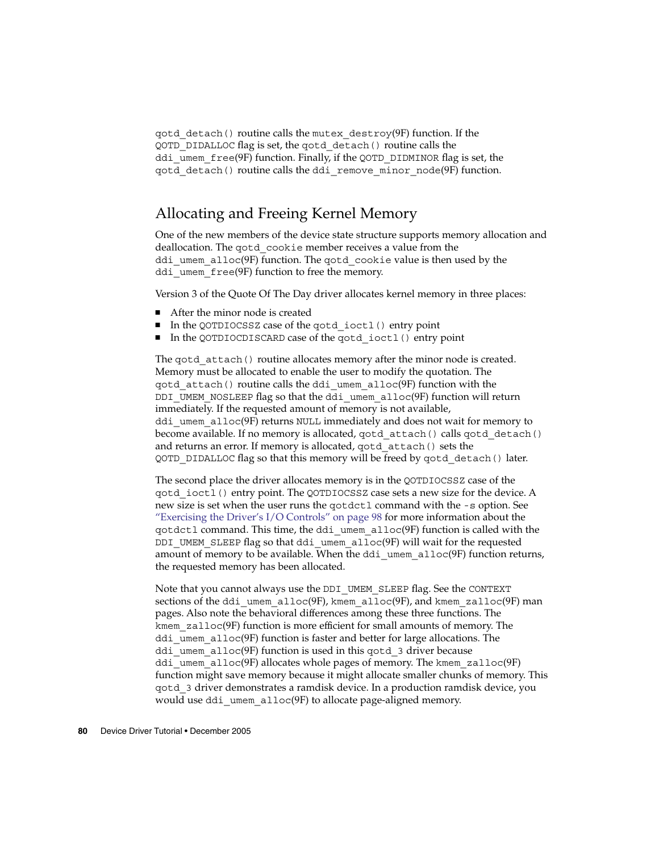<span id="page-79-0"></span>qotd\_detach() routine calls the mutex\_destroy(9F) function. If the QOTD\_DIDALLOC flag is set, the qotd\_detach() routine calls the ddi umem free(9F) function. Finally, if the QOTD DIDMINOR flag is set, the qotd\_detach() routine calls the ddi\_remove\_minor\_node(9F) function.

### Allocating and Freeing Kernel Memory

One of the new members of the device state structure supports memory allocation and deallocation. The qotd\_cookie member receives a value from the ddi umem  $\alpha$ lloc(9F) function. The gotd cookie value is then used by the ddi umem free(9F) function to free the memory.

Version 3 of the Quote Of The Day driver allocates kernel memory in three places:

- After the minor node is created
- In the QOTDIOCSSZ case of the gotd ioctl() entry point
- In the QOTDIOCDISCARD case of the qotd ioctl() entry point

The gotd  $attach()$  routine allocates memory after the minor node is created. Memory must be allocated to enable the user to modify the quotation. The qotd\_attach() routine calls the ddi\_umem\_alloc(9F) function with the DDI UMEM NOSLEEP flag so that the ddi umem  $alloc(9F)$  function will return immediately. If the requested amount of memory is not available, ddi umem alloc(9F) returns NULL immediately and does not wait for memory to become available. If no memory is allocated, qotd\_attach() calls qotd\_detach() and returns an error. If memory is allocated, qotd\_attach() sets the QOTD\_DIDALLOC flag so that this memory will be freed by qotd\_detach() later.

The second place the driver allocates memory is in the QOTDIOCSSZ case of the qotd\_ioctl() entry point. The QOTDIOCSSZ case sets a new size for the device. A new size is set when the user runs the qotdctl command with the -s option. See ["Exercising the Driver's I/O Controls"](#page-97-0) on page 98 for more information about the qotdctl command. This time, the ddi\_umem\_alloc(9F) function is called with the DDI UMEM SLEEP flag so that ddi umem  $alloc(9F)$  will wait for the requested amount of memory to be available. When the ddi\_umem\_alloc(9F) function returns, the requested memory has been allocated.

Note that you cannot always use the DDI UMEM SLEEP flag. See the CONTEXT sections of the ddi\_umem\_alloc(9F), kmem\_alloc(9F), and kmem\_zalloc(9F) man pages. Also note the behavioral differences among these three functions. The kmem zalloc(9F) function is more efficient for small amounts of memory. The ddi\_umem\_alloc(9F) function is faster and better for large allocations. The ddi umem alloc(9F) function is used in this gotd  $3$  driver because ddi umem alloc(9F) allocates whole pages of memory. The kmem  $z$ alloc(9F) function might save memory because it might allocate smaller chunks of memory. This qotd\_3 driver demonstrates a ramdisk device. In a production ramdisk device, you would use ddi umem alloc(9F) to allocate page-aligned memory.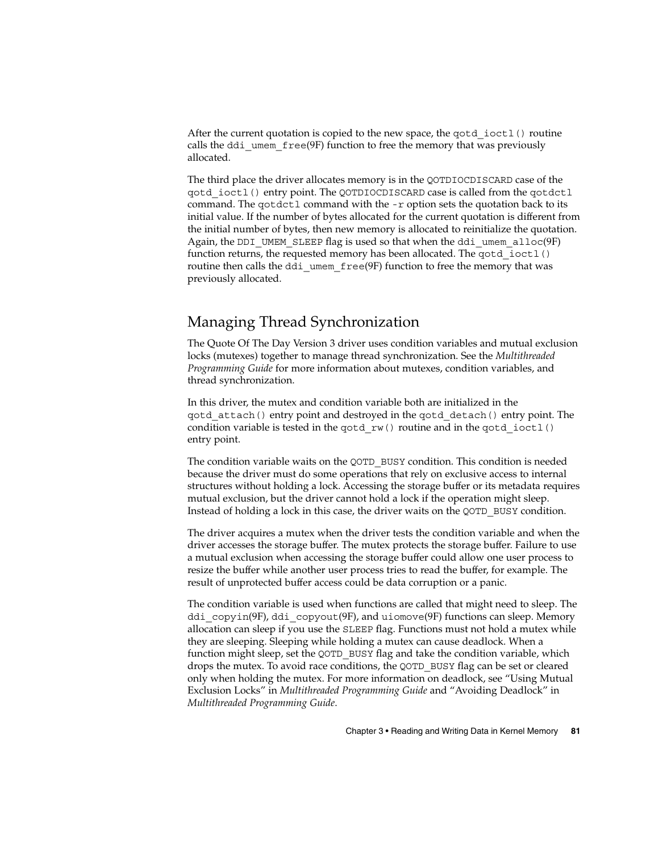After the current quotation is copied to the new space, the qotd\_ioctl() routine calls the ddi umem  $free(9F)$  function to free the memory that was previously allocated.

The third place the driver allocates memory is in the QOTDIOCDISCARD case of the qotd\_ioctl() entry point. The QOTDIOCDISCARD case is called from the qotdctl command. The qotdctl command with the -r option sets the quotation back to its initial value. If the number of bytes allocated for the current quotation is different from the initial number of bytes, then new memory is allocated to reinitialize the quotation. Again, the DDI UMEM SLEEP flag is used so that when the ddi umem alloc(9F) function returns, the requested memory has been allocated. The gotd ioctl() routine then calls the ddi\_umem\_free(9F) function to free the memory that was previously allocated.

### Managing Thread Synchronization

The Quote Of The Day Version 3 driver uses condition variables and mutual exclusion locks (mutexes) together to manage thread synchronization. See the *Multithreaded Programming Guide* for more information about mutexes, condition variables, and thread synchronization.

In this driver, the mutex and condition variable both are initialized in the qotd\_attach() entry point and destroyed in the qotd\_detach() entry point. The condition variable is tested in the gotd  $rw()$  routine and in the gotd  $i$ octl $()$ entry point.

The condition variable waits on the QOTD\_BUSY condition. This condition is needed because the driver must do some operations that rely on exclusive access to internal structures without holding a lock. Accessing the storage buffer or its metadata requires mutual exclusion, but the driver cannot hold a lock if the operation might sleep. Instead of holding a lock in this case, the driver waits on the QOTD\_BUSY condition.

The driver acquires a mutex when the driver tests the condition variable and when the driver accesses the storage buffer. The mutex protects the storage buffer. Failure to use a mutual exclusion when accessing the storage buffer could allow one user process to resize the buffer while another user process tries to read the buffer, for example. The result of unprotected buffer access could be data corruption or a panic.

The condition variable is used when functions are called that might need to sleep. The ddi copyin(9F), ddi copyout(9F), and uiomove(9F) functions can sleep. Memory allocation can sleep if you use the SLEEP flag. Functions must not hold a mutex while they are sleeping. Sleeping while holding a mutex can cause deadlock. When a function might sleep, set the QOTD\_BUSY flag and take the condition variable, which drops the mutex. To avoid race conditions, the QOTD\_BUSY flag can be set or cleared only when holding the mutex. For more information on deadlock, see "Using Mutual Exclusion Locks" in *Multithreaded Programming Guide* and "Avoiding Deadlock" in *Multithreaded Programming Guide*.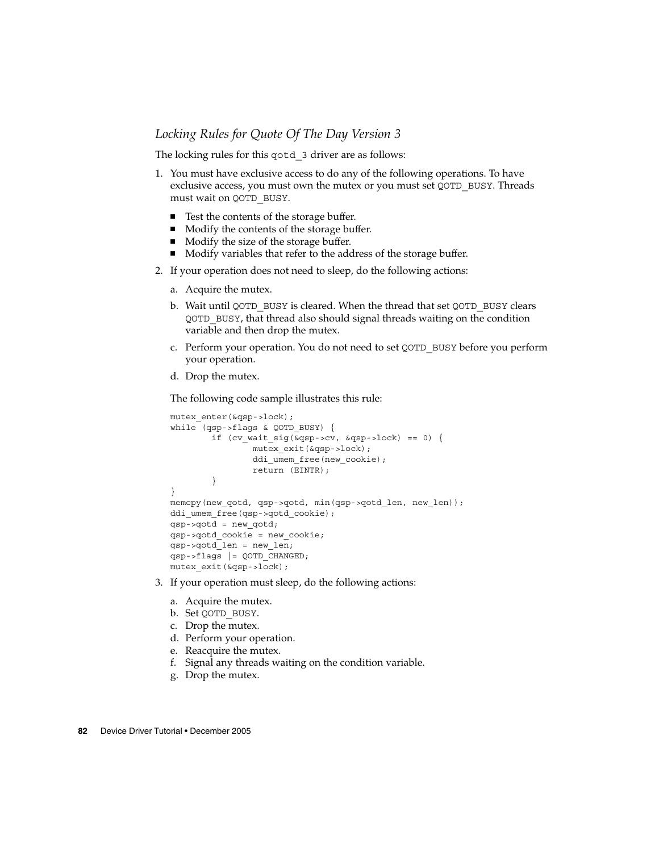#### *Locking Rules for Quote Of The Day Version 3*

The locking rules for this qotd 3 driver are as follows:

- 1. You must have exclusive access to do any of the following operations. To have exclusive access, you must own the mutex or you must set QOTD\_BUSY. Threads must wait on QOTD\_BUSY.
	- Test the contents of the storage buffer.
	- Modify the contents of the storage buffer.
	- Modify the size of the storage buffer.
	- Modify variables that refer to the address of the storage buffer.
- 2. If your operation does not need to sleep, do the following actions:
	- a. Acquire the mutex.
	- b. Wait until QOTD\_BUSY is cleared. When the thread that set QOTD\_BUSY clears QOTD\_BUSY, that thread also should signal threads waiting on the condition variable and then drop the mutex.
	- c. Perform your operation. You do not need to set QOTD\_BUSY before you perform your operation.
	- d. Drop the mutex.

The following code sample illustrates this rule:

```
mutex_enter(&qsp->lock);
while (qsp->flags & QOTD_BUSY) {
        if (cv wait sig(\&qsp{-}zcv, \&qsp{-}slock) == 0) {
                mutex_exit(&qsp->lock);
                ddi umem free(new cookie);
                return (EINTR);
        }
}
memcpy(new qotd, qsp->qotd, min(qsp->qotd len, new len));
ddi umem free(qsp->qotd cookie);
qsp->qotd = new_qotd;
qsp->qotd_cookie = new_cookie;
qsp->qotd_len = new_len;
qsp->flags |= QOTD_CHANGED;
mutex_exit(&qsp->lock);
```
- 3. If your operation must sleep, do the following actions:
	- a. Acquire the mutex.
	- b. Set QOTD\_BUSY.
	- c. Drop the mutex.
	- d. Perform your operation.
	- e. Reacquire the mutex.
	- f. Signal any threads waiting on the condition variable.
	- g. Drop the mutex.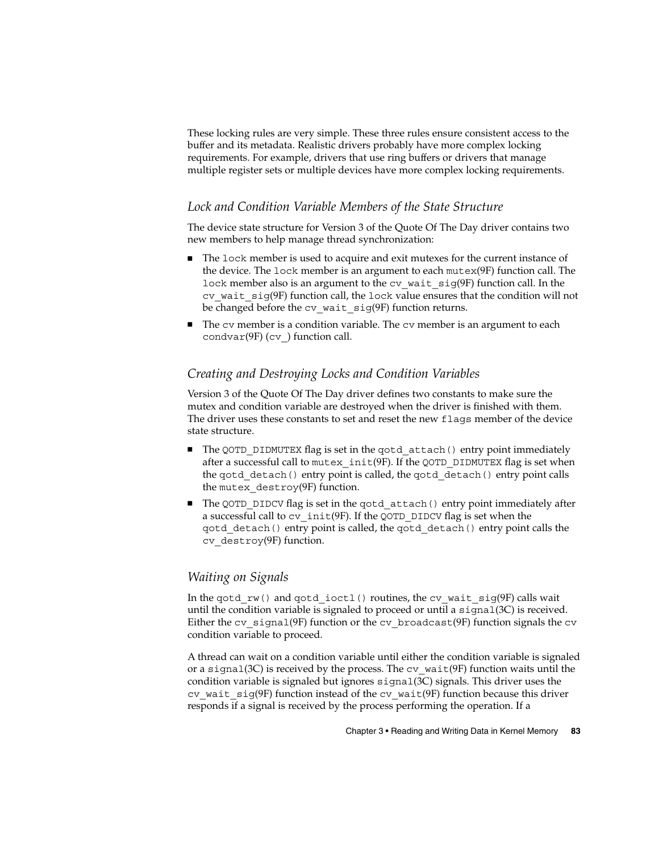These locking rules are very simple. These three rules ensure consistent access to the buffer and its metadata. Realistic drivers probably have more complex locking requirements. For example, drivers that use ring buffers or drivers that manage multiple register sets or multiple devices have more complex locking requirements.

#### *Lock and Condition Variable Members of the State Structure*

The device state structure for Version 3 of the Quote Of The Day driver contains two new members to help manage thread synchronization:

- The lock member is used to acquire and exit mutexes for the current instance of the device. The lock member is an argument to each mutex(9F) function call. The lock member also is an argument to the cv\_wait\_sig(9F) function call. In the  $cv$  wait  $sig(9F)$  function call, the lock value ensures that the condition will not be changed before the cv wait sig(9F) function returns.
- The cv member is a condition variable. The cv member is an argument to each condvar(9F) (cv\_) function call.

#### *Creating and Destroying Locks and Condition Variables*

Version 3 of the Quote Of The Day driver defines two constants to make sure the mutex and condition variable are destroyed when the driver is finished with them. The driver uses these constants to set and reset the new flags member of the device state structure.

- The QOTD\_DIDMUTEX flag is set in the qotd\_attach() entry point immediately after a successful call to mutex  $init(9F)$ . If the QOTD DIDMUTEX flag is set when the gotd detach() entry point is called, the gotd detach() entry point calls the mutex destroy(9F) function.
- The QOTD\_DIDCV flag is set in the gotd\_attach() entry point immediately after a successful call to cv\_init(9F). If the QOTD\_DIDCV flag is set when the qotd\_detach() entry point is called, the qotd\_detach() entry point calls the cv\_destroy(9F) function.

#### *Waiting on Signals*

In the qotd  $rw()$  and qotd ioctl() routines, the cv wait  $sig(9F)$  calls wait until the condition variable is signaled to proceed or until a  $signal(3C)$  is received. Either the cv\_signal(9F) function or the cv\_broadcast(9F) function signals the cv condition variable to proceed.

A thread can wait on a condition variable until either the condition variable is signaled or a signal(3C) is received by the process. The  $cv$  wait(9F) function waits until the condition variable is signaled but ignores  $\pi$  ignal(3C) signals. This driver uses the cv wait  $sig(9F)$  function instead of the cv wait(9F) function because this driver responds if a signal is received by the process performing the operation. If a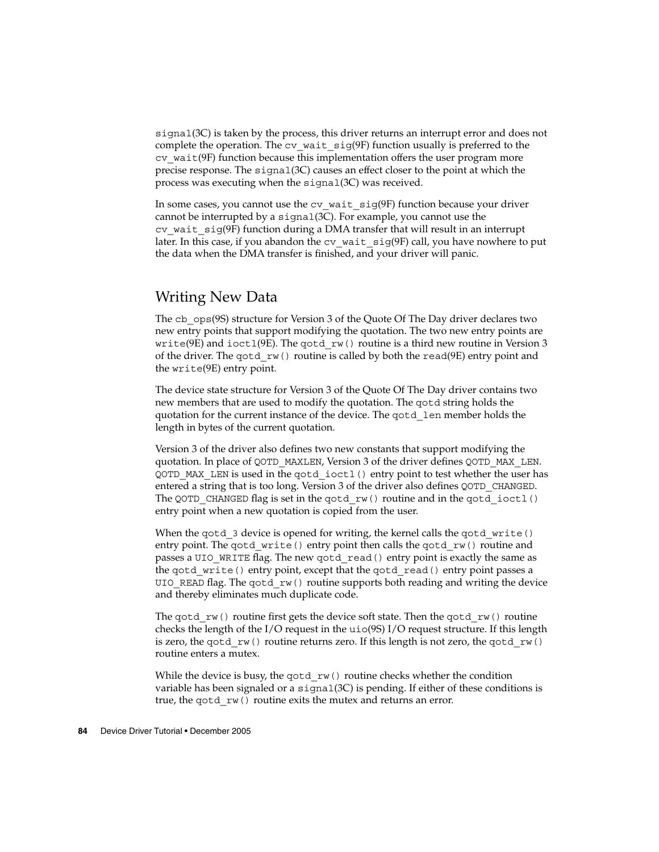<span id="page-83-0"></span>signal(3C) is taken by the process, this driver returns an interrupt error and does not complete the operation. The  $cv$  wait  $sig(9F)$  function usually is preferred to the cv wait(9F) function because this implementation offers the user program more precise response. The signal(3C) causes an effect closer to the point at which the process was executing when the signal(3C) was received.

In some cases, you cannot use the cv\_wait\_sig(9F) function because your driver cannot be interrupted by a signal(3C). For example, you cannot use the  $cv$  wait  $sig(9F)$  function during a DMA transfer that will result in an interrupt later. In this case, if you abandon the  $cv$  wait  $sig(9F)$  call, you have nowhere to put the data when the DMA transfer is finished, and your driver will panic.

#### Writing New Data

The cb\_ops(9S) structure for Version 3 of the Quote Of The Day driver declares two new entry points that support modifying the quotation. The two new entry points are write(9E) and ioctl(9E). The gotd  $rw($  routine is a third new routine in Version 3 of the driver. The gotd  $rw()$  routine is called by both the read(9E) entry point and the write(9E) entry point.

The device state structure for Version 3 of the Quote Of The Day driver contains two new members that are used to modify the quotation. The qotd string holds the quotation for the current instance of the device. The qotd\_len member holds the length in bytes of the current quotation.

Version 3 of the driver also defines two new constants that support modifying the quotation. In place of QOTD\_MAXLEN, Version 3 of the driver defines QOTD\_MAX\_LEN. QOTD\_MAX\_LEN is used in the qotd\_ioctl() entry point to test whether the user has entered a string that is too long. Version 3 of the driver also defines QOTD\_CHANGED. The QOTD CHANGED flag is set in the qotd  $rw()$  routine and in the qotd  $i$ octl() entry point when a new quotation is copied from the user.

When the qotd 3 device is opened for writing, the kernel calls the qotd write() entry point. The gotd write() entry point then calls the gotd rw() routine and passes a UIO\_WRITE flag. The new qotd\_read() entry point is exactly the same as the gotd write() entry point, except that the gotd read() entry point passes a UIO READ flag. The gotd  $rw()$  routine supports both reading and writing the device and thereby eliminates much duplicate code.

The gotd  $rw()$  routine first gets the device soft state. Then the gotd  $rw()$  routine checks the length of the I/O request in the uio(9S) I/O request structure. If this length is zero, the gotd  $rw()$  routine returns zero. If this length is not zero, the gotd  $rw()$ routine enters a mutex.

While the device is busy, the gotd  $rw()$  routine checks whether the condition variable has been signaled or a  $signal(3C)$  is pending. If either of these conditions is true, the qotd\_rw() routine exits the mutex and returns an error.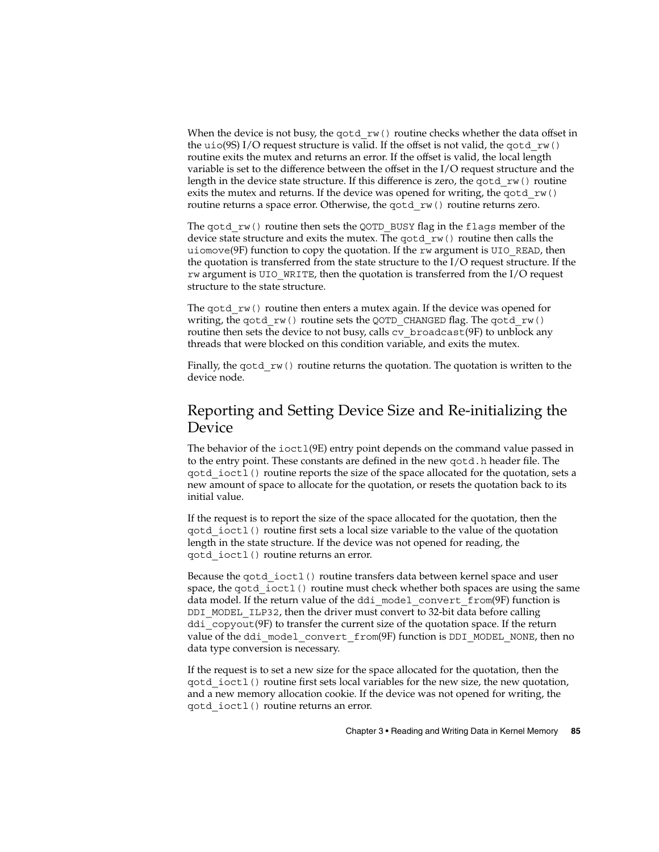When the device is not busy, the gotd  $rw($ ) routine checks whether the data offset in the uio(9S) I/O request structure is valid. If the offset is not valid, the gotd  $rw()$ routine exits the mutex and returns an error. If the offset is valid, the local length variable is set to the difference between the offset in the I/O request structure and the length in the device state structure. If this difference is zero, the  $qotdrw()$  routine exits the mutex and returns. If the device was opened for writing, the gotd  $rw()$ routine returns a space error. Otherwise, the gotd rw() routine returns zero.

The gotd  $rw()$  routine then sets the QOTD BUSY flag in the flags member of the device state structure and exits the mutex. The gotd  $rw()$  routine then calls the uiomove( $9F$ ) function to copy the quotation. If the rw argument is UIO READ, then the quotation is transferred from the state structure to the I/O request structure. If the rw argument is UIO WRITE, then the quotation is transferred from the I/O request structure to the state structure.

The qotd rw() routine then enters a mutex again. If the device was opened for writing, the gotd  $rw()$  routine sets the QOTD CHANGED flag. The gotd  $rw()$ routine then sets the device to not busy, calls cv broadcast(9F) to unblock any threads that were blocked on this condition variable, and exits the mutex.

Finally, the gotd  $rw($  routine returns the quotation. The quotation is written to the device node.

### Reporting and Setting Device Size and Re-initializing the Device

The behavior of the ioct1(9E) entry point depends on the command value passed in to the entry point. These constants are defined in the new gotd.h header file. The qotd\_ioctl() routine reports the size of the space allocated for the quotation, sets a new amount of space to allocate for the quotation, or resets the quotation back to its initial value.

If the request is to report the size of the space allocated for the quotation, then the qotd\_ioctl() routine first sets a local size variable to the value of the quotation length in the state structure. If the device was not opened for reading, the qotd\_ioctl() routine returns an error.

Because the gotd ioctl() routine transfers data between kernel space and user space, the gotd ioctl() routine must check whether both spaces are using the same data model. If the return value of the ddi model convert from(9F) function is DDI\_MODEL\_ILP32, then the driver must convert to 32-bit data before calling ddi  $\gamma$  copyout (9F) to transfer the current size of the quotation space. If the return value of the ddi\_model\_convert\_from(9F) function is DDI\_MODEL\_NONE, then no data type conversion is necessary.

If the request is to set a new size for the space allocated for the quotation, then the qotd\_ioctl() routine first sets local variables for the new size, the new quotation, and a new memory allocation cookie. If the device was not opened for writing, the qotd\_ioctl() routine returns an error.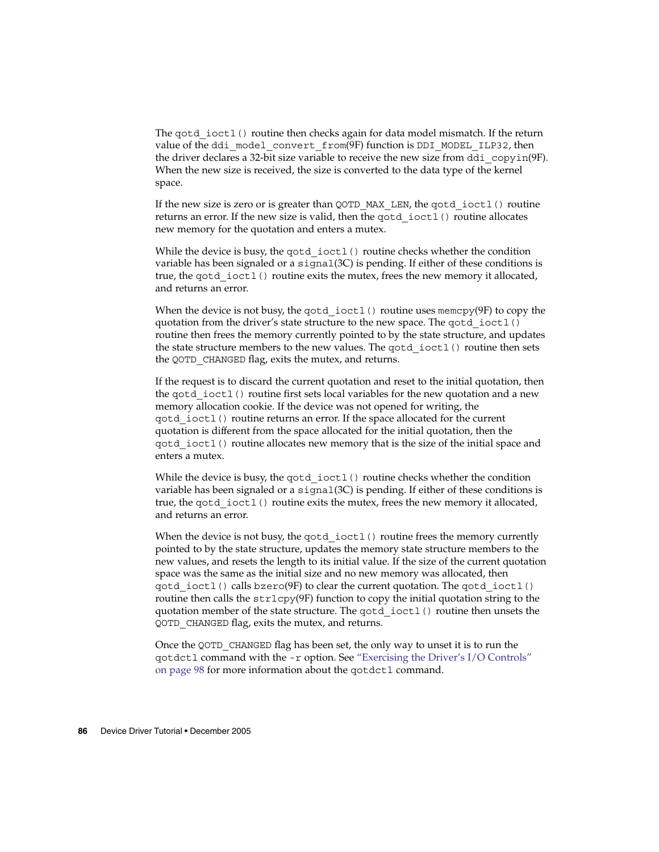The gotd ioctl() routine then checks again for data model mismatch. If the return value of the ddi\_model\_convert\_from(9F) function is DDI\_MODEL\_ILP32, then the driver declares a 32-bit size variable to receive the new size from ddi\_copyin(9F). When the new size is received, the size is converted to the data type of the kernel space.

If the new size is zero or is greater than QOTD\_MAX\_LEN, the qotd\_ioctl() routine returns an error. If the new size is valid, then the qotd\_ioctl() routine allocates new memory for the quotation and enters a mutex.

While the device is busy, the gotd  $i$  ioctl() routine checks whether the condition variable has been signaled or a  $\pi$  signal(3C) is pending. If either of these conditions is true, the qotd ioctl() routine exits the mutex, frees the new memory it allocated, and returns an error.

When the device is not busy, the gotd ioctl() routine uses memcpy(9F) to copy the quotation from the driver's state structure to the new space. The qotd\_ioctl() routine then frees the memory currently pointed to by the state structure, and updates the state structure members to the new values. The qotd ioctl() routine then sets the QOTD\_CHANGED flag, exits the mutex, and returns.

If the request is to discard the current quotation and reset to the initial quotation, then the qotd\_ioctl() routine first sets local variables for the new quotation and a new memory allocation cookie. If the device was not opened for writing, the qotd\_ioctl() routine returns an error. If the space allocated for the current quotation is different from the space allocated for the initial quotation, then the qotd\_ioctl() routine allocates new memory that is the size of the initial space and enters a mutex.

While the device is busy, the gotd ioctl() routine checks whether the condition variable has been signaled or a  $signal(3C)$  is pending. If either of these conditions is true, the gotd ioctl() routine exits the mutex, frees the new memory it allocated, and returns an error.

When the device is not busy, the gotd  $i$  ioctl() routine frees the memory currently pointed to by the state structure, updates the memory state structure members to the new values, and resets the length to its initial value. If the size of the current quotation space was the same as the initial size and no new memory was allocated, then qotd\_ioctl() calls bzero(9F) to clear the current quotation. The qotd\_ioctl() routine then calls the strlcpy(9F) function to copy the initial quotation string to the quotation member of the state structure. The qotd\_ioctl() routine then unsets the QOTD\_CHANGED flag, exits the mutex, and returns.

Once the QOTD CHANGED flag has been set, the only way to unset it is to run the qotdctl command with the -r option. See ["Exercising the Driver's I/O Controls"](#page-97-0) [on page 98](#page-97-0) for more information about the qotdctl command.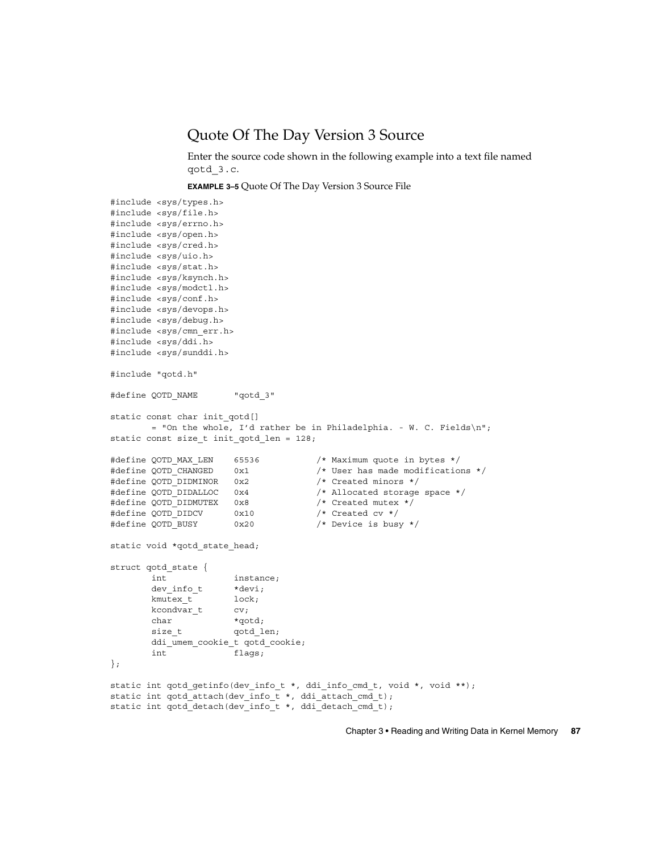#### Quote Of The Day Version 3 Source

Enter the source code shown in the following example into a text file named qotd\_3.c.

**EXAMPLE 3–5** Quote Of The Day Version 3 Source File

```
#include <sys/types.h>
#include <sys/file.h>
#include <sys/errno.h>
#include <sys/open.h>
#include <sys/cred.h>
#include <sys/uio.h>
#include <sys/stat.h>
#include <sys/ksynch.h>
#include <sys/modctl.h>
#include <sys/conf.h>
#include <sys/devops.h>
#include <sys/debug.h>
#include <sys/cmn_err.h>
#include <sys/ddi.h>
#include <sys/sunddi.h>
#include "qotd.h"
#define QOTD_NAME "qotd_3"
static const char init qotd[]
      = "On the whole, I'd rather be in Philadelphia. - W. C. Fields\n";
static const size_t init_qotd_len = 128;
#define QOTD_MAX_LEN 65536 /* Maximum quote in bytes */
#define QOTD_CHANGED 0x1 /* User has made modifications */
#define QOTD_CHANGED 0x1<br>#define QOTD_DIDMINOR 0x2<br>#define QOTD DIDALLOC 0x4
#define QOTD_DIDALLOC 0x4 /* Allocated storage space */
#define QOTD_DIDMUTEX 0x8 /* Created mutex */
#define QOTD_DIDCV 0x10 /* Created cv */
#define QOTD_BUSY 0x20 /* Device is busy */
static void *qotd_state_head;
struct qotd_state {
       int instance;
       dev_info_t *devi;
       kmutex t
      kcondvar_t cv;
       char *qotd;
       size t qotd len;
       ddi_umem_cookie_t qotd_cookie;
       int flags;
};
static int qotd_getinfo(dev_info_t *, ddi_info_cmd_t, void *, void **);
static int qotd_attach(dev_info_t *, ddi_attach_cmd_t);
static int qotd detach(dev info t *, ddi detach cmd t);
```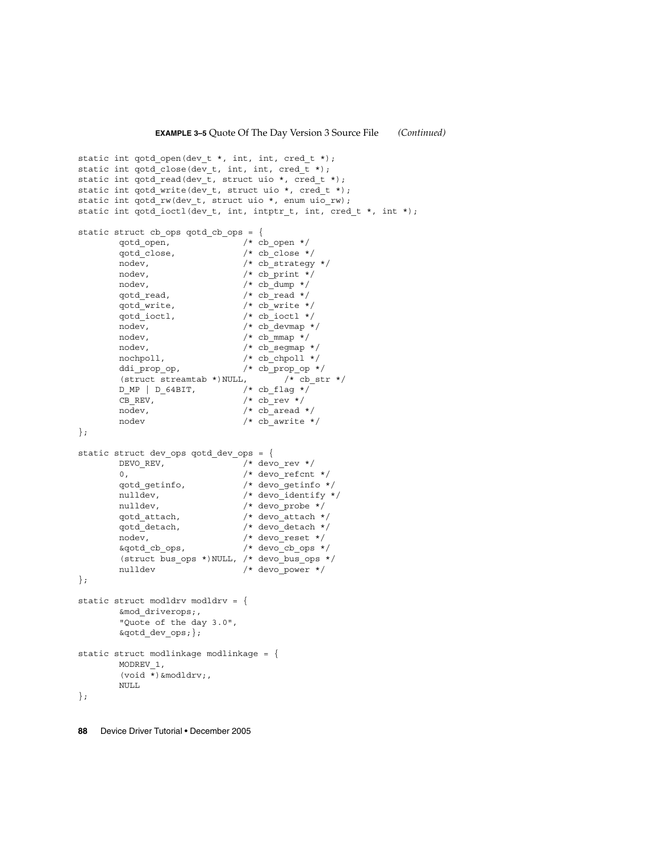```
static int qotd_open(dev_t *, int, int, cred_t *);
static int qotd_c\text{close}(dev_t, int, int, credit, *);static int qotd read(dev_t, struct uio *, cred_t *);
static int qotd write(dev t, struct uio *, cred t *);
static int qotd_rw(dev_t, struct uio *, enum uio_rw);
static int qotd_ioctl(dev_t, int, intptr_t, int, cred_t *, int *);
static struct cb ops qotd cb ops = {
        qotd\_open, \overline{\qquad} /* cb\_open */
        qotd_close, /* cb_close */
        nodev,<br>
/* cb_strategy */<br>
nodev,<br>
/* cb_print */
        nodev, \frac{1}{2} /* cb print */
        nodev, \frac{1}{2} /* cb dump */
        qotd read, /* cb read */
        qotd_write, /* cb_write */
        qotd_ioctl, /* cb_ioctl */
        nodev, /* cb devmap */nodev, /* cb mmap */nodev, /* cb segmap */\text{nochpol1}, /* cb chpoll */ddi prop op, /* cb prop op */
        \frac{1}{\sqrt{2}} (struct streamtab *)NULL, \frac{1}{\sqrt{2}} /* cb_str */
        \texttt{D\_MP} \mid \texttt{D\_64BIT}, \qquad \qquad \texttt{\texttt{/*} cb\_flag * / \texttt{}}\overline{CB\_REV}, \overline{CF\_rev} /* cb_rev */
        \overline{\phantom{a}}nodev, \overline{\phantom{a}} /* cb_aread */
        nodev /* cb_awrite */
};
static struct dev_ops qotd_dev_ops = {
        DEVO REV, /* devorev */0, /* devo refcnt */qotd_getinfo, /* devo_getinfo */
        nulldev, /* devo identify */nulldev, \frac{1}{2} /* devo probe */
        qotd_attach, /* devo_attach */
        qotd_detach, /* devo_detach */
        nodev, /* devo reset */\text{kgotd} cb ops, \frac{1}{2} aevo cb ops */
        (\texttt{struct}~\texttt{bus\_ops}~\star) \texttt{NULL}, \;\; \texttt{\texttt{\texttt{\char'14}x}}~\texttt{devo\_bus\_ops}~\star \texttt{\texttt{\char'14}x}nulldev
};
static struct modldrv modldrv = {
        &mod_driverops;,
        "Quote of the day 3.0",
        &qotd_dev_ops;};
static struct modlinkage modlinkage = {
        MODREV_1,
        (void *)&modldrv;,
        NULL
};
```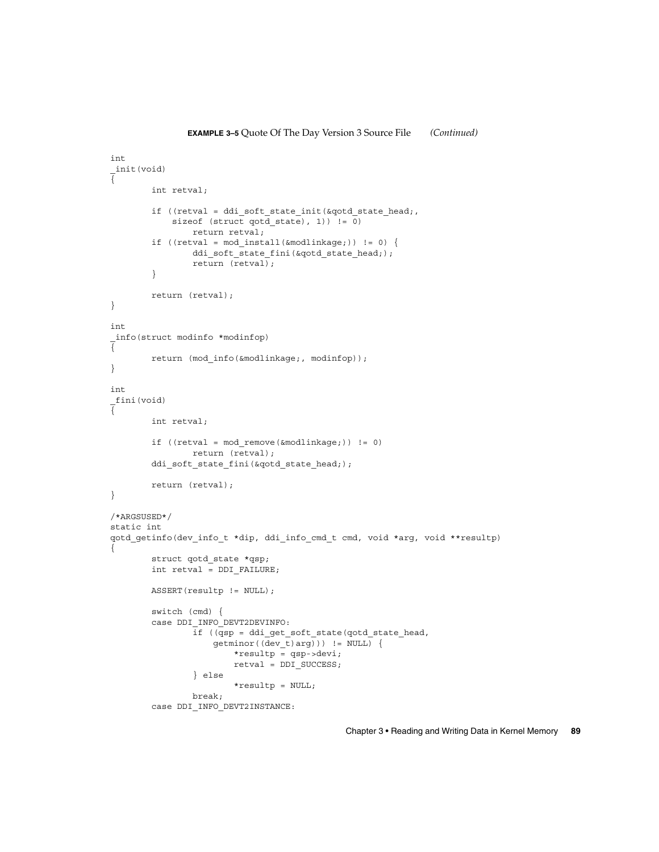```
int
_init(void)
\overline{f}int retval;
        if ((retval = ddi_soft_state_init(&qotd_state_head;,
            sizeof (struct qotd state), 1)) != 0)
                return retval;
        if ((retval = mod\_install(\&modlinkage; )) != 0) {
                ddi soft state fini(&qotd state head;);
                return (retval);
        }
        return (retval);
}
int
_info(struct modinfo *modinfop)
{
        return (mod info(&modlinkage;, modinfop));
}
int
_fini(void)
{
        int retval;
        if ((retval = mod remove(&modlinkage;)) != 0)
                return (retval);
        ddi soft state fini(&qotd state head;);
        return (retval);
}
/*ARGSUSED*/
static int
qotd_getinfo(dev_info_t *dip, ddi_info_cmd_t cmd, void *arg, void **resultp)
{
        struct qotd_state *qsp;
        int retval = DDI FAILURE;
        ASSERT(resultp != NULL);
        switch (cmd) {
        case DDI_INFO_DEVT2DEVINFO:
                 if ((qsp = ddi_get_soft_state(qotd_state_head,
                    getminor((dev_t)arg))) != NULL) {
                         *resultp = qsp->devi;
                         retval = DDI_SUCCESS;
                 } else
                         *resultp = NULL;
                break;
        case DDI_INFO_DEVT2INSTANCE:
```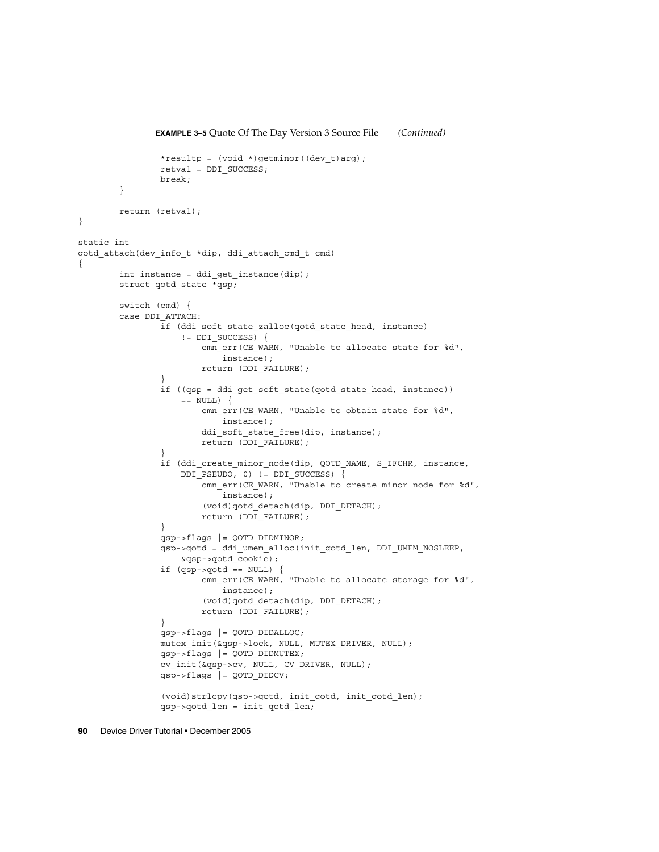```
EXAMPLE 3–5 Quote Of The Day Version 3 Source File (Continued)
                *resultp = (void *)getminor((dev_t)arg);
                retval = DDI_SUCCESS;
                break;
        }
        return (retval);
static int
qotd_attach(dev_info_t *dip, ddi_attach_cmd_t cmd)
        int instance = ddi get instance(dip);
        struct qotd_state *qsp;
        switch (cmd) {
        case DDI_ATTACH:
                if (ddi soft state zalloc(qotd state head, instance)
                    != DDI_SUCCESS) {
                        cmn err(CE WARN, "Unable to allocate state for %d",
                            instance);
                        return (DDI_FAILURE);
                }
                if ((qsp = ddi_get_soft_state(qotd_state_head, instance))
                    == NULL) \{cmn_err(CE_WARN, "Unable to obtain state for %d",
                           instance);
                        ddi_soft_state_free(dip, instance);
                        return (DDI_FAILURE);
                }
                if (ddi create minor node(dip, QOTD NAME, S IFCHR, instance,
                    DDI_PSEUDO, 0) != DDI_SUCCESS) {
                        cmn err(CE WARN, "Unable to create minor node for %d",
                            instance);
                        (void)qotd_detach(dip, DDI_DETACH);
                        return (DDI_FAILURE);
                }
                qsp->flags |= QOTD_DIDMINOR;
                qsp->qotd = ddi_umem_alloc(init_qotd_len, DDI_UMEM_NOSLEEP,
                    &qsp->qotd_cookie);
                if (qsp-)qotd == NULL) {
                        cmn err(CE WARN, "Unable to allocate storage for %d",
                           instance);
                        (void)qotd_detach(dip, DDI_DETACH);
                        return (DDI_FAILURE);
                }
                qsp->flags |= QOTD_DIDALLOC;
                mutex_init(&qsp->lock, NULL, MUTEX_DRIVER, NULL);
                qsp->flags |= QOTD_DIDMUTEX;
                cv_init(&qsp->cv, NULL, CV_DRIVER, NULL);
                qsp->flags |= QOTD_DIDCV;
                (void)strlcpy(qsp->qotd, init_qotd, init_qotd_len);
                qsp->qotd_len = init_qotd_len;
```
#### **90** Device Driver Tutorial • December 2005

}

{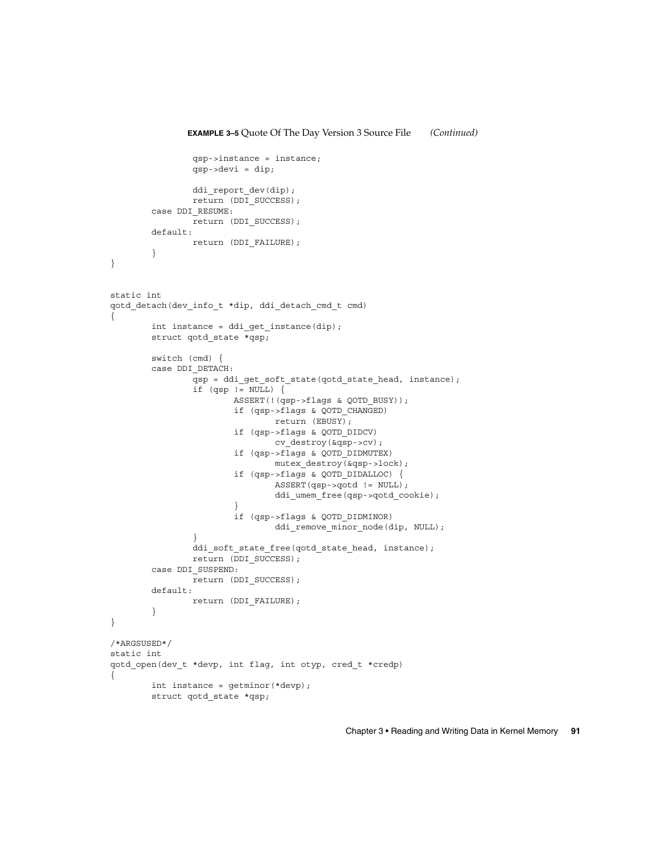```
qsp->instance = instance;
                qsp->devi = dip;
                ddi report dev(dip);
                return (DDI_SUCCESS);
        case DDI_RESUME:
                return (DDI_SUCCESS);
        default:
                return (DDI_FAILURE);
        }
}
static int
qotd_detach(dev_info_t *dip, ddi_detach_cmd_t cmd)
{
        int instance = ddi_get_instance(dip);
        struct qotd_state *qsp;
        switch (cmd) {
        case DDI_DETACH:
                qsp = dd1get_soft\_state(qotd\_state\_head, instance);if (qsp := NULL) {
                        ASSERT(!(qsp->flags & QOTD_BUSY));
                        if (qsp->flags & QOTD_CHANGED)
                                return (EBUSY);
                        if (qsp->flags & QOTD_DIDCV)
                                cv_destroy(&qsp->cv);
                        if (qsp->flags & QOTD_DIDMUTEX)
                                mutex destroy(&qsp->lock);
                         if (qsp->flags & QOTD_DIDALLOC) {
                                 ASSERT(qsp->qotd != NULL);
                                 ddi_umem_free(qsp->qotd_cookie);
                         }
                        if (qsp->flags & QOTD_DIDMINOR)
                                 ddi_remove_minor_node(dip, NULL);
                }
                ddi soft state free(qotd state head, instance);
                return (DDI_SUCCESS);
        case DDI_SUSPEND:
                return (DDI_SUCCESS);
        default:
                return (DDI_FAILURE);
        }
}
/*ARGSUSED*/
static int
qotd_open(dev_t *devp, int flag, int otyp, cred_t *credp)
\left\{ \right.int instance = getminor(*devp);
        struct qotd state *qsp;
```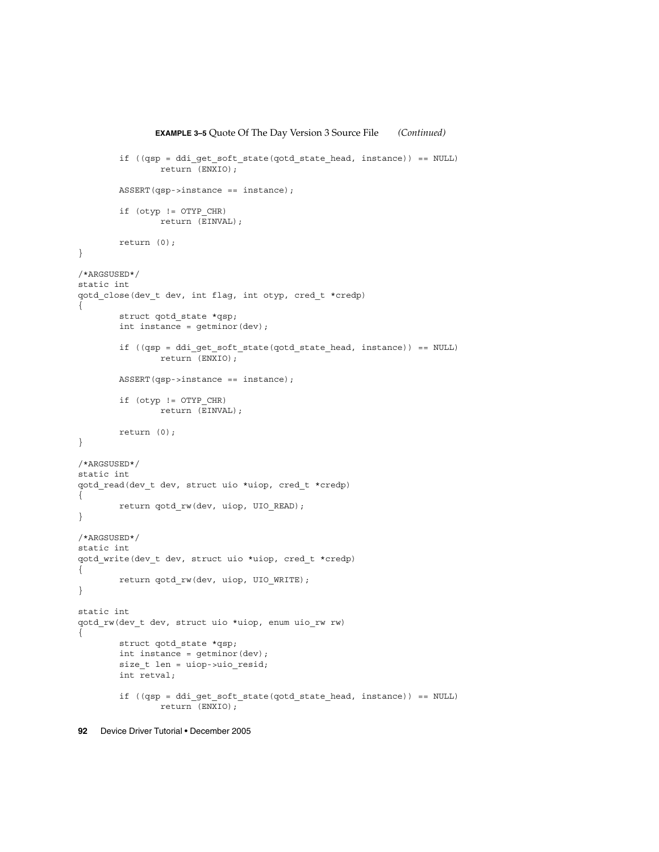```
if ((qsp = ddi_get_soft_state(qotd_state_head, instance)) == NULL)
                return (ENXIO);
        ASSERT(qsp->instance == instance);
        if (otyp != OTYP_CHR)
               return (EINVAL);
        return (0);
}
/*ARGSUSED*/
static int
qotd_close(dev_t dev, int flag, int otyp, cred_t *credp)
{
        struct qotd state *qsp;
        int instance = getminor(dev);
        if ((qsp = ddi_get_soft_state(qotd_state_head, instance)) == NULL)
                return (ENXIO);
        ASSERT(qsp->instance == instance);
        if (otyp != OTYP_CHR)
                return (EINVAL);
       return (0);
}
/*ARGSUSED*/
static int
qotd_read(dev_t dev, struct uio *uiop, cred_t *credp)
{
        return qotd rw(dev, uiop, UIO READ);
}
/*ARGSUSED*/
static int
qotd_write(dev_t dev, struct uio *uiop, cred_t *credp)
{
        return qotd_rw(dev, uiop, UIO_WRITE);
}
static int
qotd_rw(dev_t dev, struct uio *uiop, enum uio_rw rw)
{
        struct qotd_state *qsp;
        int instance = getminor(dev);
        size t len = uiop->uio resid;
        int retval;
        if ((qsp = ddi_get_soft_state(qotd_state_head, instance)) == NULL)
                return (ENXIO);
```
**EXAMPLE 3–5** Quote Of The Day Version 3 Source File *(Continued)*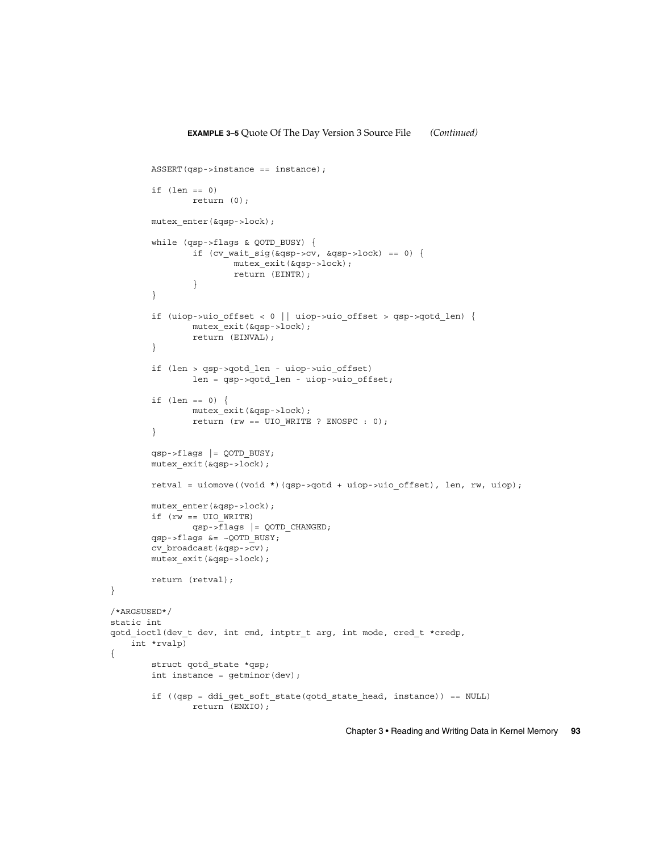```
ASSERT(qsp->instance == instance);
        if (len == 0)
               return (0);
        mutex_enter(&qsp->lock);
        while (qsp->flags & QOTD_BUSY) {
                if (cv wait sig(&qsp->cv, &qsp->lock) == 0) {
                       mutex exit(&qsp->lock);
                       return (EINTR);
                }
        }
        if (uiop->uio offset < 0 || uiop->uio offset > qsp->qotd len) {
                mutex_exit(&qsp->lock);
                return (EINVAL);
        }
        if (len > qsp->qotd_len - uiop->uio_offset)
                len = qsp->qotd_len - uiop->uio_offset;
        if (len == 0) {
                mutex_exit(&qsp->lock);
                return (rw == UIO_WRITE ? ENOSPC : 0);}
        qsp->flags |= QOTD_BUSY;
       mutex_exit(&qsp->lock);
       retval = uiomove((void *)(qsp->qotd + uiop->uio_offset), len, rw, uiop);
       mutex_enter(&qsp->lock);
       if (rw == UIO_WRITE)
                qsp->flags |= QOTD_CHANGED;
        qsp->flags &= ~QOTD_BUSY;
       cv_broadcast(&qsp->cv);
       mutex_exit(&qsp->lock);
       return (retval);
/*ARGSUSED*/
static int
qotd_ioctl(dev_t dev, int cmd, intptr_t arg, int mode, cred_t *credp,
   int *rvalp)
        struct qotd state *qsp;
        int instance = getminor(dev);
        if ((qsp = ddi_get_soft_state(qotd_state_head, instance)) == NULL)
                return (ENXIO);
```
}

{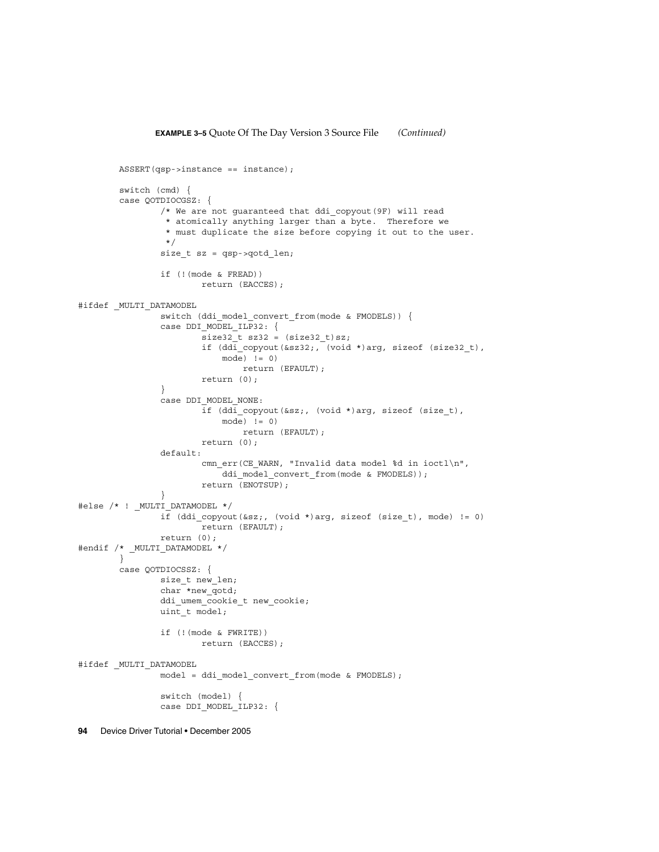```
ASSERT(qsp->instance == instance);
        switch (cmd) {
        case QOTDIOCGSZ: {
                /* We are not guaranteed that ddi_copyout(9F) will read
                 * atomically anything larger than a byte. Therefore we
                * must duplicate the size before copying it out to the user.
                */
               size t sz = qsp->qotd len;
                if (!(mode & FREAD))
                       return (EACCES);
#ifdef _MULTI_DATAMODEL
               switch (ddi_model_convert_from(mode & FMODELS)) {
                case DDI MODEL ILP32: {
                        size32_t size32 = (size32_t)sz;if (ddi_copyout(&sz32;, (void *)arg, sizeof (size32_t),
                            mode) != 0)
                               return (EFAULT);
                        return (0);
                }
                case DDI_MODEL_NONE:
                        if (ddi copyout(&sz;, (void *)arg, sizeof (size t),
                           mode) != 0)return (EFAULT);
                       return (0);
                default:
                        cmn err(CE WARN, "Invalid data model %d in ioctl\n",
                           ddi model convert from(mode & FMODELS));
                        return (ENOTSUP);
                }
#else /* ! MULTI DATAMODEL */
                if (ddi copyout(&sz;, (void *)arg, sizeof (size t), mode) != 0)
                        return (EFAULT);
               return (0);
#endif /* _MULTI_DATAMODEL */
        }
        case QOTDIOCSSZ: {
               size_t new_len;
                char *new_qotd;
                ddi_umem_cookie_t new_cookie;
               uint t model;
                if (!(mode & FWRITE))
                       return (EACCES);
#ifdef _MULTI_DATAMODEL
               model = ddi_model_convert_from(mode & FMODELS);
                switch (model) {
                case DDI MODEL ILP32: {
```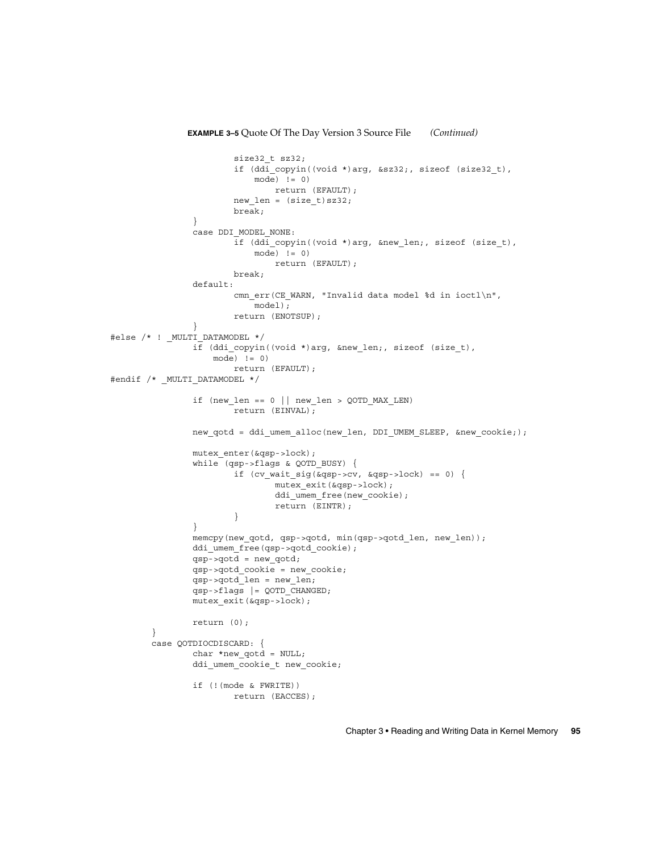```
EXAMPLE 3–5 Quote Of The Day Version 3 Source File (Continued)
                        size32_t sz32;
                        if (ddi copyin((void *)arg, &sz32;, sizeof (size32 t),
                            mode) != 0)return (EFAULT);
                        new\_len = (size_t) sz32;break;
                }
                case DDI_MODEL_NONE:
                        if (ddi_copyin((void *)arg, &new_len;, sizeof (size_t),
                            mode) != 0)return (EFAULT);
                        break;
                default:
                        cmn err(CE WARN, "Invalid data model %d in ioctl\n",
                           model);
                        return (ENOTSUP);
                }
#else /* ! MULTI DATAMODEL */
                if (ddi_copyin((void *)arg, &new_len;, sizeof (size_t),
                    mode) != 0)
                       return (EFAULT);
#endif /* _MULTI_DATAMODEL */
                if (new len == 0 || new len > QOTD MAX LEN)
                       return (EINVAL);
                new_qotd = ddi_umem_alloc(new_len, DDI_UMEM_SLEEP, &new_cookie;);
                mutex_enter(&qsp->lock);
                while (qsp->flags & QOTD_BUSY) {
                        if (cv wait sig(\&qsp{-}zcv, \&qsp{-}lock) == 0) {
                                mutex_exit(&qsp->lock);
                                ddi umem free(new cookie);
                                return (EINTR);
                        }
                }
                memcpy(new_qotd, qsp->qotd, min(qsp->qotd_len, new_len));
                ddi umem free(qsp->qotd cookie);
                qsp->qotd = new_qotd;
                qsp->qotd_cookie = new_cookie;
                qsp->qotd_len = new_len;
                qsp->flags |= QOTD_CHANGED;
                mutex_exit(&qsp->lock);
                return (0);
        }
        case QOTDIOCDISCARD: {
                char *new qotd = NULL;
                ddi umem cookie t new cookie;
                if (!(mode & FWRITE))
                        return (EACCES);
```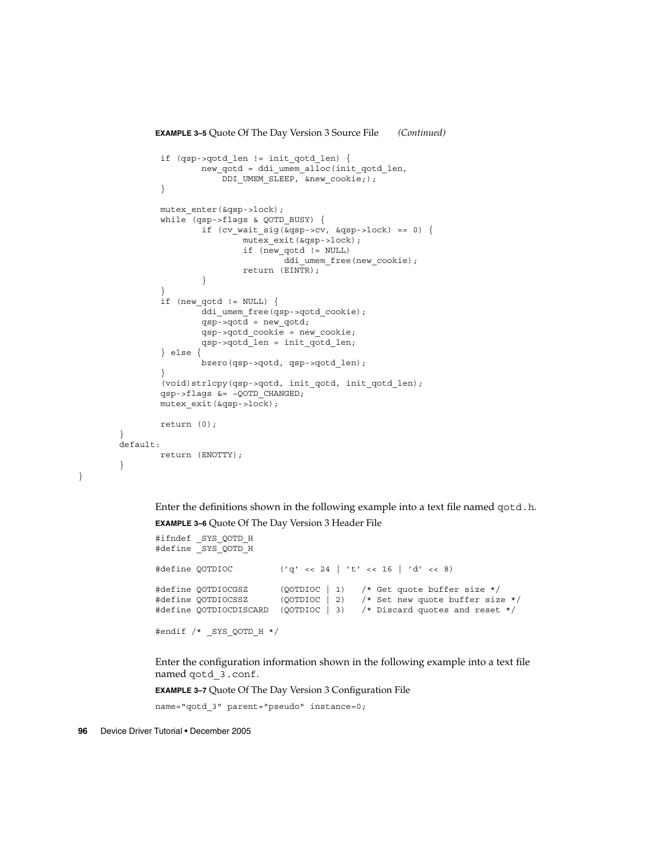```
EXAMPLE 3–5 Quote Of The Day Version 3 Source File (Continued)
```

```
if (qsp->qotd_len != init_qotd_len) {
                new_qotd = ddi_umem_alloc(init qotd len,
                     DDI_UMEM_SLEEP, &new_cookie;);
        }
        mutex_enter(&qsp->lock);
        while (qsp->flags & QOTD_BUSY) {
                 if (cv wait sig(\overline{kgsp}\text{-}zcv, \overline{kgsp}\text{-}lock) == 0) {
                         mutex_exit(&qsp->lock);
                         if (new_qotd != NULL)
                                 ddi_umem_free(new_cookie);
                         return (EINTR);
                 }
        }
        if (new qotd != NULL) \{ddi umem free(qsp->qotd cookie);
                qsp->qotd = new qotd;
                qsp->qotd_cookie = new_cookie;
                qsp->qotd_len = init_qotd_len;
        } else {
                bzero(qsp->qotd, qsp->qotd_len);
        }
        (void)strlcpy(qsp->qotd, init_qotd, init_qotd_len);
        qsp->flags &= ~QOTD_CHANGED;
        mutex_exit(&qsp->lock);
        return (0);
default:
        return (ENOTTY);
```

```
}
```
}

}

Enter the definitions shown in the following example into a text file named qotd.h.

**EXAMPLE 3–6** Quote Of The Day Version 3 Header File

```
#ifndef _SYS_QOTD_H
#define _SYS_QOTD_H
#define QOTDIOC ('q' << 24 | 't' << 16 | 'd' << 8)
#define QOTDIOCGSZ (QOTDIOC | 1) /* Get quote buffer size */
#define QOTDIOCSSZ (QOTDIOC | 2) /* Set new quote buffer size */
#define QOTDIOCDISCARD (QOTDIOC | 3) /* Discard quotes and reset */
#endif /* _SYS_QOTD_H */
```
Enter the configuration information shown in the following example into a text file named qotd\_3.conf.

**EXAMPLE 3–7** Quote Of The Day Version 3 Configuration File

name="qotd\_3" parent="pseudo" instance=0;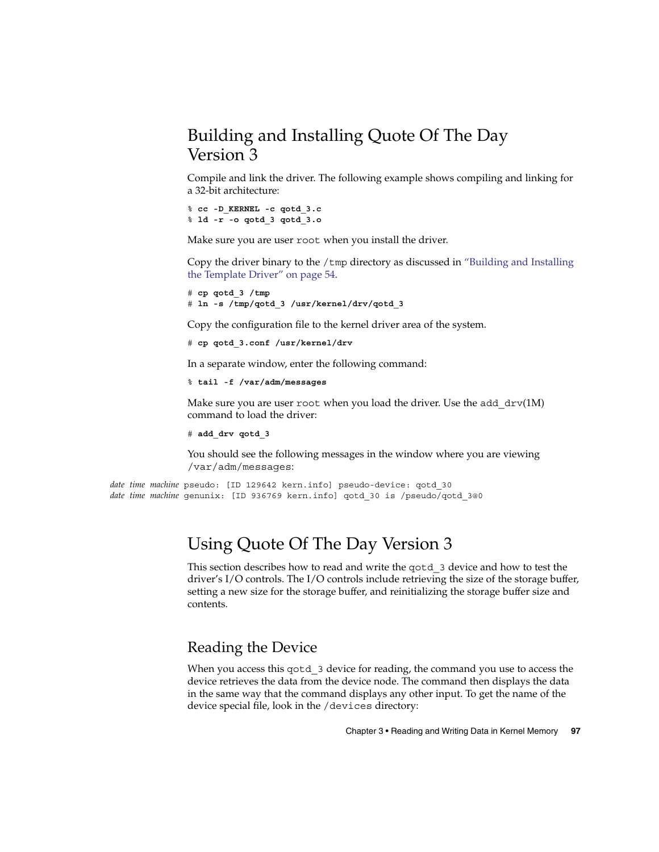## <span id="page-96-0"></span>Building and Installing Quote Of The Day Version 3

Compile and link the driver. The following example shows compiling and linking for a 32-bit architecture:

```
% cc -D_KERNEL -c qotd_3.c
% ld -r -o qotd_3 qotd_3.o
```
Make sure you are user root when you install the driver.

Copy the driver binary to the  $/$ tmp directory as discussed in ["Building and Installing](#page-53-0) [the Template Driver"](#page-53-0) on page 54.

```
# cp qotd_3 /tmp
# ln -s /tmp/qotd_3 /usr/kernel/drv/qotd_3
```
Copy the configuration file to the kernel driver area of the system.

```
# cp qotd_3.conf /usr/kernel/drv
```
In a separate window, enter the following command:

```
% tail -f /var/adm/messages
```
Make sure you are user root when you load the driver. Use the add  $drv(1M)$ command to load the driver:

```
# add_drv qotd_3
```
You should see the following messages in the window where you are viewing /var/adm/messages:

```
date time machine pseudo: [ID 129642 kern.info] pseudo-device: qotd_30
date time machine genunix: [ID 936769 kern.info] qotd_30 is /pseudo/qotd_3@0
```
## Using Quote Of The Day Version 3

This section describes how to read and write the qotd\_3 device and how to test the driver's I/O controls. The I/O controls include retrieving the size of the storage buffer, setting a new size for the storage buffer, and reinitializing the storage buffer size and contents.

### Reading the Device

When you access this qotd 3 device for reading, the command you use to access the device retrieves the data from the device node. The command then displays the data in the same way that the command displays any other input. To get the name of the device special file, look in the /devices directory: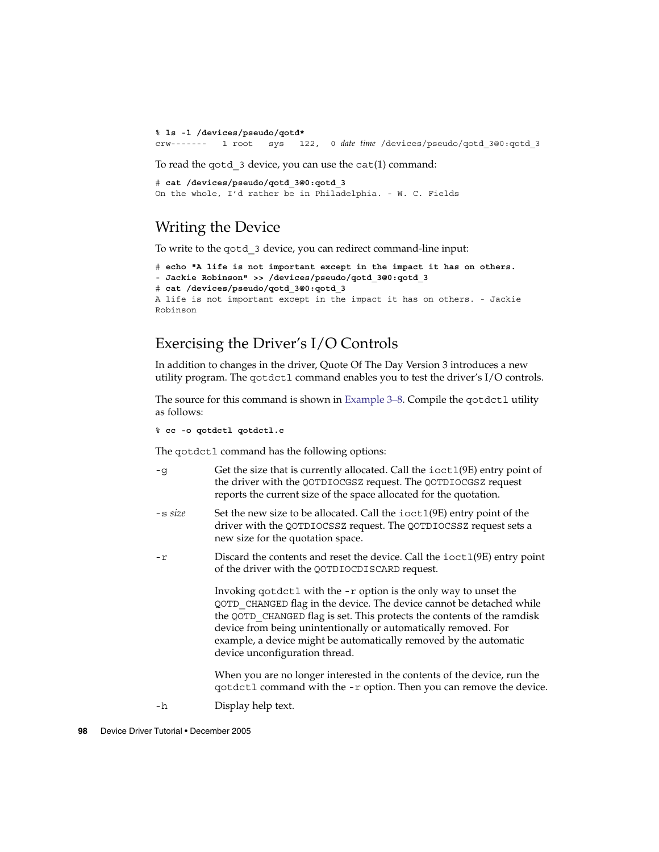<span id="page-97-0"></span>% **ls -l /devices/pseudo/qotd\*** crw------- 1 root sys 122, 0 *date time* /devices/pseudo/qotd\_3@0:qotd\_3

To read the  $q$ otd  $3$  device, you can use the cat(1) command:

```
# cat /devices/pseudo/qotd_3@0:qotd_3
On the whole, I'd rather be in Philadelphia. - W. C. Fields
```
## Writing the Device

To write to the qotd\_3 device, you can redirect command-line input:

```
# echo "A life is not important except in the impact it has on others.
- Jackie Robinson" >> /devices/pseudo/qotd_3@0:qotd_3
# cat /devices/pseudo/qotd_3@0:qotd_3
A life is not important except in the impact it has on others. - Jackie
Robinson
```
## Exercising the Driver's I/O Controls

In addition to changes in the driver, Quote Of The Day Version 3 introduces a new utility program. The qotdctl command enables you to test the driver's I/O controls.

The source for this command is shown in [Example 3–8.](#page-98-0) Compile the gotdctl utility as follows:

% **cc -o qotdctl qotdctl.c**

The qotdctl command has the following options:

- -g Get the size that is currently allocated. Call the ioctl(9E) entry point of the driver with the QOTDIOCGSZ request. The QOTDIOCGSZ request reports the current size of the space allocated for the quotation.
- -s *size* Set the new size to be allocated. Call the ioctl(9E) entry point of the driver with the QOTDIOCSSZ request. The QOTDIOCSSZ request sets a new size for the quotation space.
- -r Discard the contents and reset the device. Call the ioctl(9E) entry point of the driver with the QOTDIOCDISCARD request.

Invoking qotdctl with the -r option is the only way to unset the QOTD\_CHANGED flag in the device. The device cannot be detached while the QOTD\_CHANGED flag is set. This protects the contents of the ramdisk device from being unintentionally or automatically removed. For example, a device might be automatically removed by the automatic device unconfiguration thread.

When you are no longer interested in the contents of the device, run the qotdctl command with the -r option. Then you can remove the device.

-h Display help text.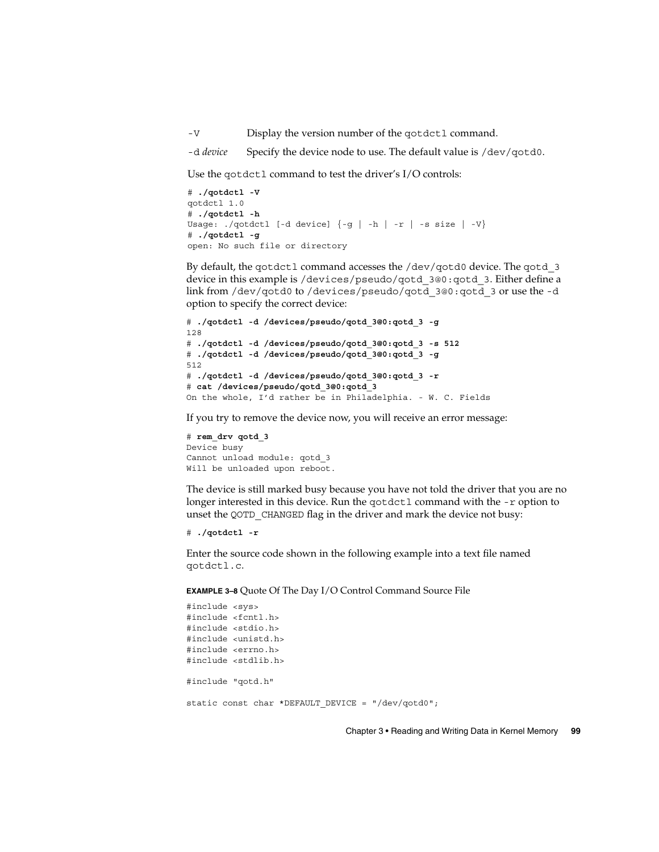<span id="page-98-0"></span>-V Display the version number of the qotdctl command.

-d *device* Specify the device node to use. The default value is /dev/qotd0.

Use the qotdctl command to test the driver's I/O controls:

```
# ./qotdctl -V
qotdctl 1.0
# ./qotdctl -h
Usage: ./qotdctl [-d device] \{-g \mid -h \mid -r \mid -s \text{ size } | -V\}# ./qotdctl -g
open: No such file or directory
```
By default, the qotdctl command accesses the /dev/qotd0 device. The qotd 3 device in this example is /devices/pseudo/qotd\_3@0:qotd\_3. Either define a link from /dev/qotd0 to /devices/pseudo/qotd\_3@0:qotd\_3 or use the -d option to specify the correct device:

```
# ./qotdctl -d /devices/pseudo/qotd_3@0:qotd_3 -g
128
# ./qotdctl -d /devices/pseudo/qotd_3@0:qotd_3 -s 512
# ./qotdctl -d /devices/pseudo/qotd_3@0:qotd_3 -g
512
# ./qotdctl -d /devices/pseudo/qotd_3@0:qotd_3 -r
# cat /devices/pseudo/qotd_3@0:qotd_3
On the whole, I'd rather be in Philadelphia. - W. C. Fields
```
If you try to remove the device now, you will receive an error message:

# **rem\_drv qotd\_3** Device busy Cannot unload module: qotd\_3 Will be unloaded upon reboot.

The device is still marked busy because you have not told the driver that you are no longer interested in this device. Run the qotdctl command with the -r option to unset the QOTD CHANGED flag in the driver and mark the device not busy:

```
# ./qotdctl -r
```
Enter the source code shown in the following example into a text file named qotdctl.c.

**EXAMPLE 3–8** Quote Of The Day I/O Control Command Source File

```
#include <sys>
#include <fcntl.h>
#include <stdio.h>
#include <unistd.h>
#include <errno.h>
#include <stdlib.h>
#include "qotd.h"
static const char *DEFAULT DEVICE = "/dev/qotd0";
```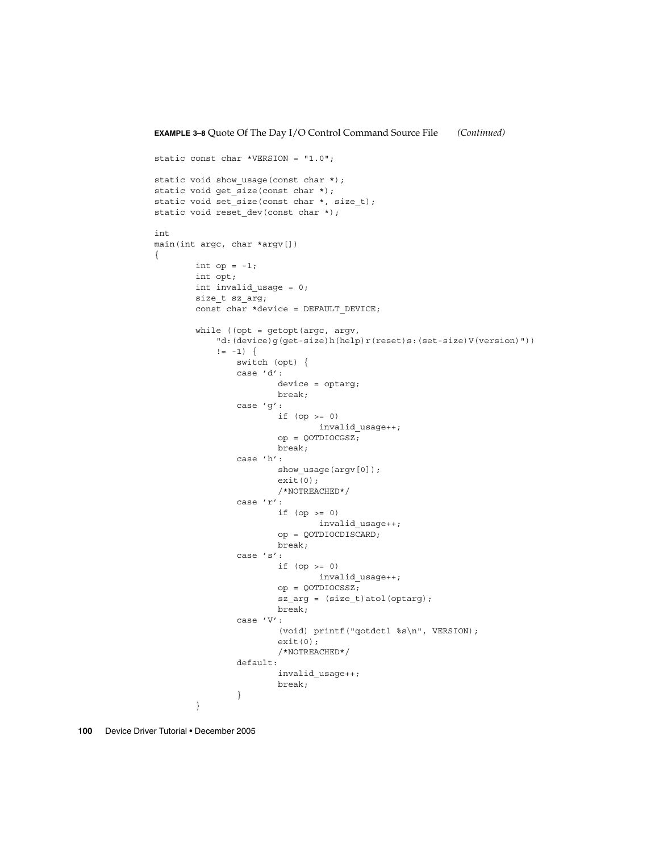```
static const char *VERSION = "1.0";
static void show usage(const char *);
static void get_size(const char *);
static void set size(const char *, size t);
static void reset_dev(const char *);
int
main(int argc, char *argv[])
{
        int op = -1;
       int opt;
       int invalid usage = 0;
       size t sz arg;
       const char *device = DEFAULT DEVICE;
        while ((opt = getopt(argc, argv,
            "d:(device)g(get-size)h(help)r(reset)s:(set-size)V(version)"))
            != -1) {
                switch (opt) {
               case 'd':
                        device = optarg;
                        break;
                case 'g':
                        if (op >= 0)invalid_usage++;
                        op = QOTDIOCGSZ;
                        break;
                case 'h':
                        show_usage(argv[0]);
                        ext(0);/*NOTREACHED*/
                case 'r':
                        if (op \ge 0)invalid_usage++;
                        op = QOTDIOCDISCARD;
                        break;
                case 's':
                        if (op \ge 0)invalid_usage++;
                        op = QOTDIOCSSZ;
                        sz_arg = (size_t)atol(optarg);
                        break;
                case 'V':
                        (void) printf("qotdctl %s\n", VERSION);
                        exit(0);/*NOTREACHED*/
                default:
                        invalid_usage++;
                        break;
                }
        }
```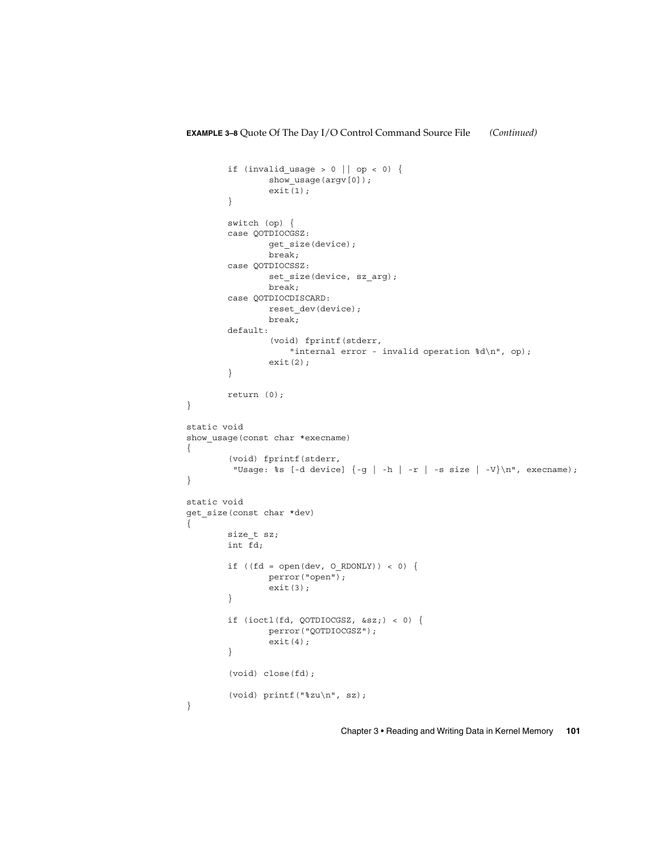```
if (invalid_usage > 0 || op < 0) {
                show usage(argv[0]);
                ext(1);}
        switch (op) {
        case QOTDIOCGSZ:
                get_size(device);
                break;
        case QOTDIOCSSZ:
                set_size(device, sz_arg);
                break;
        case QOTDIOCDISCARD:
                reset dev(device);
                break;
        default:
                (void) fprintf(stderr,
                   "internal error - invalid operation %d\n", op);
                exit(2);}
        return (0);
}
static void
show_usage(const char *execname)
{
        (void) fprintf(stderr,
         "Usage: %s [-d device] \{-g \mid -h \mid -r \mid -s \text{ size } | -V\}\n", execname);
}
static void
get_size(const char *dev)
{
        size t sz;
        int fd;
        if ((fd = open(dev, 0_RDONLY)) < 0) {
                perror("open");
                exit(3);}
        if (ioctl(fd, QOTDIOCGSZ, &sz;) < 0) {
                perror("QOTDIOCGSZ");
                exit(4);}
        (void) close(fd);
        (void) printf("%zu\n", sz);
}
```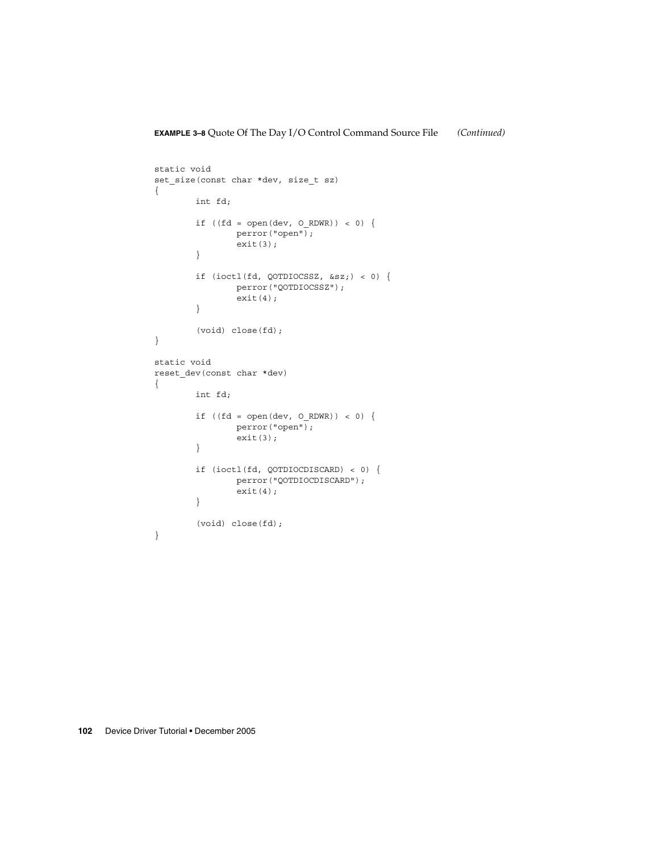```
static void
set_size(const char *dev, size_t sz)
{
       int fd;
        if ((fd = open(dev, O_RDWR)) < 0) {
               perror("open");
                exit(3);
        }
        if (ioctl(fd, QOTDIOCSSZ, &sz;) < 0) {
               perror("QOTDIOCSSZ");
                exit(4);}
        (void) close(fd);
}
static void
reset_dev(const char *dev)
{
       int fd;
        if ((fd = open(dev, O_RDWR)) < 0) {
                perror("open");
                exit(3);
        }
        if (ioctl(fd, QOTDIOCDISCARD) < 0) {
               perror("QOTDIOCDISCARD");
                exit(4);}
       (void) close(fd);
}
```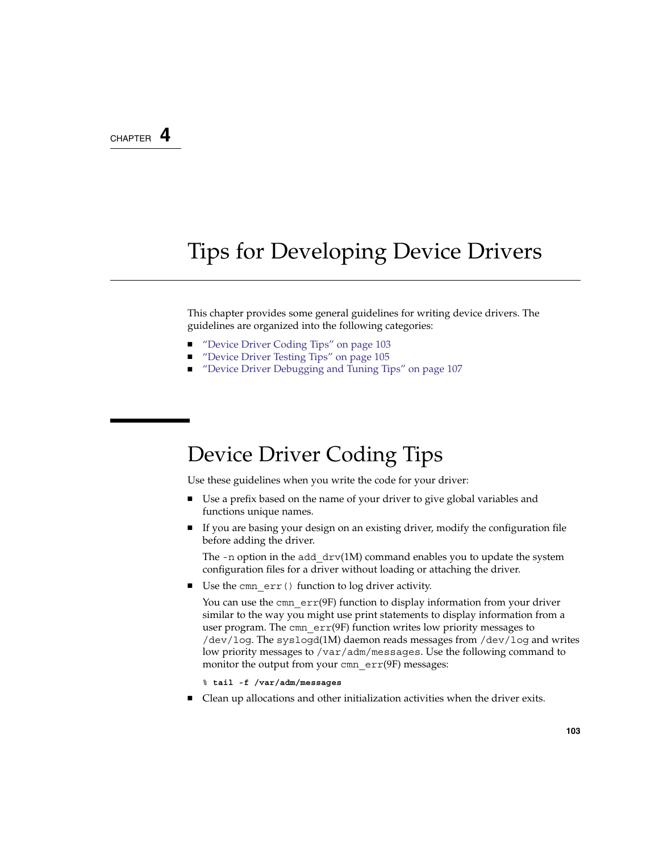#### CHAPTER **4**

# Tips for Developing Device Drivers

This chapter provides some general guidelines for writing device drivers. The guidelines are organized into the following categories:

- "Device Driver Coding Tips" on page 103
- *["Device Driver Testing Tips"](#page-104-0)* on page 105
- ["Device Driver Debugging and Tuning Tips"](#page-106-0) on page 107

# Device Driver Coding Tips

Use these guidelines when you write the code for your driver:

- Use a prefix based on the name of your driver to give global variables and functions unique names.
- If you are basing your design on an existing driver, modify the configuration file before adding the driver.

The  $-$ n option in the add  $drv(1M)$  command enables you to update the system configuration files for a driver without loading or attaching the driver.

■ Use the cmn err() function to log driver activity.

You can use the cmn\_err(9F) function to display information from your driver similar to the way you might use print statements to display information from a user program. The cmn  $err(9F)$  function writes low priority messages to /dev/log. The syslogd(1M) daemon reads messages from /dev/log and writes low priority messages to /var/adm/messages. Use the following command to monitor the output from your cmn  $err(9F)$  messages:

% **tail -f /var/adm/messages**

■ Clean up allocations and other initialization activities when the driver exits.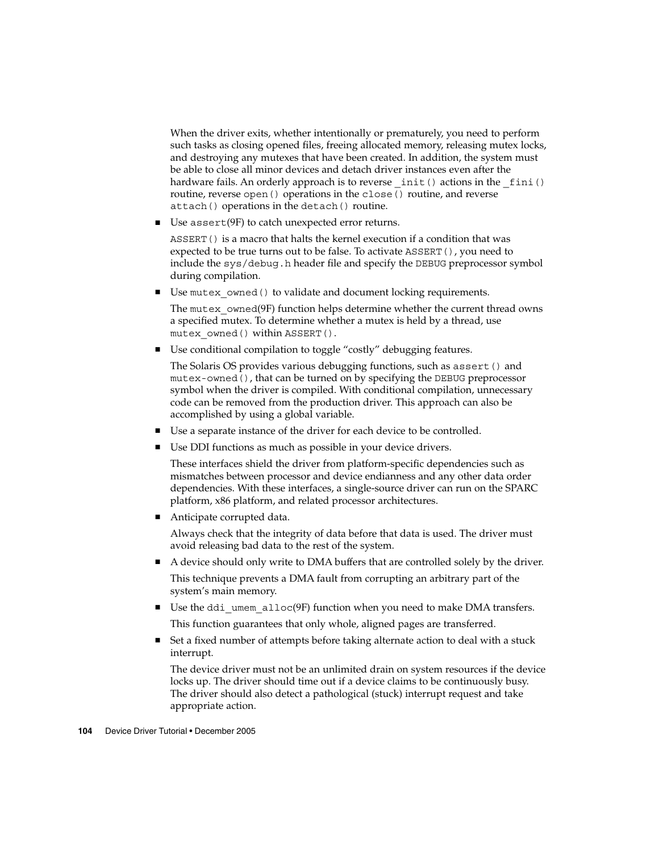When the driver exits, whether intentionally or prematurely, you need to perform such tasks as closing opened files, freeing allocated memory, releasing mutex locks, and destroying any mutexes that have been created. In addition, the system must be able to close all minor devices and detach driver instances even after the hardware fails. An orderly approach is to reverse \_init() actions in the \_fini() routine, reverse open() operations in the close() routine, and reverse attach() operations in the detach() routine.

■ Use assert(9F) to catch unexpected error returns.

ASSERT() is a macro that halts the kernel execution if a condition that was expected to be true turns out to be false. To activate ASSERT(), you need to include the sys/debug.h header file and specify the DEBUG preprocessor symbol during compilation.

Use mutex owned() to validate and document locking requirements.

The mutex owned(9F) function helps determine whether the current thread owns a specified mutex. To determine whether a mutex is held by a thread, use mutex\_owned() within ASSERT().

Use conditional compilation to toggle "costly" debugging features.

The Solaris OS provides various debugging functions, such as assert() and mutex-owned(), that can be turned on by specifying the DEBUG preprocessor symbol when the driver is compiled. With conditional compilation, unnecessary code can be removed from the production driver. This approach can also be accomplished by using a global variable.

- Use a separate instance of the driver for each device to be controlled.
- Use DDI functions as much as possible in your device drivers.

These interfaces shield the driver from platform-specific dependencies such as mismatches between processor and device endianness and any other data order dependencies. With these interfaces, a single-source driver can run on the SPARC platform, x86 platform, and related processor architectures.

■ Anticipate corrupted data.

Always check that the integrity of data before that data is used. The driver must avoid releasing bad data to the rest of the system.

- A device should only write to DMA buffers that are controlled solely by the driver. This technique prevents a DMA fault from corrupting an arbitrary part of the system's main memory.
- Use the ddi\_umem\_alloc(9F) function when you need to make DMA transfers. This function guarantees that only whole, aligned pages are transferred.
- Set a fixed number of attempts before taking alternate action to deal with a stuck interrupt.

The device driver must not be an unlimited drain on system resources if the device locks up. The driver should time out if a device claims to be continuously busy. The driver should also detect a pathological (stuck) interrupt request and take appropriate action.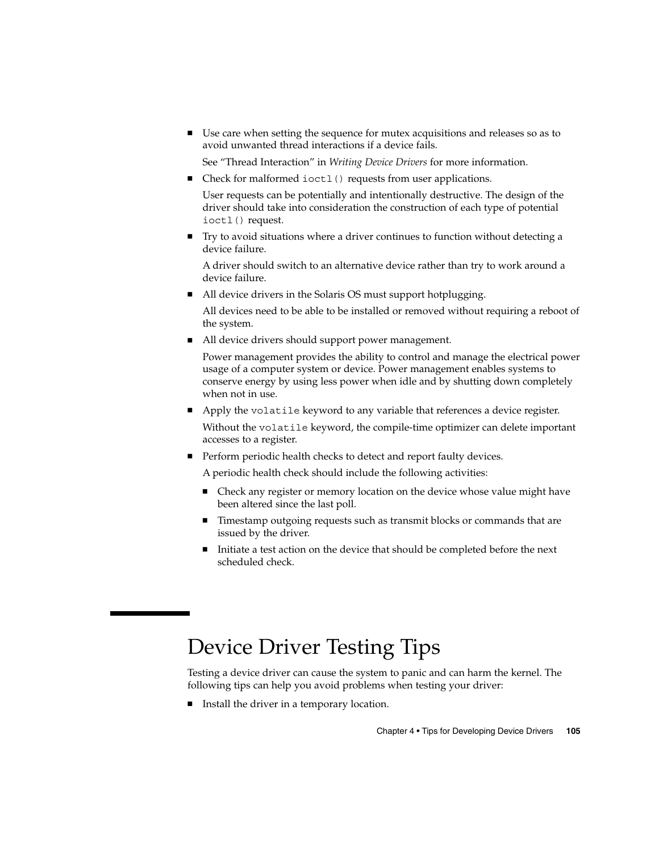<span id="page-104-0"></span>■ Use care when setting the sequence for mutex acquisitions and releases so as to avoid unwanted thread interactions if a device fails.

See "Thread Interaction" in *Writing Device Drivers* for more information.

■ Check for malformed ioctl() requests from user applications.

User requests can be potentially and intentionally destructive. The design of the driver should take into consideration the construction of each type of potential ioctl() request.

■ Try to avoid situations where a driver continues to function without detecting a device failure.

A driver should switch to an alternative device rather than try to work around a device failure.

■ All device drivers in the Solaris OS must support hotplugging.

All devices need to be able to be installed or removed without requiring a reboot of the system.

■ All device drivers should support power management.

Power management provides the ability to control and manage the electrical power usage of a computer system or device. Power management enables systems to conserve energy by using less power when idle and by shutting down completely when not in use.

■ Apply the volatile keyword to any variable that references a device register.

Without the volatile keyword, the compile-time optimizer can delete important accesses to a register.

■ Perform periodic health checks to detect and report faulty devices.

A periodic health check should include the following activities:

- Check any register or memory location on the device whose value might have been altered since the last poll.
- Timestamp outgoing requests such as transmit blocks or commands that are issued by the driver.
- Initiate a test action on the device that should be completed before the next scheduled check.

# Device Driver Testing Tips

Testing a device driver can cause the system to panic and can harm the kernel. The following tips can help you avoid problems when testing your driver:

Install the driver in a temporary location.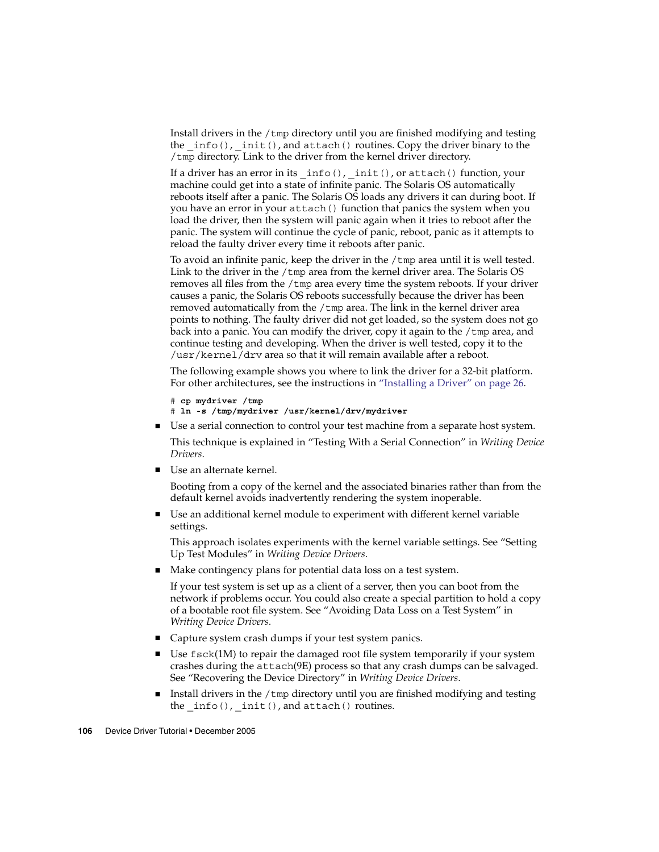Install drivers in the /tmp directory until you are finished modifying and testing the  $\int$ info(),  $\int$ init(), and attach() routines. Copy the driver binary to the /tmp directory. Link to the driver from the kernel driver directory.

If a driver has an error in its  $info()$ ,  $init()$ , or attach() function, your machine could get into a state of infinite panic. The Solaris OS automatically reboots itself after a panic. The Solaris OS loads any drivers it can during boot. If you have an error in your attach() function that panics the system when you load the driver, then the system will panic again when it tries to reboot after the panic. The system will continue the cycle of panic, reboot, panic as it attempts to reload the faulty driver every time it reboots after panic.

To avoid an infinite panic, keep the driver in the /tmp area until it is well tested. Link to the driver in the  $/$ tmp area from the kernel driver area. The Solaris OS removes all files from the /tmp area every time the system reboots. If your driver causes a panic, the Solaris OS reboots successfully because the driver has been removed automatically from the /tmp area. The link in the kernel driver area points to nothing. The faulty driver did not get loaded, so the system does not go back into a panic. You can modify the driver, copy it again to the  $/\text{tmp}$  area, and continue testing and developing. When the driver is well tested, copy it to the /usr/kernel/drv area so that it will remain available after a reboot.

The following example shows you where to link the driver for a 32-bit platform. For other architectures, see the instructions in ["Installing a Driver"](#page-25-0) on page 26.

```
# cp mydriver /tmp
# ln -s /tmp/mydriver /usr/kernel/drv/mydriver
```
■ Use a serial connection to control your test machine from a separate host system.

This technique is explained in "Testing With a Serial Connection" in *Writing Device Drivers*.

■ Use an alternate kernel.

Booting from a copy of the kernel and the associated binaries rather than from the default kernel avoids inadvertently rendering the system inoperable.

Use an additional kernel module to experiment with different kernel variable settings.

This approach isolates experiments with the kernel variable settings. See "Setting Up Test Modules" in *Writing Device Drivers*.

Make contingency plans for potential data loss on a test system.

If your test system is set up as a client of a server, then you can boot from the network if problems occur. You could also create a special partition to hold a copy of a bootable root file system. See "Avoiding Data Loss on a Test System" in *Writing Device Drivers*.

- Capture system crash dumps if your test system panics.
- Use  $f$  sck(1M) to repair the damaged root file system temporarily if your system crashes during the attach(9E) process so that any crash dumps can be salvaged. See "Recovering the Device Directory" in *Writing Device Drivers*.
- $\blacksquare$  Install drivers in the /tmp directory until you are finished modifying and testing the  $info()$ ,  $init()$ , and  $attach()$  routines.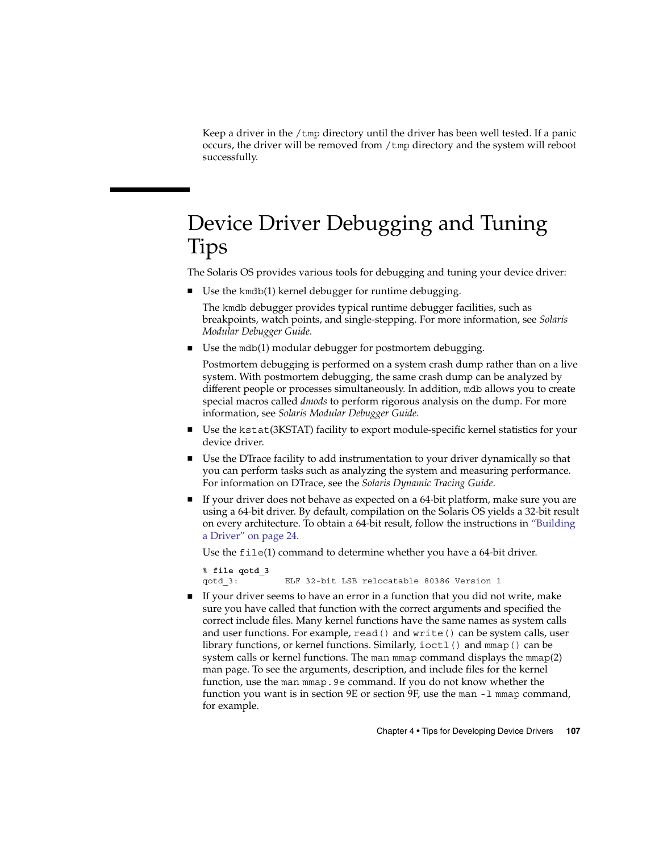<span id="page-106-0"></span>Keep a driver in the /tmp directory until the driver has been well tested. If a panic occurs, the driver will be removed from /tmp directory and the system will reboot successfully.

# Device Driver Debugging and Tuning Tips

The Solaris OS provides various tools for debugging and tuning your device driver:

■ Use the kmdb(1) kernel debugger for runtime debugging.

The kmdb debugger provides typical runtime debugger facilities, such as breakpoints, watch points, and single-stepping. For more information, see *Solaris Modular Debugger Guide*.

■ Use the mdb(1) modular debugger for postmortem debugging.

Postmortem debugging is performed on a system crash dump rather than on a live system. With postmortem debugging, the same crash dump can be analyzed by different people or processes simultaneously. In addition, mdb allows you to create special macros called *dmods* to perform rigorous analysis on the dump. For more information, see *Solaris Modular Debugger Guide*.

- Use the kstat(3KSTAT) facility to export module-specific kernel statistics for your device driver.
- Use the DTrace facility to add instrumentation to your driver dynamically so that you can perform tasks such as analyzing the system and measuring performance. For information on DTrace, see the *Solaris Dynamic Tracing Guide*.
- If your driver does not behave as expected on a 64-bit platform, make sure you are using a 64-bit driver. By default, compilation on the Solaris OS yields a 32-bit result on every architecture. To obtain a 64-bit result, follow the instructions in ["Building](#page-23-0) a Driver" [on page 24.](#page-23-0)

Use the file(1) command to determine whether you have a 64-bit driver.

```
% file qotd_3
qotd_3: ELF 32-bit LSB relocatable 80386 Version 1
```
■ If your driver seems to have an error in a function that you did not write, make sure you have called that function with the correct arguments and specified the correct include files. Many kernel functions have the same names as system calls and user functions. For example, read() and write() can be system calls, user library functions, or kernel functions. Similarly, ioctl() and mmap() can be system calls or kernel functions. The man mmap command displays the mmap(2) man page. To see the arguments, description, and include files for the kernel function, use the man mmap.9e command. If you do not know whether the function you want is in section 9E or section 9F, use the man -l mmap command, for example.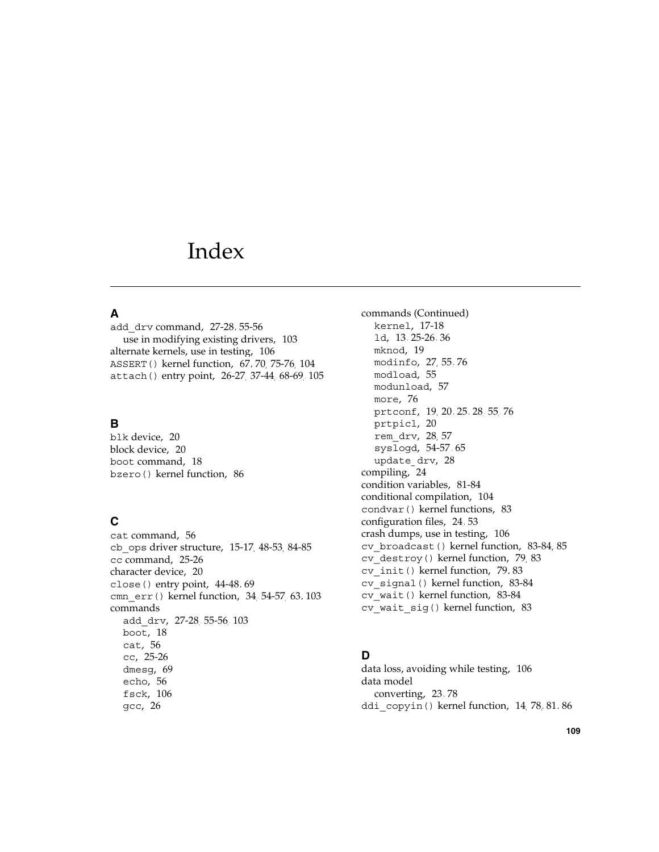# Index

# **A**

add\_drv command, [27-28,](#page-26-0) [55-56](#page-54-0) use in modifying existing drivers, [103](#page-102-0) alternate kernels, use in testing, [106](#page-105-0) ASSERT() kernel function, [67,](#page-66-0) [70,](#page-69-0) [75-76,](#page-74-0) [104](#page-103-0) attach() entry point, [26-27,](#page-25-0) [37-44,](#page-36-0) [68-69,](#page-67-0) [105](#page-104-0)

#### **B**

blk device, [20](#page-19-0) block device, [20](#page-19-0) boot command, [18](#page-17-0) bzero() kernel function, [86](#page-85-0)

# **C**

cat command, [56](#page-55-0) cb\_ops driver structure, [15-17,](#page-14-0) [48-53,](#page-47-0) [84-85](#page-83-0) cc command, [25-26](#page-24-0) character device, [20](#page-19-0) close() entry point, [44-48,](#page-43-0) [69](#page-68-0) cmn\_err() kernel function, [34,](#page-33-0) [54-57,](#page-53-0) [63,](#page-62-0) [103](#page-102-0) commands add\_drv, [27-28,](#page-26-0) [55-56,](#page-54-0) [103](#page-102-0) boot, [18](#page-17-0) cat, [56](#page-55-0) cc, [25-26](#page-24-0) dmesg, [69](#page-68-0) echo, [56](#page-55-0) fsck, [106](#page-105-0) gcc, [26](#page-25-0)

commands (Continued) kernel, [17-18](#page-16-0) ld, [13,](#page-12-0) [25-26,](#page-24-0) [36](#page-35-0) mknod, [19](#page-18-0) modinfo, [27,](#page-26-0) [55,](#page-54-0) [76](#page-75-0) modload, [55](#page-54-0) modunload, [57](#page-56-0) more, [76](#page-75-0) prtconf, [19,](#page-18-0) [20,](#page-19-0) [25,](#page-24-0) [28,](#page-27-0) [55,](#page-54-0) [76](#page-75-0) prtpicl, [20](#page-19-0) rem\_drv, [28,](#page-27-0) [57](#page-56-0) syslogd, [54-57,](#page-53-0) [65](#page-64-0) update\_drv, [28](#page-27-0) compiling, [24](#page-23-0) condition variables, [81-84](#page-80-0) conditional compilation, [104](#page-103-0) condvar() kernel functions, [83](#page-82-0) configuration files, [24,](#page-23-0) [53](#page-52-0) crash dumps, use in testing, [106](#page-105-0) cv\_broadcast() kernel function, [83-84,](#page-82-0) [85](#page-84-0) cv\_destroy() kernel function, [79,](#page-78-0) [83](#page-82-0) cv\_init() kernel function, [79,](#page-78-0) [83](#page-82-0) cv\_signal() kernel function, [83-84](#page-82-0) cv\_wait() kernel function, [83-84](#page-82-0) cv\_wait\_sig() kernel function, [83](#page-82-0)

## **D**

data loss, avoiding while testing, [106](#page-105-0) data model converting, [23,](#page-22-0) [78](#page-77-0) ddi copyin() kernel function, [14,](#page-13-0) [78,](#page-77-0) [81,](#page-80-0) [86](#page-85-0)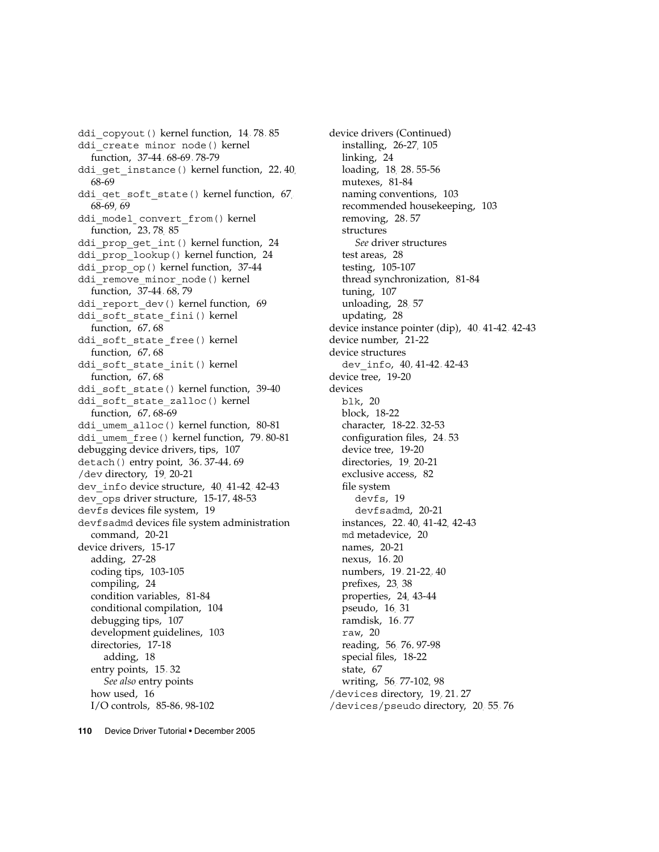ddi copyout () kernel function, [14,](#page-13-0) [78,](#page-77-0) [85](#page-84-0) ddi create minor node() kernel function, [37-44,](#page-36-0) [68-69,](#page-67-0) [78-79](#page-77-0) ddi qet instance() kernel function, [22,](#page-21-0) [40,](#page-39-0) [68-69](#page-67-0) ddi get soft state() kernel function, [67,](#page-66-0) [68-69,](#page-67-0) [69](#page-68-0) ddi model convert from() kernel function, [23,](#page-22-0) [78,](#page-77-0) [85](#page-84-0) ddi\_prop\_get\_int() kernel function, [24](#page-23-0) ddi\_prop\_lookup() kernel function, [24](#page-23-0) ddi\_prop\_op() kernel function, [37-44](#page-36-0) ddi remove minor node() kernel function, [37-44,](#page-36-0) [68,](#page-67-0) [79](#page-78-0) ddi report dev() kernel function, [69](#page-68-0) ddi soft state fini() kernel function, [67,](#page-66-0) [68](#page-67-0) ddi soft state free() kernel function, [67,](#page-66-0) [68](#page-67-0) ddi soft state init() kernel function, [67,](#page-66-0) [68](#page-67-0) ddi soft state() kernel function, [39-40](#page-38-0) ddi soft state zalloc() kernel function, [67,](#page-66-0) [68-69](#page-67-0) ddi umem alloc() kernel function, [80-81](#page-79-0) ddi umem free() kernel function, [79,](#page-78-0) [80-81](#page-79-0) debugging device drivers, tips, [107](#page-106-0) detach() entry point, [36,](#page-35-0) [37-44,](#page-36-0) [69](#page-68-0) /dev directory, [19,](#page-18-0) [20-21](#page-19-0) dev\_info device structure, [40,](#page-39-0) [41-42,](#page-40-0) [42-43](#page-41-0) dev\_ops driver structure, [15-17,](#page-14-0) [48-53](#page-47-0) devfs devices file system, [19](#page-18-0) devfsadmd devices file system administration command, [20-21](#page-19-0) device drivers, [15-17](#page-14-0) adding, [27-28](#page-26-0) coding tips, [103-105](#page-102-0) compiling, [24](#page-23-0) condition variables, [81-84](#page-80-0) conditional compilation, [104](#page-103-0) debugging tips, [107](#page-106-0) development guidelines, [103](#page-102-0) directories, [17-18](#page-16-0) adding, [18](#page-17-0) entry points, [15,](#page-14-0) [32](#page-31-0) *See also* entry points how used, [16](#page-15-0) I/O controls, [85-86,](#page-84-0) [98-102](#page-97-0)

device drivers (Continued) installing, [26-27,](#page-25-0) [105](#page-104-0) linking, [24](#page-23-0) loading, [18,](#page-17-0) [28,](#page-27-0) [55-56](#page-54-0) mutexes, [81-84](#page-80-0) naming conventions, [103](#page-102-0) recommended housekeeping, [103](#page-102-0) removing, [28,](#page-27-0) [57](#page-56-0) structures *See* driver structures test areas, [28](#page-27-0) testing, [105-107](#page-104-0) thread synchronization, [81-84](#page-80-0) tuning, [107](#page-106-0) unloading, [28,](#page-27-0) [57](#page-56-0) updating, [28](#page-27-0) device instance pointer (dip), [40,](#page-39-0) [41-42,](#page-40-0) [42-43](#page-41-0) device number, [21-22](#page-20-0) device structures dev\_info, [40,](#page-39-0) [41-42,](#page-40-0) [42-43](#page-41-0) device tree, [19-20](#page-18-0) devices blk, [20](#page-19-0) block, [18-22](#page-17-0) character, [18-22,](#page-17-0) [32-53](#page-31-0) configuration files, [24,](#page-23-0) [53](#page-52-0) device tree, [19-20](#page-18-0) directories, [19,](#page-18-0) [20-21](#page-19-0) exclusive access, [82](#page-81-0) file system devfs, [19](#page-18-0) devfsadmd, [20-21](#page-19-0) instances, [22,](#page-21-0) [40,](#page-39-0) [41-42,](#page-40-0) [42-43](#page-41-0) md metadevice, [20](#page-19-0) names, [20-21](#page-19-0) nexus, [16,](#page-15-0) [20](#page-19-0) numbers, [19,](#page-18-0) [21-22,](#page-20-0) [40](#page-39-0) prefixes, [23,](#page-22-0) [38](#page-37-0) properties, [24,](#page-23-0) [43-44](#page-42-0) pseudo, [16,](#page-15-0) [31](#page-30-0) ramdisk, [16,](#page-15-0) [77](#page-76-0) raw, [20](#page-19-0) reading, [56,](#page-55-0) [76,](#page-75-0) [97-98](#page-96-0) special files, [18-22](#page-17-0) state, [67](#page-66-0) writing, [56,](#page-55-0) [77-102,](#page-76-0) [98](#page-97-0) /devices directory, [19,](#page-18-0) [21,](#page-20-0) [27](#page-26-0) /devices/pseudo directory, [20,](#page-19-0) [55,](#page-54-0) [76](#page-75-0)

**110** Device Driver Tutorial • December 2005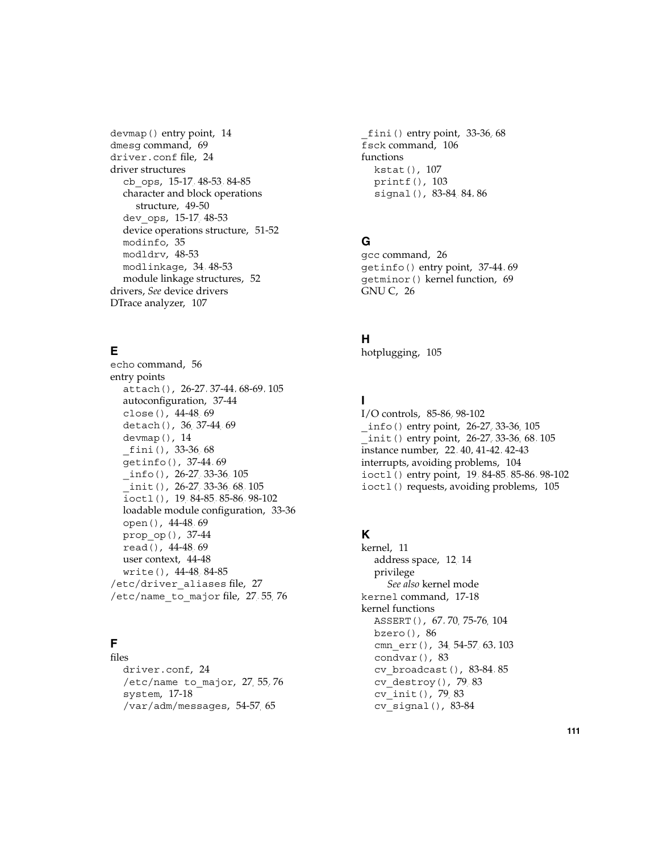devmap() entry point, [14](#page-13-0) dmesg command, [69](#page-68-0) driver.conf file, [24](#page-23-0) driver structures cb\_ops, [15-17,](#page-14-0) [48-53,](#page-47-0) [84-85](#page-83-0) character and block operations structure, [49-50](#page-48-0) dev\_ops, [15-17,](#page-14-0) [48-53](#page-47-0) device operations structure, [51-52](#page-50-0) modinfo, [35](#page-34-0) modldrv, [48-53](#page-47-0) modlinkage, [34,](#page-33-0) [48-53](#page-47-0) module linkage structures, [52](#page-51-0) drivers, *See* device drivers DTrace analyzer, [107](#page-106-0)

# **E**

echo command, [56](#page-55-0) entry points attach(), [26-27,](#page-25-0) [37-44,](#page-36-0) [68-69,](#page-67-0) [105](#page-104-0) autoconfiguration, [37-44](#page-36-0) close(), [44-48,](#page-43-0) [69](#page-68-0) detach(), [36,](#page-35-0) [37-44,](#page-36-0) [69](#page-68-0) devmap(), [14](#page-13-0) \_fini(), [33-36,](#page-32-0) [68](#page-67-0) getinfo(), [37-44,](#page-36-0) [69](#page-68-0)  $_$ info(), [26-27,](#page-25-0) [33-36,](#page-32-0) [105](#page-104-0) \_init(), [26-27,](#page-25-0) [33-36,](#page-32-0) [68,](#page-67-0) [105](#page-104-0) ioctl(), [19,](#page-18-0) [84-85,](#page-83-0) [85-86,](#page-84-0) [98-102](#page-97-0) loadable module configuration, [33-36](#page-32-0) open(), [44-48,](#page-43-0) [69](#page-68-0) prop\_op(), [37-44](#page-36-0) read(), [44-48,](#page-43-0) [69](#page-68-0) user context, [44-48](#page-43-0) write(), [44-48,](#page-43-0) [84-85](#page-83-0) /etc/driver\_aliases file, [27](#page-26-0) /etc/name\_to\_major file, [27,](#page-26-0) [55,](#page-54-0) [76](#page-75-0)

# **F**

files driver.conf, [24](#page-23-0) /etc/name to major,  $27, 55, 76$  $27, 55, 76$  $27, 55, 76$ system, [17-18](#page-16-0) /var/adm/messages, [54-57,](#page-53-0) [65](#page-64-0)

fini() entry point,  $33-36, 68$  $33-36, 68$ fsck command, [106](#page-105-0) functions kstat(), [107](#page-106-0) printf(), [103](#page-102-0) signal(), [83-84,](#page-82-0) [84,](#page-83-0) [86](#page-85-0)

# **G**

gcc command, [26](#page-25-0) getinfo() entry point, [37-44,](#page-36-0) [69](#page-68-0) getminor() kernel function, [69](#page-68-0) GNU C, [26](#page-25-0)

## **H**

hotplugging, [105](#page-104-0)

# **I**

I/O controls, [85-86,](#page-84-0) [98-102](#page-97-0) \_info() entry point, [26-27,](#page-25-0) [33-36,](#page-32-0) [105](#page-104-0) init() entry point, [26-27,](#page-25-0) [33-36,](#page-32-0) [68,](#page-67-0) [105](#page-104-0) instance number, [22,](#page-21-0) [40,](#page-39-0) [41-42,](#page-40-0) [42-43](#page-41-0) interrupts, avoiding problems, [104](#page-103-0) ioctl() entry point, [19,](#page-18-0) [84-85,](#page-83-0) [85-86,](#page-84-0) [98-102](#page-97-0) ioctl() requests, avoiding problems, [105](#page-104-0)

# **K**

kernel, [11](#page-10-0) address space, [12,](#page-11-0) [14](#page-13-0) privilege *See also* kernel mode kernel command, [17-18](#page-16-0) kernel functions ASSERT(), [67,](#page-66-0) [70,](#page-69-0) [75-76,](#page-74-0) [104](#page-103-0) bzero(), [86](#page-85-0) cmn err(), [34,](#page-33-0) [54-57,](#page-53-0) [63,](#page-62-0) [103](#page-102-0) condvar(), [83](#page-82-0) cv\_broadcast(), [83-84,](#page-82-0) [85](#page-84-0) cv\_destroy(), [79,](#page-78-0) [83](#page-82-0) cv\_init(), [79,](#page-78-0) [83](#page-82-0) cv\_signal(), [83-84](#page-82-0)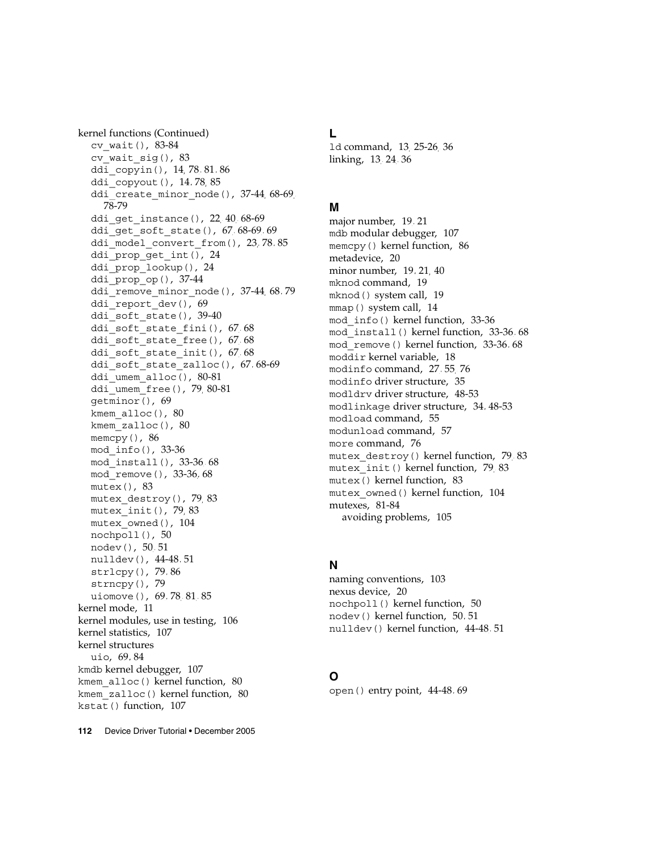kernel functions (Continued) cv\_wait(), [83-84](#page-82-0) cv wait  $sig()$ ,  $83$ ddi\_copyin(), [14,](#page-13-0) [78,](#page-77-0) [81,](#page-80-0) [86](#page-85-0) ddi\_copyout(), [14,](#page-13-0) [78,](#page-77-0) [85](#page-84-0) ddi create minor node(), [37-44,](#page-36-0) [68-69,](#page-67-0) [78-79](#page-77-0) ddi qet instance(), [22,](#page-21-0) [40,](#page-39-0) [68-69](#page-67-0) ddi\_get\_soft\_state(), [67,](#page-66-0) [68-69,](#page-67-0) [69](#page-68-0) ddi\_model\_convert\_from(), [23,](#page-22-0) [78,](#page-77-0) [85](#page-84-0) ddi prop get int(), [24](#page-23-0) ddi\_prop\_lookup(), [24](#page-23-0) ddi\_prop\_op(), [37-44](#page-36-0) ddi remove minor node(), [37-44,](#page-36-0) [68,](#page-67-0) [79](#page-78-0) ddi report dev(), [69](#page-68-0) ddi soft state(), [39-40](#page-38-0) ddi soft state fini(), [67,](#page-66-0) [68](#page-67-0) ddi soft state free(),  $67, 68$  $67, 68$ ddi\_soft\_state\_init(), [67,](#page-66-0) [68](#page-67-0) ddi soft state zalloc $($ ),  $67, 68-69$  $67, 68-69$ ddi umem alloc(), [80-81](#page-79-0) ddi umem free(), [79,](#page-78-0) [80-81](#page-79-0) getminor(), [69](#page-68-0) kmem\_alloc(), [80](#page-79-0) kmem\_zalloc(), [80](#page-79-0) memcpy(), [86](#page-85-0) mod\_info(), [33-36](#page-32-0) mod\_install(), [33-36,](#page-32-0) [68](#page-67-0) mod\_remove(), [33-36,](#page-32-0) [68](#page-67-0) mutex(), [83](#page-82-0) mutex destroy(), [79,](#page-78-0) [83](#page-82-0) mutex\_init(), [79,](#page-78-0) [83](#page-82-0) mutex\_owned(), [104](#page-103-0) nochpoll(), [50](#page-49-0) nodev(), [50,](#page-49-0) [51](#page-50-0) nulldev(), [44-48,](#page-43-0) [51](#page-50-0) strlcpy(), [79,](#page-78-0) [86](#page-85-0) strncpy(), [79](#page-78-0) uiomove(), [69,](#page-68-0) [78,](#page-77-0) [81,](#page-80-0) [85](#page-84-0) kernel mode, [11](#page-10-0) kernel modules, use in testing, [106](#page-105-0) kernel statistics, [107](#page-106-0) kernel structures uio, [69,](#page-68-0) [84](#page-83-0) kmdb kernel debugger, [107](#page-106-0) kmem\_alloc() kernel function, [80](#page-79-0) kmem\_zalloc() kernel function, [80](#page-79-0) kstat() function, [107](#page-106-0)

**L** ld command, [13,](#page-12-0) [25-26,](#page-24-0) [36](#page-35-0) linking, [13,](#page-12-0) [24,](#page-23-0) [36](#page-35-0)

#### **M**

major number, [19,](#page-18-0) [21](#page-20-0) mdb modular debugger, [107](#page-106-0) memcpy() kernel function, [86](#page-85-0) metadevice, [20](#page-19-0) minor number, [19,](#page-18-0) [21,](#page-20-0) [40](#page-39-0) mknod command, [19](#page-18-0) mknod() system call, [19](#page-18-0) mmap() system call, [14](#page-13-0) mod\_info() kernel function, [33-36](#page-32-0) mod\_install() kernel function, [33-36,](#page-32-0) [68](#page-67-0) mod\_remove() kernel function, [33-36,](#page-32-0) [68](#page-67-0) moddir kernel variable, [18](#page-17-0) modinfo command, [27,](#page-26-0) [55,](#page-54-0) [76](#page-75-0) modinfo driver structure, [35](#page-34-0) modldrv driver structure, [48-53](#page-47-0) modlinkage driver structure, [34,](#page-33-0) [48-53](#page-47-0) modload command, [55](#page-54-0) modunload command, [57](#page-56-0) more command, [76](#page-75-0) mutex\_destroy() kernel function, [79,](#page-78-0) [83](#page-82-0) mutex init() kernel function, [79,](#page-78-0) [83](#page-82-0) mutex() kernel function, [83](#page-82-0) mutex\_owned() kernel function, [104](#page-103-0) mutexes, [81-84](#page-80-0) avoiding problems, [105](#page-104-0)

#### **N**

naming conventions, [103](#page-102-0) nexus device, [20](#page-19-0) nochpoll() kernel function, [50](#page-49-0) nodev() kernel function, [50,](#page-49-0) [51](#page-50-0) nulldev() kernel function, [44-48,](#page-43-0) [51](#page-50-0)

# **O**

open() entry point, [44-48,](#page-43-0) [69](#page-68-0)

**112** Device Driver Tutorial • December 2005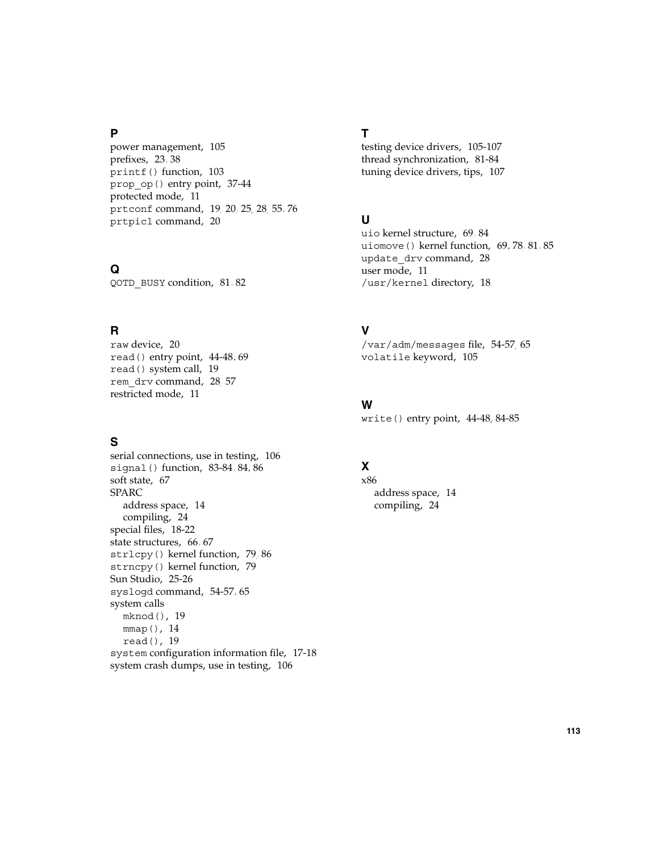#### **P**

power management, [105](#page-104-0) prefixes, [23,](#page-22-0) [38](#page-37-0) printf() function, [103](#page-102-0) prop\_op() entry point, [37-44](#page-36-0) protected mode, [11](#page-10-0) prtconf command, [19,](#page-18-0) [20,](#page-19-0) [25,](#page-24-0) [28,](#page-27-0) [55,](#page-54-0) [76](#page-75-0) prtpicl command, [20](#page-19-0)

#### **Q**

QOTD\_BUSY condition, [81,](#page-80-0) [82](#page-81-0)

# **R**

raw device, [20](#page-19-0) read() entry point, [44-48,](#page-43-0) [69](#page-68-0) read() system call, [19](#page-18-0) rem\_drv command, [28,](#page-27-0) [57](#page-56-0) restricted mode, [11](#page-10-0)

## **S**

serial connections, use in testing, [106](#page-105-0) signal() function, [83-84,](#page-82-0) [84,](#page-83-0) [86](#page-85-0) soft state, [67](#page-66-0) SPARC address space, [14](#page-13-0) compiling, [24](#page-23-0) special files, [18-22](#page-17-0) state structures, [66,](#page-65-0) [67](#page-66-0) strlcpy() kernel function, [79,](#page-78-0) [86](#page-85-0) strncpy() kernel function, [79](#page-78-0) Sun Studio, [25-26](#page-24-0) syslogd command, [54-57,](#page-53-0) [65](#page-64-0) system calls mknod(), [19](#page-18-0) mmap(), [14](#page-13-0) read(), [19](#page-18-0) system configuration information file, [17-18](#page-16-0) system crash dumps, use in testing, [106](#page-105-0)

#### **T**

testing device drivers, [105-107](#page-104-0) thread synchronization, [81-84](#page-80-0) tuning device drivers, tips, [107](#page-106-0)

## **U**

uio kernel structure, [69,](#page-68-0) [84](#page-83-0) uiomove() kernel function, [69,](#page-68-0) [78,](#page-77-0) [81,](#page-80-0) [85](#page-84-0) update\_drv command, [28](#page-27-0) user mode, [11](#page-10-0) /usr/kernel directory, [18](#page-17-0)

#### **V**

/var/adm/messages file, [54-57,](#page-53-0) [65](#page-64-0) volatile keyword, [105](#page-104-0)

#### **W**

write() entry point, [44-48,](#page-43-0) [84-85](#page-83-0)

# **X**

x86 address space, [14](#page-13-0) compiling, [24](#page-23-0)